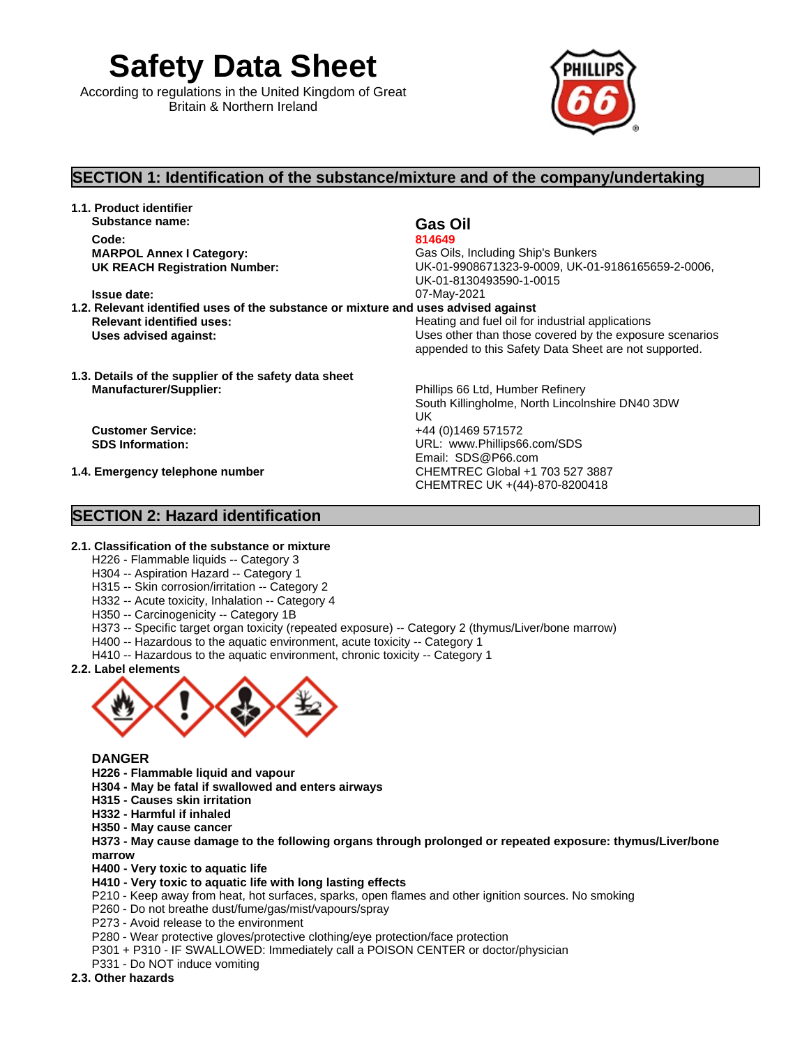**Safety Data Sheet**

According to regulations in the United Kingdom of Great Britain & Northern Ireland



## **SECTION 1: Identification of the substance/mixture and of the company/undertaking**

**1.1. Product identifier Substance name: Gas Oil Code: 814649** 

**MARPOL Annex I Category:** Gas Oils, Including Ship's Bunkers **UK REACH Registration Number:** UK-01-9908671323-9-0009, UK-01-9186165659-2-0006, UK-01-8130493590-1-0015 **Issue date:** 07-May-2021

South Killingholme, North Lincolnshire DN40 3DW

UK **UK** 

CHEMTREC UK +(44)-870-8200418

Email: SDS@P66.com

- **1.2. Relevant identified uses of the substance or mixture and uses advised against Relevant identified uses:**  $\qquad \qquad$  Heating and fuel oil for industrial applications **Uses advised against:** Uses other than those covered by the exposure scenarios appended to this Safety Data Sheet are not supported.
- **1.3. Details of the supplier of the safety data sheet Manufacturer/Supplier:** Phillips 66 Ltd, Humber Refinery

**Customer Service:** +44 (0)1469 571572 **SDS Information:** URL: www.Phillips66.com/SDS

**1.4. Emergency telephone number** CHEMTREC Global +1 703 527 3887

### **SECTION 2: Hazard identification**

### **2.1. Classification of the substance or mixture**

- H226 Flammable liquids -- Category 3
- H304 -- Aspiration Hazard -- Category 1
- H315 -- Skin corrosion/irritation -- Category 2
- H332 -- Acute toxicity, Inhalation -- Category 4
- H350 -- Carcinogenicity -- Category 1B
- H373 -- Specific target organ toxicity (repeated exposure) -- Category 2 (thymus/Liver/bone marrow)
- H400 -- Hazardous to the aquatic environment, acute toxicity --Category 1
- H410 -- Hazardous to the aquatic environment, chronic toxicity -- Category 1
- **2.2. Label elements**



### **DANGER**

- **H226 - Flammable liquid and vapour**
- **H304 - May be fatal if swallowed and enters airways**
- **H315 - Causes skin irritation**
- **H332 - Harmful if inhaled**
- **H350 - May cause cancer**

**H373 - May cause damage to the following organs through prolonged or repeated exposure: thymus/Liver/bone marrow** 

**H400 - Very toxic to aquatic life**

- **H410 - Very toxic to aquatic life with long lasting effects**
- P210 Keep away from heat, hot surfaces, sparks, open flames and other ignition sources. No smoking
- P260 Do not breathe dust/fume/gas/mist/vapours/spray
- P273 Avoid release to the environment
- P280 Wear protective gloves/protective clothing/eye protection/face protection
- P301 + P310 IF SWALLOWED: Immediately call a POISON CENTER or doctor/physician
- P331 Do NOT induce vomiting

### **2.3. Other hazards**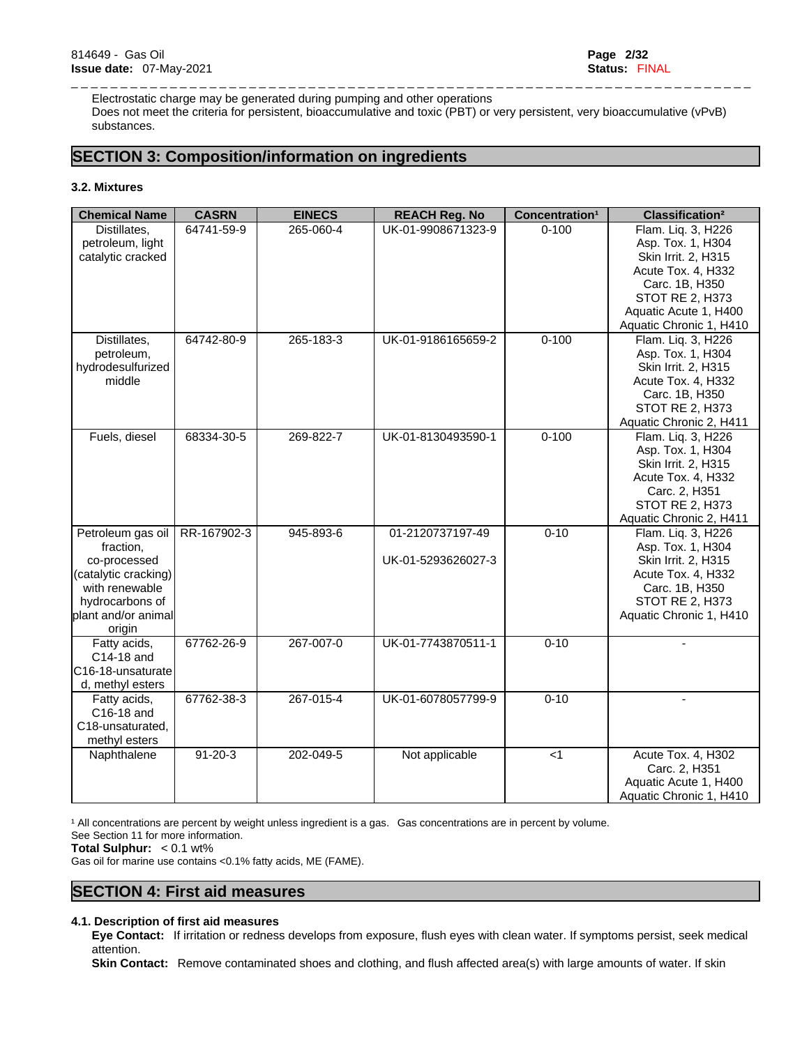Electrostatic charge may be generated during pumping and other operations Does not meet the criteria for persistent, bioaccumulative and toxic (PBT) or very persistent, very bioaccumulative (vPvB) substances.

\_ \_ \_ \_ \_ \_ \_ \_ \_ \_ \_ \_ \_ \_ \_ \_ \_ \_ \_ \_ \_ \_ \_ \_ \_ \_ \_ \_ \_ \_ \_ \_ \_ \_ \_ \_ \_ \_ \_ \_ \_ \_ \_ \_ \_ \_ \_ \_ \_ \_ \_ \_ \_ \_ \_ \_ \_ \_ \_ \_ \_ \_ \_ \_ \_ \_ \_ \_ \_

# **SECTION 3: Composition/information on ingredients**

### **3.2. Mixtures**

| <b>Chemical Name</b> | <b>CASRN</b>  | <b>EINECS</b> | <b>REACH Reg. No</b> | Concentration <sup>1</sup> | Classification <sup>2</sup> |
|----------------------|---------------|---------------|----------------------|----------------------------|-----------------------------|
| Distillates.         | 64741-59-9    | 265-060-4     | UK-01-9908671323-9   | $0 - 100$                  | Flam. Liq. 3, H226          |
| petroleum, light     |               |               |                      |                            | Asp. Tox. 1, H304           |
| catalytic cracked    |               |               |                      |                            | Skin Irrit. 2, H315         |
|                      |               |               |                      |                            | Acute Tox. 4, H332          |
|                      |               |               |                      |                            | Carc. 1B, H350              |
|                      |               |               |                      |                            | STOT RE 2, H373             |
|                      |               |               |                      |                            | Aquatic Acute 1, H400       |
|                      |               |               |                      |                            | Aquatic Chronic 1, H410     |
| Distillates,         | 64742-80-9    | 265-183-3     | UK-01-9186165659-2   | $0 - 100$                  | Flam. Liq. 3, H226          |
| petroleum,           |               |               |                      |                            | Asp. Tox. 1, H304           |
| hydrodesulfurized    |               |               |                      |                            | Skin Irrit. 2, H315         |
| middle               |               |               |                      |                            | Acute Tox. 4, H332          |
|                      |               |               |                      |                            | Carc. 1B, H350              |
|                      |               |               |                      |                            | <b>STOT RE 2, H373</b>      |
|                      |               |               |                      |                            | Aquatic Chronic 2, H411     |
| Fuels, diesel        | 68334-30-5    | 269-822-7     | UK-01-8130493590-1   | $0 - 100$                  | Flam. Liq. 3, H226          |
|                      |               |               |                      |                            | Asp. Tox. 1, H304           |
|                      |               |               |                      |                            | Skin Irrit. 2, H315         |
|                      |               |               |                      |                            | Acute Tox. 4, H332          |
|                      |               |               |                      |                            | Carc. 2, H351               |
|                      |               |               |                      |                            | <b>STOT RE 2, H373</b>      |
|                      |               |               |                      |                            | Aquatic Chronic 2, H411     |
| Petroleum gas oil    | RR-167902-3   | 945-893-6     | 01-2120737197-49     | $0 - 10$                   | Flam. Liq. 3, H226          |
| fraction,            |               |               |                      |                            | Asp. Tox. 1, H304           |
| co-processed         |               |               | UK-01-5293626027-3   |                            | Skin Irrit. 2, H315         |
| (catalytic cracking) |               |               |                      |                            | Acute Tox. 4, H332          |
| with renewable       |               |               |                      |                            | Carc. 1B, H350              |
| hydrocarbons of      |               |               |                      |                            | <b>STOT RE 2, H373</b>      |
| plant and/or animal  |               |               |                      |                            | Aquatic Chronic 1, H410     |
| origin               |               |               |                      |                            |                             |
| Fatty acids,         | 67762-26-9    | 267-007-0     | UK-01-7743870511-1   | $0 - 10$                   | $\overline{a}$              |
| C14-18 and           |               |               |                      |                            |                             |
| C16-18-unsaturate    |               |               |                      |                            |                             |
| d, methyl esters     |               |               |                      |                            |                             |
| Fatty acids,         | 67762-38-3    | 267-015-4     | UK-01-6078057799-9   | $0 - 10$                   |                             |
| C16-18 and           |               |               |                      |                            |                             |
| C18-unsaturated,     |               |               |                      |                            |                             |
| methyl esters        |               |               |                      |                            |                             |
| Naphthalene          | $91 - 20 - 3$ | 202-049-5     | Not applicable       | < 1                        | Acute Tox. 4, H302          |
|                      |               |               |                      |                            | Carc. 2, H351               |
|                      |               |               |                      |                            | Aquatic Acute 1, H400       |
|                      |               |               |                      |                            | Aquatic Chronic 1, H410     |
|                      |               |               |                      |                            |                             |

<sup>1</sup> All concentrations are percent by weight unless ingredient is a gas. Gas concentrations are in percent by volume.

See Section 11 for more information.

**Total Sulphur:** < 0.1 wt%

Gas oil for marine use contains <0.1% fatty acids, ME (FAME).

### **SECTION 4: First aid measures**

### **4.1. Description of first aid measures**

**Eye Contact:** If irritation or redness develops from exposure, flush eyes with clean water. If symptoms persist, seek medical attention.

**Skin Contact:** Remove contaminated shoes and clothing, and flush affected area(s) with large amounts of water. If skin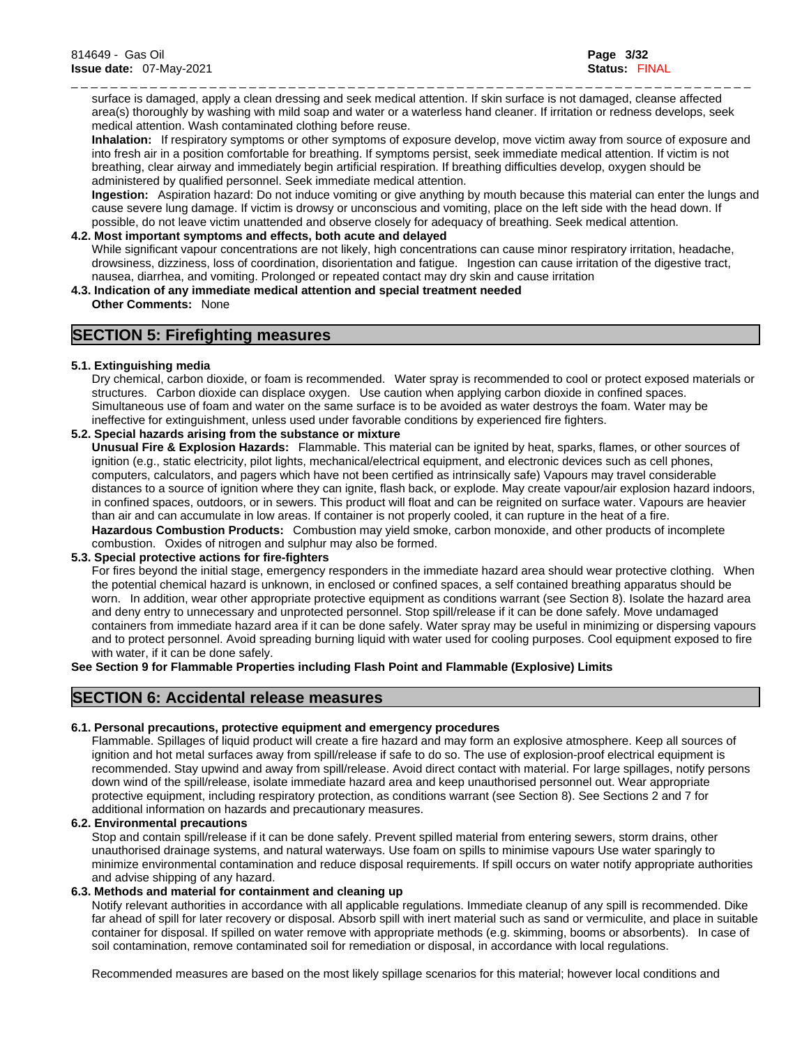\_ \_ \_ \_ \_ \_ \_ \_ \_ \_ \_ \_ \_ \_ \_ \_ \_ \_ \_ \_ \_ \_ \_ \_ \_ \_ \_ \_ \_ \_ \_ \_ \_ \_ \_ \_ \_ \_ \_ \_ \_ \_ \_ \_ \_ \_ \_ \_ \_ \_ \_ \_ \_ \_ \_ \_ \_ \_ \_ \_ \_ \_ \_ \_ \_ \_ \_ \_ \_ surface is damaged, apply a clean dressing and seek medical attention. If skin surface is not damaged, cleanse affected area(s) thoroughly by washing with mild soap and water or a waterless hand cleaner. If irritation or redness develops, seek medical attention. Wash contaminated clothing before reuse.

**Inhalation:** If respiratory symptoms or other symptoms of exposure develop, move victim away from source of exposure and into fresh air in a position comfortable for breathing. If symptoms persist, seek immediate medical attention. If victim is not breathing, clear airway and immediately begin artificial respiration. If breathing difficulties develop, oxygen should be administered by qualified personnel. Seek immediate medical attention.

**Ingestion:** Aspiration hazard: Do not induce vomiting or give anything by mouth because this material can enter the lungs and cause severe lung damage. If victim is drowsy or unconscious and vomiting, place on the left side with the head down. If possible, do not leave victim unattended and observe closely for adequacy of breathing. Seek medical attention.

#### **4.2. Most important symptoms and effects, both acute and delayed**

While significant vapour concentrations are not likely, high concentrations can cause minor respiratory irritation, headache, drowsiness, dizziness, loss of coordination, disorientation and fatigue. Ingestion can cause irritation of the digestive tract, nausea, diarrhea, and vomiting. Prolonged or repeated contact may dry skin and cause irritation

**4.3. Indication of any immediate medical attention and special treatment needed**

**Other Comments:** None

### **SECTION 5: Firefighting measures**

### **5.1. Extinguishing media**

Dry chemical, carbon dioxide, or foam is recommended. Water spray is recommended to cool or protect exposed materials or structures. Carbon dioxide can displace oxygen. Use caution when applying carbon dioxide in confined spaces. Simultaneous use of foam and water on the same surface isto be avoided as water destroys the foam. Water may be ineffective for extinguishment, unless used under favorable conditions by experienced fire fighters.

### **5.2. Special hazards arising from the substance or mixture**

**Unusual Fire & Explosion Hazards:** Flammable. This material can be ignited by heat, sparks, flames, or other sources of ignition (e.g., static electricity, pilot lights, mechanical/electrical equipment, and electronic devices such as cell phones, computers, calculators, and pagers which have not been certified as intrinsically safe) Vapours may travel considerable distances to a source of ignition where they can ignite, flash back, or explode. May create vapour/air explosion hazard indoors, in confined spaces, outdoors, or in sewers. This product will float and can be reignited on surface water. Vapours are heavier than air and can accumulate in low areas. If container is not properly cooled, it can rupture in the heat of a fire. **Hazardous Combustion Products:** Combustion may yield smoke, carbon monoxide, and other products of incomplete combustion. Oxides of nitrogen and sulphur may also be formed.

### **5.3. Special protective actions for fire-fighters**

For fires beyond the initial stage, emergency responders in the immediate hazard area should wear protective clothing. When the potential chemical hazard is unknown, in enclosed or confined spaces, a self contained breathing apparatus should be worn. In addition, wear other appropriate protective equipment as conditions warrant (see Section 8). Isolate the hazard area and deny entry to unnecessary and unprotected personnel. Stop spill/release if it can be done safely. Move undamaged containers from immediate hazard area if it can be done safely. Water spray may be useful in minimizing or dispersing vapours and to protect personnel. Avoid spreading burning liquid with water used for cooling purposes. Cool equipment exposed to fire with water, if it can be done safely.

### **See Section 9 for Flammable Properties including Flash Point and Flammable (Explosive) Limits**

### **SECTION 6: Accidental release measures**

### **6.1. Personal precautions, protective equipment and emergency procedures**

Flammable. Spillages of liquid product will create a fire hazard and may form an explosive atmosphere. Keep all sources of ignition and hot metal surfaces away from spill/release if safe to do so. The use of explosion-proof electrical equipment is recommended. Stay upwind and away from spill/release. Avoid direct contact with material. For large spillages, notify persons down wind of the spill/release, isolate immediate hazard area and keep unauthorised personnel out. Wear appropriate protective equipment, including respiratory protection, as conditions warrant (see Section 8). See Sections 2 and 7 for additional information on hazards and precautionary measures.

### **6.2. Environmental precautions**

Stop and contain spill/release if it can be done safely. Prevent spilled material from entering sewers, storm drains, other unauthorised drainage systems, and natural waterways. Use foam on spills to minimise vapours Use water sparingly to minimize environmental contamination and reduce disposal requirements. If spill occurs on water notify appropriate authorities and advise shipping of any hazard.

### **6.3. Methods and material for containment and cleaning up**

Notify relevant authorities in accordance with all applicable regulations. Immediate cleanup of any spill is recommended. Dike far ahead of spill for later recovery or disposal. Absorb spill with inert material such as sand or vermiculite, and place in suitable container for disposal. If spilled on water remove with appropriate methods (e.g. skimming, booms or absorbents). In case of soil contamination, remove contaminated soil for remediation or disposal, in accordance with local regulations.

Recommended measures are based on the most likely spillage scenarios for this material; however local conditions and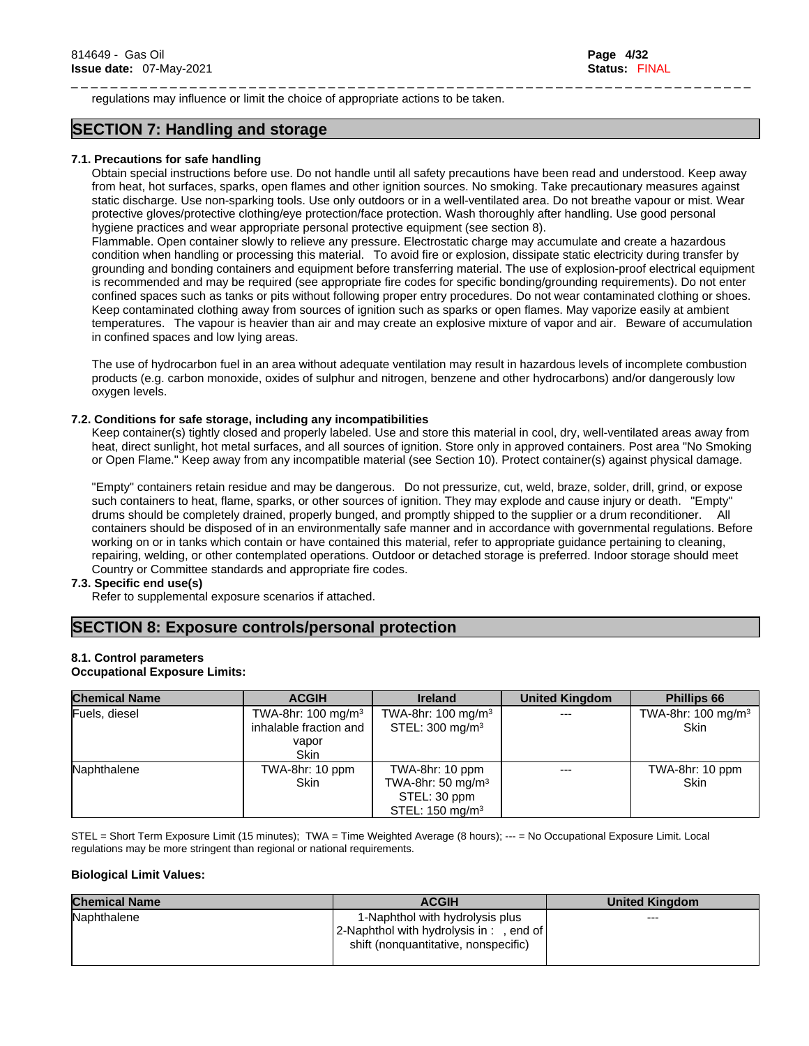\_ \_ \_ \_ \_ \_ \_ \_ \_ \_ \_ \_ \_ \_ \_ \_ \_ \_ \_ \_ \_ \_ \_ \_ \_ \_ \_ \_ \_ \_ \_ \_ \_ \_ \_ \_ \_ \_ \_ \_ \_ \_ \_ \_ \_ \_ \_ \_ \_ \_ \_ \_ \_ \_ \_ \_ \_ \_ \_ \_ \_ \_ \_ \_ \_ \_ \_ \_ \_ regulations may influence or limit the choice of appropriate actions to be taken.

### **SECTION 7: Handling and storage**

### **7.1. Precautions for safe handling**

Obtain special instructions before use. Do not handle until all safety precautions have been read and understood. Keep away from heat, hot surfaces, sparks, open flames and other ignition sources. No smoking. Take precautionary measures against static discharge. Use non-sparking tools. Use only outdoors or in a well-ventilated area. Do not breathe vapour or mist. Wear protective gloves/protective clothing/eye protection/face protection. Wash thoroughly after handling. Use good personal hygiene practices and wear appropriate personal protective equipment (see section 8).

Flammable. Open container slowly to relieve any pressure. Electrostatic charge may accumulate and create a hazardous condition when handling or processing this material. To avoid fire or explosion, dissipate static electricity during transfer by grounding and bonding containers and equipment before transferring material. The use of explosion-proof electrical equipment is recommended and may be required (see appropriate fire codes for specific bonding/grounding requirements). Do not enter confined spaces such as tanks or pits without following proper entry procedures. Do not wear contaminated clothing or shoes. Keep contaminated clothing away from sources of ignition such as sparks or open flames. May vaporize easily at ambient temperatures. The vapour is heavier than air and may create an explosive mixture of vapor and air. Beware of accumulation in confined spaces and low lying areas.

The use of hydrocarbon fuel in an area without adequate ventilation may result in hazardous levels of incomplete combustion products (e.g. carbon monoxide, oxides of sulphur and nitrogen, benzene and other hydrocarbons) and/or dangerously low oxygen levels.

### **7.2. Conditions for safe storage, including any incompatibilities**

Keep container(s) tightly closed and properly labeled. Use and store this material in cool, dry, well-ventilated areas away from heat, direct sunlight, hot metal surfaces, and all sources of ignition. Store only in approved containers. Post area "No Smoking" or Open Flame." Keep away from any incompatible material(see Section 10). Protect container(s) against physical damage.

"Empty" containers retain residue and may be dangerous. Do not pressurize, cut, weld, braze, solder, drill, grind, or expose such containers to heat, flame, sparks, or other sources of ignition. They may explode and cause injury or death. "Empty" drums should be completely drained, properly bunged, and promptly shipped to the supplier or a drum reconditioner. All containers should be disposed of in an environmentally safe manner and in accordance with governmental regulations. Before working on or in tanks which contain or have contained this material, refer to appropriate guidance pertaining to cleaning, repairing, welding, or other contemplated operations. Outdoor or detached storage is preferred. Indoor storage should meet Country or Committee standards and appropriate fire codes.

### **7.3. Specific end use(s)**

Refer to supplemental exposure scenarios if attached.

### **SECTION 8: Exposure controls/personal protection**

### **8.1. Control parameters**

#### **Occupational Exposure Limits:**

| <b>Chemical Name</b> | <b>ACGIH</b>                                            | <b>Ireland</b>                | <b>United Kingdom</b> | <b>Phillips 66</b>                           |
|----------------------|---------------------------------------------------------|-------------------------------|-----------------------|----------------------------------------------|
| Fuels, diesel        | TWA-8hr: $100 \text{ mg/m}^3$<br>inhalable fraction and | TWA-8hr: $100 \text{ mg/m}^3$ | $---$                 | TWA-8hr: $100 \text{ mg/m}^3$<br><b>Skin</b> |
|                      |                                                         | STEL: $300 \text{ mg/m}^3$    |                       |                                              |
|                      | vapor                                                   |                               |                       |                                              |
|                      | <b>Skin</b>                                             |                               |                       |                                              |
| Naphthalene          | TWA-8hr: 10 ppm                                         | TWA-8hr: 10 ppm               | $---$                 | TWA-8hr: 10 ppm                              |
|                      | <b>Skin</b>                                             | TWA-8hr: 50 mg/m $3$          |                       | Skin                                         |
|                      |                                                         | STEL: 30 ppm                  |                       |                                              |
|                      |                                                         | STEL: $150 \text{ mg/m}^3$    |                       |                                              |

STEL = Short Term Exposure Limit (15 minutes); TWA = Time Weighted Average (8 hours); --- = No Occupational Exposure Limit. Local regulations may be more stringent than regional or national requirements.

### **Biological Limit Values:**

| <b>Chemical Name</b> | <b>ACGIH</b>                             | <b>United Kingdom</b> |
|----------------------|------------------------------------------|-----------------------|
| Naphthalene          | l-Naphthol with hydrolysis plus          | $--$                  |
|                      | 2-Naphthol with hydrolysis in : , end of |                       |
|                      | shift (nonquantitative, nonspecific)     |                       |
|                      |                                          |                       |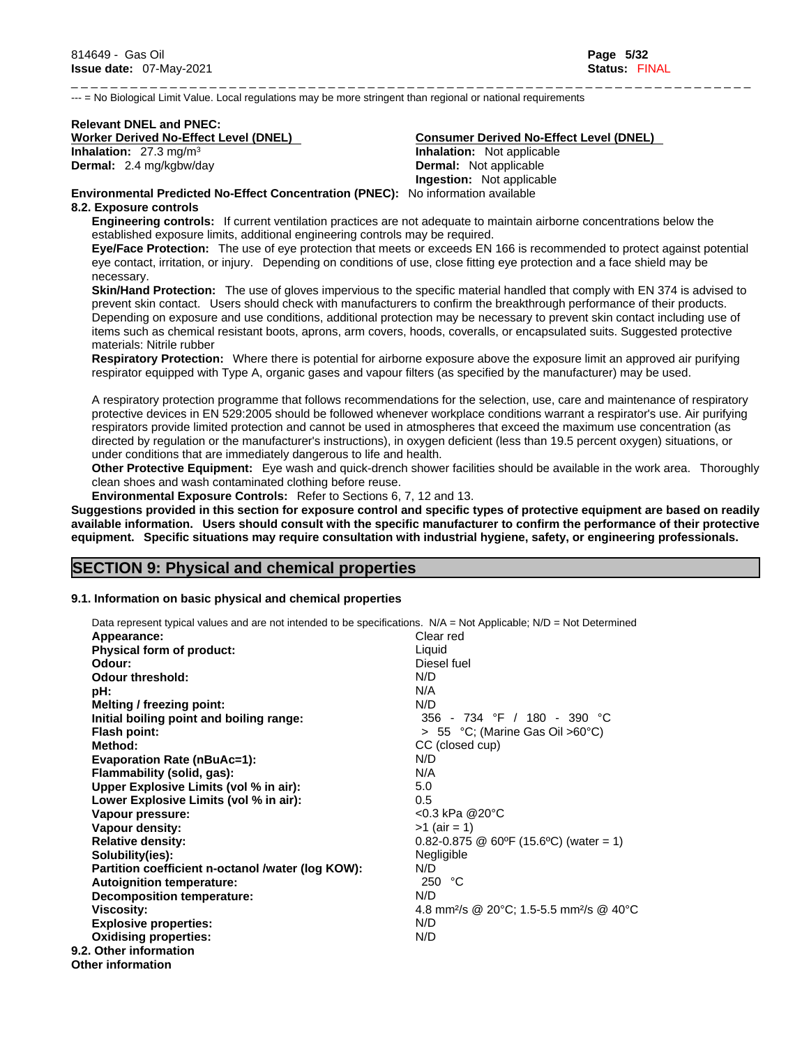\_ \_ \_ \_ \_ \_ \_ \_ \_ \_ \_ \_ \_ \_ \_ \_ \_ \_ \_ \_ \_ \_ \_ \_ \_ \_ \_ \_ \_ \_ \_ \_ \_ \_ \_ \_ \_ \_ \_ \_ \_ \_ \_ \_ \_ \_ \_ \_ \_ \_ \_ \_ \_ \_ \_ \_ \_ \_ \_ \_ \_ \_ \_ \_ \_ \_ \_ \_ \_ --- = No Biological Limit Value. Local regulations may be more stringent than regional or national requirements

# **Relevant DNEL and PNEC: Inhalation:** 27.3 mg/m<sup>3</sup>

## **Worker Derived No-Effect Level (DNEL) Consumer Derived No-Effect Level (DNEL) Inhalation:** Not applicable **Dermal:** 2.4 mg/kgbw/day **Dermal:** Not applicable **Ingestion:** Not applicable

**Environmental Predicted No-Effect Concentration (PNEC):** No information available

### **8.2. Exposure controls**

**Engineering controls:** If current ventilation practices are not adequate to maintain airborne concentrations below the established exposure limits, additional engineering controls may be required.

**Eye/Face Protection:** The use of eye protection that meets or exceeds EN 166 isrecommended to protect against potential eye contact, irritation, or injury. Depending on conditions of use, close fitting eye protection and a face shield may be necessary.

**Skin/Hand Protection:** The use of gloves impervious to the specific material handled that comply with EN 374 is advised to prevent skin contact. Users should check with manufacturers to confirm the breakthrough performance of their products. Depending on exposure and use conditions, additional protection may be necessary to prevent skin contact including use of items such as chemical resistant boots, aprons, arm covers, hoods, coveralls, or encapsulated suits. Suggested protective materials: Nitrile rubber

**Respiratory Protection:** Where there is potential for airborne exposure above the exposure limit an approved air purifying respirator equipped with Type A, organic gases and vapour filters (as specified by the manufacturer) may be used.

A respiratory protection programme that follows recommendations for the selection, use, care and maintenance of respiratory protective devices in EN 529:2005 should be followed whenever workplace conditions warrant a respirator's use. Air purifying respirators provide limited protection and cannot be used in atmospheres that exceed the maximum use concentration (as directed by regulation or the manufacturer's instructions), in oxygen deficient (less than 19.5 percent oxygen) situations, or under conditions that are immediately dangerous to life and health.

**Other Protective Equipment:** Eye wash and quick-drench shower facilities should be available in the work area. Thoroughly clean shoes and wash contaminated clothing before reuse.

**Environmental Exposure Controls:** Refer to Sections 6, 7, 12 and 13.

Suggestions provided in this section for exposure control and specific types of protective equipment are based on readily available information. Users should consult with the specific manufacturer to confirm the performance of their protective **equipment. Specific situations may require consultation with industrial hygiene, safety, or engineering professionals.**

### **SECTION 9: Physical and chemical properties**

### **9.1. Information on basic physical and chemical properties**

| Data represent typical values and are not intended to be specifications. $N/A = Not$ Applicable; $N/D = Not$ Determined |                                                                  |
|-------------------------------------------------------------------------------------------------------------------------|------------------------------------------------------------------|
| Appearance:                                                                                                             | Clear red                                                        |
| Physical form of product:                                                                                               | Liquid                                                           |
| Odour:                                                                                                                  | Diesel fuel                                                      |
| <b>Odour threshold:</b>                                                                                                 | N/D                                                              |
| pH:                                                                                                                     | N/A                                                              |
| Melting / freezing point:                                                                                               | N/D                                                              |
| Initial boiling point and boiling range:                                                                                | 356 - 734 °F / 180 - 390 °C                                      |
| <b>Flash point:</b>                                                                                                     | $> 55$ °C; (Marine Gas Oil $>60^{\circ}$ C)                      |
| Method:                                                                                                                 | CC (closed cup)                                                  |
| <b>Evaporation Rate (nBuAc=1):</b>                                                                                      | N/D                                                              |
| Flammability (solid, gas):                                                                                              | N/A                                                              |
| Upper Explosive Limits (vol % in air):                                                                                  | 5.0                                                              |
| Lower Explosive Limits (vol % in air):                                                                                  | 0.5                                                              |
| Vapour pressure:                                                                                                        | <0.3 kPa @20°C                                                   |
| Vapour density:                                                                                                         | $>1$ (air = 1)                                                   |
| <b>Relative density:</b>                                                                                                | $0.82 - 0.875$ @ 60°F (15.6°C) (water = 1)                       |
| Solubility(ies):                                                                                                        | Negligible                                                       |
| Partition coefficient n-octanol /water (log KOW):                                                                       | N/D                                                              |
| <b>Autoignition temperature:</b>                                                                                        | 250 °C                                                           |
| Decomposition temperature:                                                                                              | N/D                                                              |
| Viscosity:                                                                                                              | 4.8 mm <sup>2</sup> /s @ 20°C; 1.5-5.5 mm <sup>2</sup> /s @ 40°C |
| <b>Explosive properties:</b>                                                                                            | N/D                                                              |
| <b>Oxidising properties:</b>                                                                                            | N/D                                                              |
| 9.2. Other information                                                                                                  |                                                                  |
| Other information                                                                                                       |                                                                  |
|                                                                                                                         |                                                                  |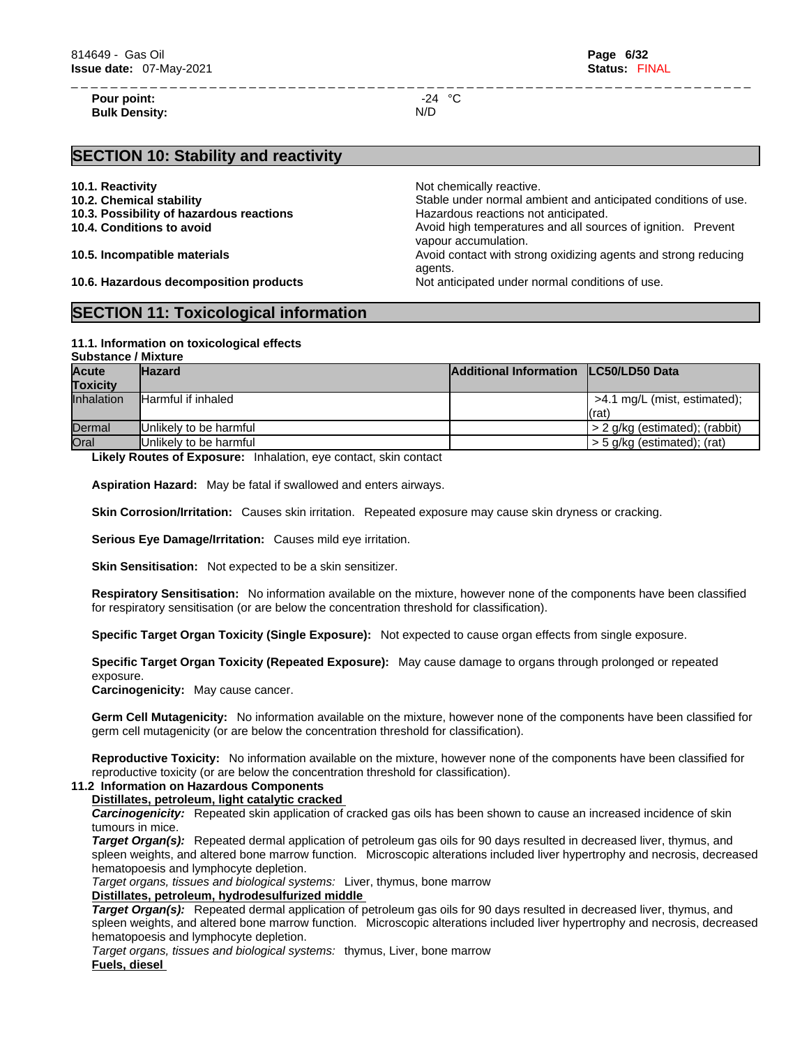**Pour point:**  $-24 \text{ °C}$ **Bulk Density:** N/D

\_ \_ \_ \_ \_ \_ \_ \_ \_ \_ \_ \_ \_ \_ \_ \_ \_ \_ \_ \_ \_ \_ \_ \_ \_ \_ \_ \_ \_ \_ \_ \_ \_ \_ \_ \_ \_ \_ \_ \_ \_ \_ \_ \_ \_ \_ \_ \_ \_ \_ \_ \_ \_ \_ \_ \_ \_ \_ \_ \_ \_ \_ \_ \_ \_ \_ \_ \_ \_

### **SECTION 10: Stability and reactivity**

- 
- 
- 
- 

**10.1. Reactivity 10.1. Reactivity 10.1. Reactive. 10.2. Chemical stability** Stable under normal ambient and anticipated conditions of use. **10.3. Possibility of hazardous reactions example 10.3. Possibility of hazardous** reactions not anticipated. **10.4. Conditions to avoid Avoid high temperatures and all sources of ignition. Prevent** vapour accumulation. **10.5. Incompatible materials and incompatible materials** Avoid contact with strong oxidizing agents and strong reducing agents. **10.6. Hazardous decomposition products** Not anticipated under normal conditions of use.

### **SECTION 11: Toxicological information**

#### **11.1. Information on toxicologicaleffects Substance / Mixture**

| <b>Acute</b><br><b>Toxicity</b> | <b>Hazard</b>                                                              | Additional Information LC50/LD50 Data |                                            |
|---------------------------------|----------------------------------------------------------------------------|---------------------------------------|--------------------------------------------|
| <b>Inhalation</b>               | <b>Harmful if inhaled</b>                                                  |                                       | >4.1 mg/L (mist, estimated);<br>l(rat)     |
| Dermal                          | <b>IUnlikely to be harmful</b>                                             |                                       | $\frac{1}{2}$ 2 g/kg (estimated); (rabbit) |
| Oral                            | Unlikely to be harmful                                                     |                                       | l > 5 g/kg (estimated); (rat)              |
|                                 | 1 Marti <b>: D</b> randra of Empressor, Tabeledon and condent alde condent |                                       |                                            |

**Likely Routes of Exposure:** Inhalation, eye contact, skin contact

**Aspiration Hazard:** May be fatal if swallowed and enters airways.

**Skin Corrosion/Irritation:** Causes skin irritation. Repeated exposure may cause skin dryness or cracking.

**Serious Eye Damage/Irritation:** Causes mild eye irritation.

**Skin Sensitisation:** Not expected to be a skin sensitizer.

**Respiratory Sensitisation:** No information available on the mixture, however none of the components have been classified for respiratory sensitisation (or are below the concentration threshold for classification).

**Specific Target Organ Toxicity (Single Exposure):** Not expected to cause organ effects from single exposure.

**Specific Target Organ Toxicity (Repeated Exposure):** May cause damage to organs through prolonged or repeated exposure.

**Carcinogenicity:** May cause cancer.

**Germ Cell Mutagenicity:** No information available on the mixture, however none of the components have been classified for germ cell mutagenicity (or are below the concentration threshold for classification).

**Reproductive Toxicity:** No information available on the mixture, however none of the components have been classified for reproductive toxicity (or are below the concentration threshold for classification).

### **11.2 Information on Hazardous Components**

#### **Distillates, petroleum, light catalytic cracked**

*Carcinogenicity:* Repeated skin application of cracked gas oils has been shown to cause an increased incidence of skin tumours in mice.

*Target Organ(s):* Repeated dermal application of petroleum gas oils for 90 days resulted in decreased liver, thymus, and spleen weights, and altered bone marrow function. Microscopic alterations included liver hypertrophy and necrosis, decreased hematopoesis and lymphocyte depletion.

*Target organs, tissues and biological systems:* Liver, thymus, bone marrow

### **Distillates, petroleum, hydrodesulfurized middle**

*Target Organ(s):* Repeated dermal application of petroleum gas oils for 90 days resulted in decreased liver, thymus, and spleen weights, and altered bone marrow function. Microscopic alterations included liver hypertrophy and necrosis, decreased hematopoesis and lymphocyte depletion.

*Target organs, tissues and biological systems:* thymus, Liver, bone marrow

**Fuels, diesel**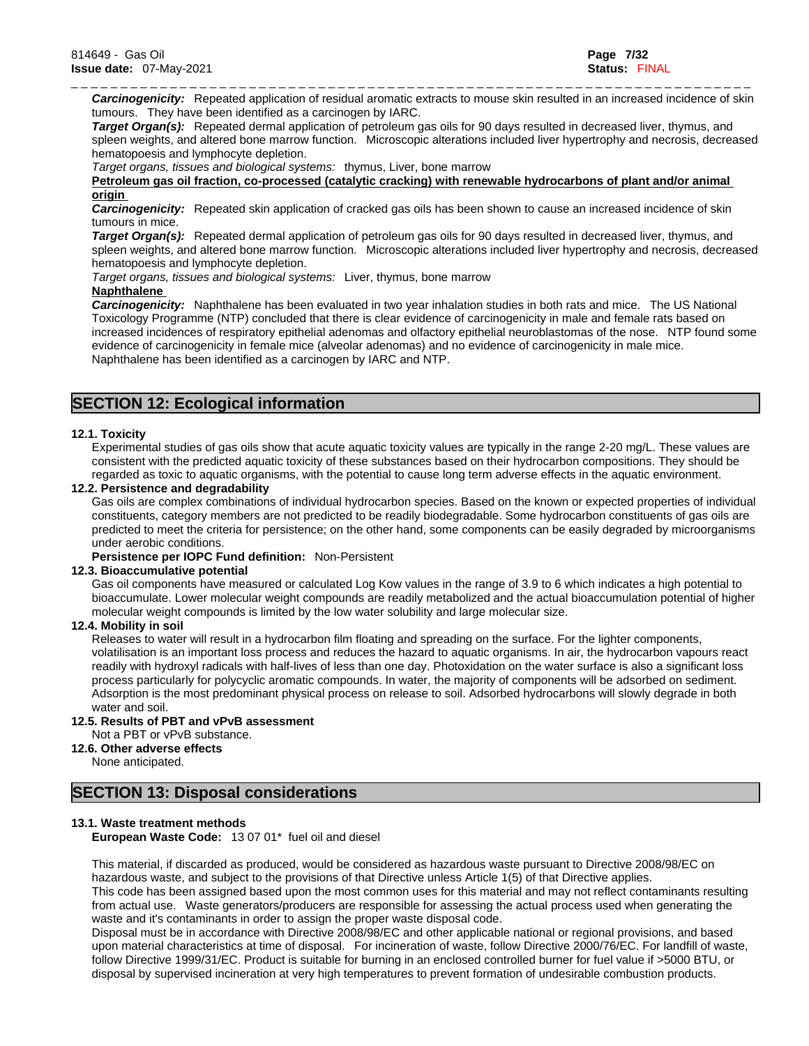\_ \_ \_ \_ \_ \_ \_ \_ \_ \_ \_ \_ \_ \_ \_ \_ \_ \_ \_ \_ \_ \_ \_ \_ \_ \_ \_ \_ \_ \_ \_ \_ \_ \_ \_ \_ \_ \_ \_ \_ \_ \_ \_ \_ \_ \_ \_ \_ \_ \_ \_ \_ \_ \_ \_ \_ \_ \_ \_ \_ \_ \_ \_ \_ \_ \_ \_ \_ \_ *Carcinogenicity:* Repeated application of residual aromatic extracts to mouse skin resulted in an increased incidence of skin tumours. They have been identified as a carcinogen by IARC.

*Target Organ(s):* Repeated dermal application of petroleum gas oils for 90 days resulted in decreased liver, thymus, and spleen weights, and altered bone marrow function. Microscopic alterations included liver hypertrophy and necrosis, decreased hematopoesis and lymphocyte depletion.

*Target organs, tissues and biological systems:* thymus, Liver, bone marrow

### **Petroleum gas oil fraction, co-processed (catalytic cracking) with renewable hydrocarbons of plant and/or animal origin**

*Carcinogenicity:* Repeated skin application of cracked gas oils has been shown to cause an increased incidence of skin tumours in mice.

*Target Organ(s):* Repeated dermal application of petroleum gas oils for 90 days resulted in decreased liver, thymus, and spleen weights, and altered bone marrow function. Microscopic alterations included liver hypertrophy and necrosis, decreased hematopoesis and lymphocyte depletion.

*Target organs, tissues and biological systems:* Liver, thymus, bone marrow

### **Naphthalene**

*Carcinogenicity:* Naphthalene has been evaluated in two year inhalation studies in both rats and mice. The US National Toxicology Programme (NTP) concluded that there is clear evidence of carcinogenicity in male and female rats based on increased incidences of respiratory epithelial adenomas and olfactory epithelial neuroblastomas of the nose. NTP found some evidence of carcinogenicity in female mice (alveolar adenomas) and no evidence of carcinogenicity in male mice. Naphthalene has been identified as a carcinogen by IARC and NTP.

### **SECTION 12: Ecological information**

### **12.1. Toxicity**

Experimental studies of gas oils show that acute aquatic toxicity values are typically in the range 2-20 mg/L. These values are consistent with the predicted aquatic toxicity of these substances based on their hydrocarbon compositions. They should be regarded as toxic to aquatic organisms, with the potential to cause long term adverse effects in the aquatic environment.

#### **12.2. Persistence and degradability**

Gas oils are complex combinations of individual hydrocarbon species. Based on the known or expected properties of individual constituents, category members are not predicted to be readily biodegradable. Some hydrocarbon constituents of gas oils are predicted to meet the criteria for persistence; on the other hand, some components can be easily degraded by microorganisms under aerobic conditions.

**Persistence per IOPC Fund definition:** Non-Persistent

#### **12.3. Bioaccumulative potential**

Gas oil components have measured or calculated Log Kow values in the range of 3.9 to 6 which indicates a high potential to bioaccumulate. Lower molecular weight compounds are readily metabolized and the actual bioaccumulation potential of higher molecular weight compounds is limited by the low water solubility and large molecular size.

### **12.4. Mobility in soil**

Releases to water will result in a hydrocarbon film floating and spreading on the surface. For the lighter components, volatilisation is an important loss process and reduces the hazard to aquatic organisms. In air, the hydrocarbon vapours react readily with hydroxyl radicals with half-lives of less than one day. Photoxidation on the water surface is also a significant loss process particularly for polycyclic aromatic compounds. In water, the majority of components will be adsorbed on sediment. Adsorption is the most predominant physical process on release to soil. Adsorbed hydrocarbons will slowly degrade in both water and soil.

#### **12.5. Results of PBT and vPvB assessment**

Not a PBT or vPvB substance.

#### **12.6. Other adverse effects**

None anticipated.

### **SECTION 13: Disposal considerations**

#### **13.1. Waste treatment methods**

**European Waste Code:** 13 07 01\* fuel oil and diesel

This material, if discarded as produced, would be considered as hazardous waste pursuant to Directive 2008/98/EC on hazardous waste, and subject to the provisions of that Directive unless Article 1(5) of that Directive applies.

This code has been assigned based upon the most common uses for this material and may not reflect contaminants resulting from actual use. Waste generators/producers are responsible for assessing the actual process used when generating the waste and it's contaminants in order to assign the proper waste disposal code.

Disposal must be in accordance with Directive 2008/98/EC and other applicable national or regional provisions, and based upon material characteristics at time of disposal. For incineration of waste, follow Directive 2000/76/EC. For landfill of waste, follow Directive 1999/31/EC. Product is suitable for burning in an enclosed controlled burner for fuel value if >5000 BTU, or disposal by supervised incineration at very high temperatures to prevent formation of undesirable combustion products.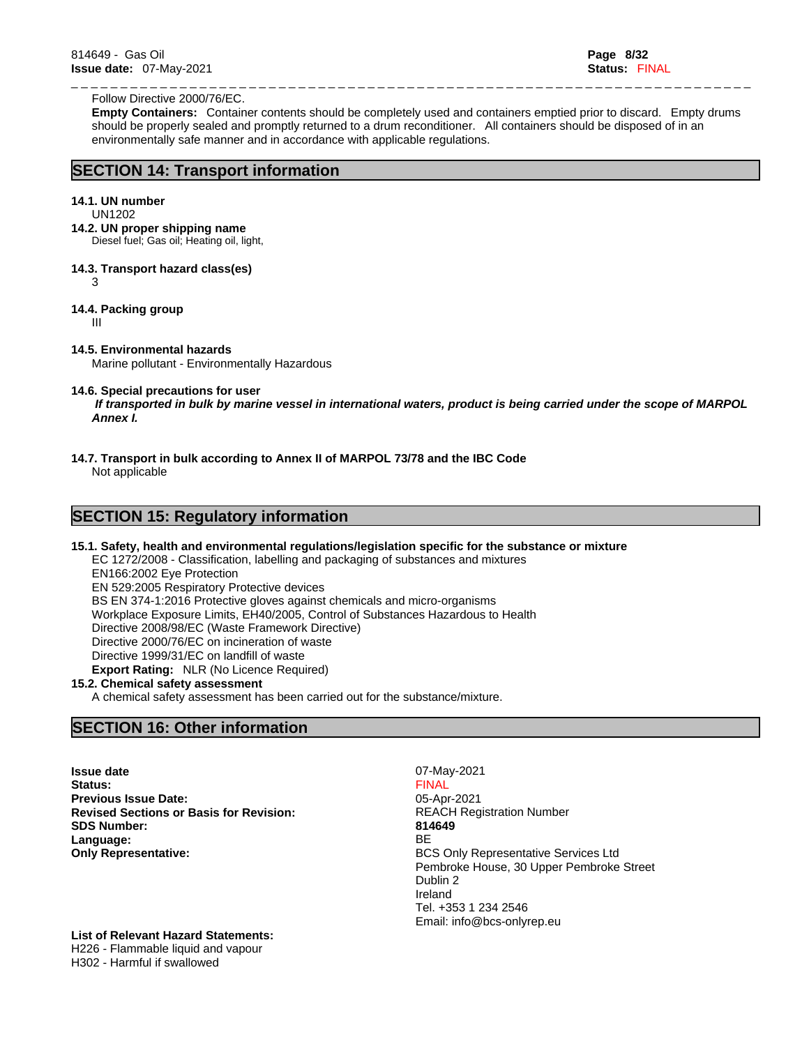#### Follow Directive 2000/76/EC.

**Empty Containers:** Container contents should be completely used and containers emptied prior to discard. Empty drums should be properly sealed and promptly returned to a drum reconditioner. All containers should be disposed of in an environmentally safe manner and in accordance with applicable regulations.

\_ \_ \_ \_ \_ \_ \_ \_ \_ \_ \_ \_ \_ \_ \_ \_ \_ \_ \_ \_ \_ \_ \_ \_ \_ \_ \_ \_ \_ \_ \_ \_ \_ \_ \_ \_ \_ \_ \_ \_ \_ \_ \_ \_ \_ \_ \_ \_ \_ \_ \_ \_ \_ \_ \_ \_ \_ \_ \_ \_ \_ \_ \_ \_ \_ \_ \_ \_ \_

### **SECTION 14: Transport information**

### **14.1. UN number**

- UN1202
- **14.2. UN proper shipping name**

Diesel fuel; Gas oil; Heating oil, light,

**14.3. Transport hazard class(es)** 

3

### **14.4. Packing group**

III

### **14.5. Environmental hazards**

Marine pollutant - Environmentally Hazardous

#### **14.6. Special precautions for user**

 *If transported in bulk by marine vessel in international waters, product is being carried under the scope of MARPOL Annex I.*

**14.7. Transport in bulk according to Annex II of MARPOL 73/78 and the IBC Code**

Not applicable

### **SECTION 15: Regulatory information**

### **15.1. Safety, health and environmental regulations/legislation specific for the substance or mixture**

EC 1272/2008 - Classification, labelling and packaging of substances and mixtures EN166:2002 Eye Protection EN 529:2005 Respiratory Protective devices BS EN 374-1:2016 Protective gloves against chemicals and micro-organisms Workplace Exposure Limits, EH40/2005, Control of Substances Hazardous to Health Directive 2008/98/EC (Waste Framework Directive) Directive 2000/76/EC on incineration of waste Directive 1999/31/EC on landfill of waste **Export Rating:** NLR (No Licence Required)

### **15.2. Chemical safety assessment**

A chemical safety assessment has been carried out for the substance/mixture.

### **SECTION 16: Other information**

**Issue date** 07-May-2021 **Status:** FINAL **Previous Issue Date:** 05-Apr-2021 **Revised Sections or Basis for Revision:** REACH Registration Number **SDS Number: 814649 Language:** BE **Only Representative: BCS Only Representative: BCS Only Representative Services Ltd** 

Pembroke House, 30 Upper Pembroke Street Dublin 2 Ireland Tel. +353 1 234 2546 Email: info@bcs-onlyrep.eu

### **List of Relevant Hazard Statements:**

H226 - Flammable liquid and vapour H302 - Harmful if swallowed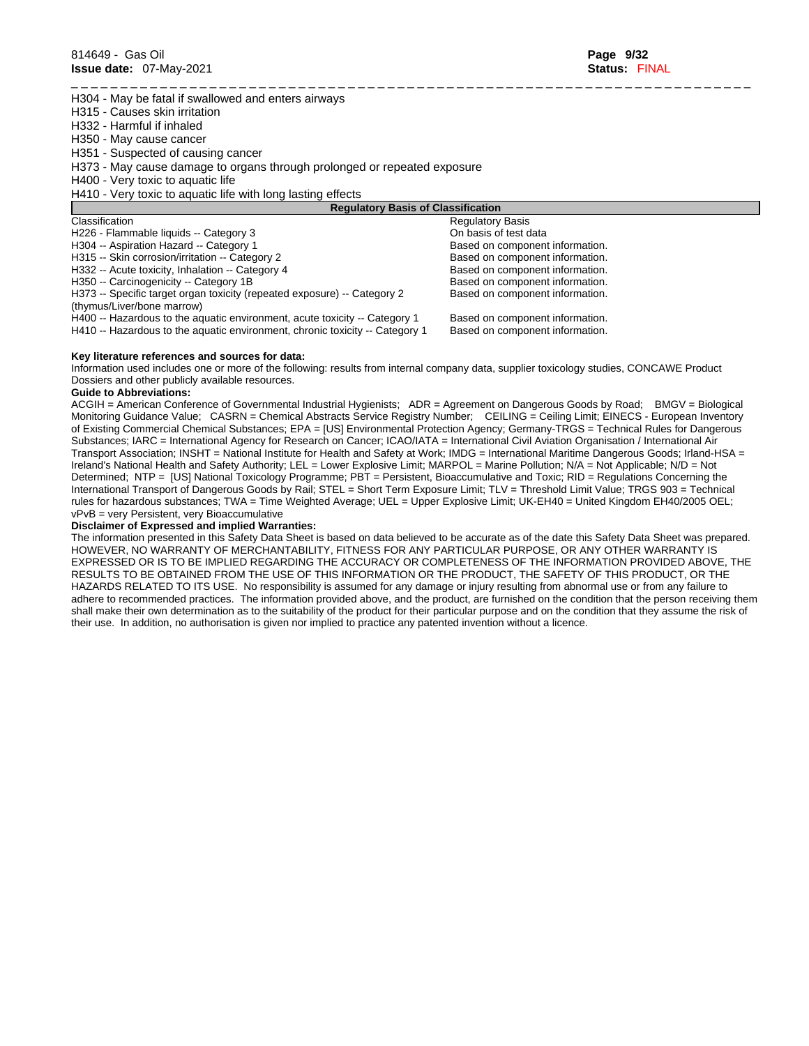H304 - May be fatal if swallowed and enters airways

- H315 Causes skin irritation
- H332 Harmful if inhaled
- H350 May cause cancer

H351 - Suspected of causing cancer

- H373 May cause damage to organs through prolonged or repeated exposure
- H400 Very toxic to aquatic life
- H410 Very toxic to aquatic life with long lasting effects

| <b>Requlatory Basis of Classification</b>                                    |                                 |
|------------------------------------------------------------------------------|---------------------------------|
| Classification                                                               | <b>Regulatory Basis</b>         |
| H226 - Flammable liquids -- Category 3                                       | On basis of test data           |
| H304 -- Aspiration Hazard -- Category 1                                      | Based on component information. |
| H315 -- Skin corrosion/irritation -- Category 2                              | Based on component information. |
| H332 -- Acute toxicity, Inhalation -- Category 4                             | Based on component information. |
| H350 -- Carcinogenicity -- Category 1B                                       | Based on component information. |
| H373 -- Specific target organ toxicity (repeated exposure) -- Category 2     | Based on component information. |
| (thymus/Liver/bone marrow)                                                   |                                 |
| H400 -- Hazardous to the aquatic environment, acute toxicity -- Category 1   | Based on component information. |
| H410 -- Hazardous to the aquatic environment, chronic toxicity -- Category 1 | Based on component information. |
|                                                                              |                                 |

#### **Key literature references and sources for data:**

Information used includes one or more of the following: results from internal company data, supplier toxicology studies, CONCAWE Product Dossiers and other publicly available resources.

\_ \_ \_ \_ \_ \_ \_ \_ \_ \_ \_ \_ \_ \_ \_ \_ \_ \_ \_ \_ \_ \_ \_ \_ \_ \_ \_ \_ \_ \_ \_ \_ \_ \_ \_ \_ \_ \_ \_ \_ \_ \_ \_ \_ \_ \_ \_ \_ \_ \_ \_ \_ \_ \_ \_ \_ \_ \_ \_ \_ \_ \_ \_ \_ \_ \_ \_ \_ \_

#### **Guide to Abbreviations:**

ACGIH = American Conference of Governmental Industrial Hygienists; ADR = Agreement on Dangerous Goods by Road; BMGV = Biological Monitoring Guidance Value; CASRN = Chemical Abstracts Service Registry Number; CEILING = Ceiling Limit; EINECS - European Inventory of Existing Commercial Chemical Substances; EPA = [US] Environmental Protection Agency; Germany-TRGS = Technical Rules for Dangerous Substances; IARC = International Agency for Research on Cancer; ICAO/IATA = International Civil Aviation Organisation / International Air Transport Association; INSHT = National Institute for Health and Safety at Work; IMDG = International Maritime Dangerous Goods; Irland-HSA = Ireland's National Health and Safety Authority; LEL = Lower Explosive Limit; MARPOL = Marine Pollution; N/A = Not Applicable; N/D = Not Determined; NTP = [US] National Toxicology Programme; PBT = Persistent, Bioaccumulative and Toxic; RID = Regulations Concerning the International Transport of Dangerous Goods by Rail; STEL = Short Term Exposure Limit; TLV = Threshold Limit Value; TRGS 903 = Technical rules for hazardous substances; TWA = Time Weighted Average; UEL = Upper Explosive Limit; UK-EH40 = United Kingdom EH40/2005 OEL; vPvB = very Persistent, very Bioaccumulative

#### **Disclaimer of Expressed and implied Warranties:**

The information presented in this Safety Data Sheet is based on data believed to be accurate as of the date this Safety Data Sheet was prepared. HOWEVER, NO WARRANTY OF MERCHANTABILITY, FITNESS FOR ANY PARTICULAR PURPOSE, OR ANY OTHER WARRANTY IS EXPRESSED OR IS TO BE IMPLIED REGARDING THE ACCURACY OR COMPLETENESS OF THE INFORMATION PROVIDED ABOVE, THE RESULTS TO BE OBTAINED FROM THE USE OF THIS INFORMATION OR THE PRODUCT, THE SAFETY OF THIS PRODUCT, OR THE HAZARDS RELATED TO ITS USE. No responsibility is assumed for any damage or injury resulting from abnormal use or from any failure to adhere to recommended practices. The information provided above, and the product, are furnished on the condition that the person receiving them shall make their own determination as to the suitability of the product for their particular purpose and on the condition that they assume the risk of their use. In addition, no authorisation is given nor implied to practice any patented invention without a licence.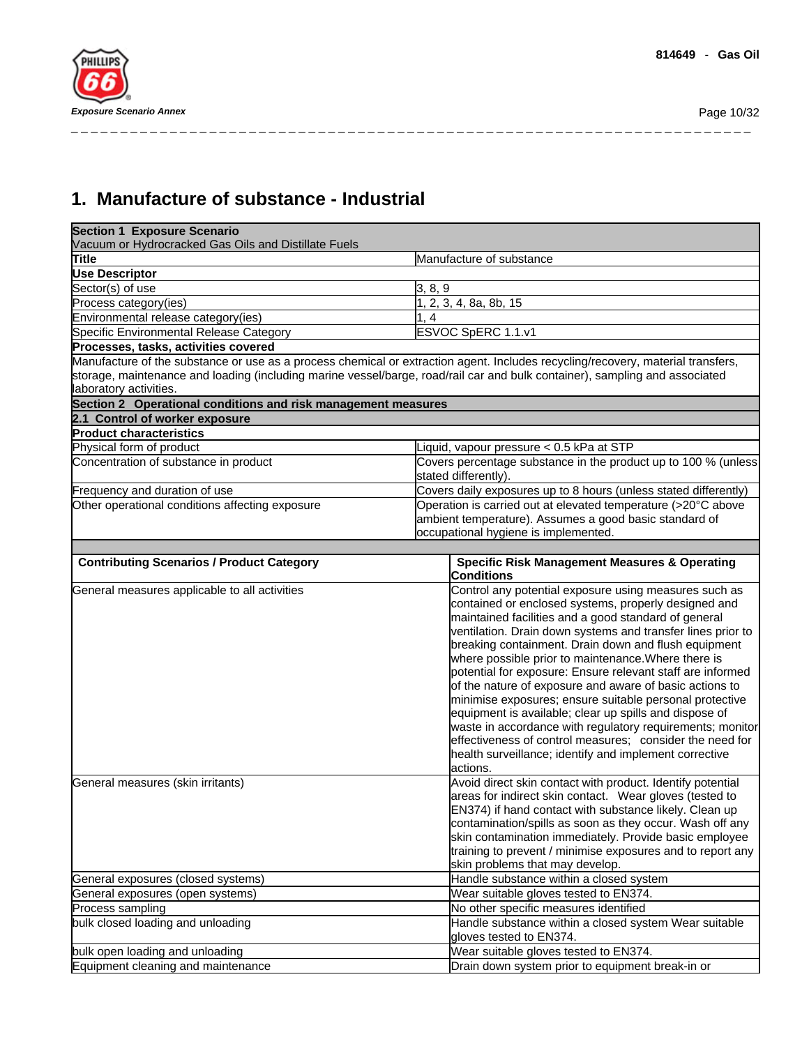**1. Manufacture of substance - Industrial** 

| <b>Section 1 Exposure Scenario</b><br>Vacuum or Hydrocracked Gas Oils and Distillate Fuels |                                                                                                                                                                                                                                                                                                                                                                                                                                                                                                                                                                                                                                                                                                                                                                                                                                                                                                                                                                                                                                                                                                                                                                         |
|--------------------------------------------------------------------------------------------|-------------------------------------------------------------------------------------------------------------------------------------------------------------------------------------------------------------------------------------------------------------------------------------------------------------------------------------------------------------------------------------------------------------------------------------------------------------------------------------------------------------------------------------------------------------------------------------------------------------------------------------------------------------------------------------------------------------------------------------------------------------------------------------------------------------------------------------------------------------------------------------------------------------------------------------------------------------------------------------------------------------------------------------------------------------------------------------------------------------------------------------------------------------------------|
| Title                                                                                      | Manufacture of substance                                                                                                                                                                                                                                                                                                                                                                                                                                                                                                                                                                                                                                                                                                                                                                                                                                                                                                                                                                                                                                                                                                                                                |
| <b>Use Descriptor</b>                                                                      |                                                                                                                                                                                                                                                                                                                                                                                                                                                                                                                                                                                                                                                                                                                                                                                                                                                                                                                                                                                                                                                                                                                                                                         |
| Sector(s) of use                                                                           | 3, 8, 9                                                                                                                                                                                                                                                                                                                                                                                                                                                                                                                                                                                                                                                                                                                                                                                                                                                                                                                                                                                                                                                                                                                                                                 |
| Process category(ies)                                                                      | 1, 2, 3, 4, 8a, 8b, 15                                                                                                                                                                                                                                                                                                                                                                                                                                                                                                                                                                                                                                                                                                                                                                                                                                                                                                                                                                                                                                                                                                                                                  |
| Environmental release category(ies)                                                        | 1.4                                                                                                                                                                                                                                                                                                                                                                                                                                                                                                                                                                                                                                                                                                                                                                                                                                                                                                                                                                                                                                                                                                                                                                     |
| Specific Environmental Release Category                                                    | ESVOC SpERC 1.1.v1                                                                                                                                                                                                                                                                                                                                                                                                                                                                                                                                                                                                                                                                                                                                                                                                                                                                                                                                                                                                                                                                                                                                                      |
| Processes, tasks, activities covered                                                       |                                                                                                                                                                                                                                                                                                                                                                                                                                                                                                                                                                                                                                                                                                                                                                                                                                                                                                                                                                                                                                                                                                                                                                         |
|                                                                                            | Manufacture of the substance or use as a process chemical or extraction agent. Includes recycling/recovery, material transfers,                                                                                                                                                                                                                                                                                                                                                                                                                                                                                                                                                                                                                                                                                                                                                                                                                                                                                                                                                                                                                                         |
|                                                                                            | storage, maintenance and loading (including marine vessel/barge, road/rail car and bulk container), sampling and associated                                                                                                                                                                                                                                                                                                                                                                                                                                                                                                                                                                                                                                                                                                                                                                                                                                                                                                                                                                                                                                             |
| laboratory activities.                                                                     |                                                                                                                                                                                                                                                                                                                                                                                                                                                                                                                                                                                                                                                                                                                                                                                                                                                                                                                                                                                                                                                                                                                                                                         |
| Section 2 Operational conditions and risk management measures                              |                                                                                                                                                                                                                                                                                                                                                                                                                                                                                                                                                                                                                                                                                                                                                                                                                                                                                                                                                                                                                                                                                                                                                                         |
| 2.1 Control of worker exposure                                                             |                                                                                                                                                                                                                                                                                                                                                                                                                                                                                                                                                                                                                                                                                                                                                                                                                                                                                                                                                                                                                                                                                                                                                                         |
| <b>Product characteristics</b>                                                             |                                                                                                                                                                                                                                                                                                                                                                                                                                                                                                                                                                                                                                                                                                                                                                                                                                                                                                                                                                                                                                                                                                                                                                         |
| Physical form of product                                                                   | Liquid, vapour pressure < 0.5 kPa at STP                                                                                                                                                                                                                                                                                                                                                                                                                                                                                                                                                                                                                                                                                                                                                                                                                                                                                                                                                                                                                                                                                                                                |
| Concentration of substance in product                                                      | Covers percentage substance in the product up to 100 % (unless<br>stated differently).                                                                                                                                                                                                                                                                                                                                                                                                                                                                                                                                                                                                                                                                                                                                                                                                                                                                                                                                                                                                                                                                                  |
| Frequency and duration of use                                                              | Covers daily exposures up to 8 hours (unless stated differently)                                                                                                                                                                                                                                                                                                                                                                                                                                                                                                                                                                                                                                                                                                                                                                                                                                                                                                                                                                                                                                                                                                        |
| Other operational conditions affecting exposure                                            | Operation is carried out at elevated temperature (>20°C above                                                                                                                                                                                                                                                                                                                                                                                                                                                                                                                                                                                                                                                                                                                                                                                                                                                                                                                                                                                                                                                                                                           |
|                                                                                            | ambient temperature). Assumes a good basic standard of                                                                                                                                                                                                                                                                                                                                                                                                                                                                                                                                                                                                                                                                                                                                                                                                                                                                                                                                                                                                                                                                                                                  |
|                                                                                            | occupational hygiene is implemented.                                                                                                                                                                                                                                                                                                                                                                                                                                                                                                                                                                                                                                                                                                                                                                                                                                                                                                                                                                                                                                                                                                                                    |
|                                                                                            |                                                                                                                                                                                                                                                                                                                                                                                                                                                                                                                                                                                                                                                                                                                                                                                                                                                                                                                                                                                                                                                                                                                                                                         |
| <b>Contributing Scenarios / Product Category</b>                                           | <b>Specific Risk Management Measures &amp; Operating</b><br><b>Conditions</b>                                                                                                                                                                                                                                                                                                                                                                                                                                                                                                                                                                                                                                                                                                                                                                                                                                                                                                                                                                                                                                                                                           |
| General measures applicable to all activities<br>General measures (skin irritants)         | Control any potential exposure using measures such as<br>contained or enclosed systems, properly designed and<br>maintained facilities and a good standard of general<br>ventilation. Drain down systems and transfer lines prior to<br>breaking containment. Drain down and flush equipment<br>where possible prior to maintenance. Where there is<br>potential for exposure: Ensure relevant staff are informed<br>of the nature of exposure and aware of basic actions to<br>minimise exposures; ensure suitable personal protective<br>equipment is available; clear up spills and dispose of<br>waste in accordance with regulatory requirements; monitor<br>effectiveness of control measures; consider the need for<br>health surveillance; identify and implement corrective<br>actions.<br>Avoid direct skin contact with product. Identify potential<br>areas for indirect skin contact. Wear gloves (tested to<br>EN374) if hand contact with substance likely. Clean up<br>contamination/spills as soon as they occur. Wash off any<br>skin contamination immediately. Provide basic employee<br>training to prevent / minimise exposures and to report any |
|                                                                                            | skin problems that may develop.                                                                                                                                                                                                                                                                                                                                                                                                                                                                                                                                                                                                                                                                                                                                                                                                                                                                                                                                                                                                                                                                                                                                         |
| General exposures (closed systems)                                                         | Handle substance within a closed system                                                                                                                                                                                                                                                                                                                                                                                                                                                                                                                                                                                                                                                                                                                                                                                                                                                                                                                                                                                                                                                                                                                                 |
| General exposures (open systems)                                                           | Wear suitable gloves tested to EN374.                                                                                                                                                                                                                                                                                                                                                                                                                                                                                                                                                                                                                                                                                                                                                                                                                                                                                                                                                                                                                                                                                                                                   |
| Process sampling                                                                           | No other specific measures identified                                                                                                                                                                                                                                                                                                                                                                                                                                                                                                                                                                                                                                                                                                                                                                                                                                                                                                                                                                                                                                                                                                                                   |
| bulk closed loading and unloading                                                          | Handle substance within a closed system Wear suitable                                                                                                                                                                                                                                                                                                                                                                                                                                                                                                                                                                                                                                                                                                                                                                                                                                                                                                                                                                                                                                                                                                                   |
|                                                                                            | gloves tested to EN374.                                                                                                                                                                                                                                                                                                                                                                                                                                                                                                                                                                                                                                                                                                                                                                                                                                                                                                                                                                                                                                                                                                                                                 |
| bulk open loading and unloading                                                            | Wear suitable gloves tested to EN374.                                                                                                                                                                                                                                                                                                                                                                                                                                                                                                                                                                                                                                                                                                                                                                                                                                                                                                                                                                                                                                                                                                                                   |
| Equipment cleaning and maintenance                                                         | Drain down system prior to equipment break-in or                                                                                                                                                                                                                                                                                                                                                                                                                                                                                                                                                                                                                                                                                                                                                                                                                                                                                                                                                                                                                                                                                                                        |
|                                                                                            |                                                                                                                                                                                                                                                                                                                                                                                                                                                                                                                                                                                                                                                                                                                                                                                                                                                                                                                                                                                                                                                                                                                                                                         |

\_ \_ \_ \_ \_ \_ \_ \_ \_ \_ \_ \_ \_ \_ \_ \_ \_ \_ \_ \_ \_ \_ \_ \_ \_ \_ \_ \_ \_ \_ \_ \_ \_ \_ \_ \_ \_ \_ \_ \_ \_ \_ \_ \_ \_ \_ \_ \_ \_ \_ \_ \_ \_ \_ \_ \_ \_ \_ \_ \_ \_ \_ \_ \_ \_ \_ \_ \_ \_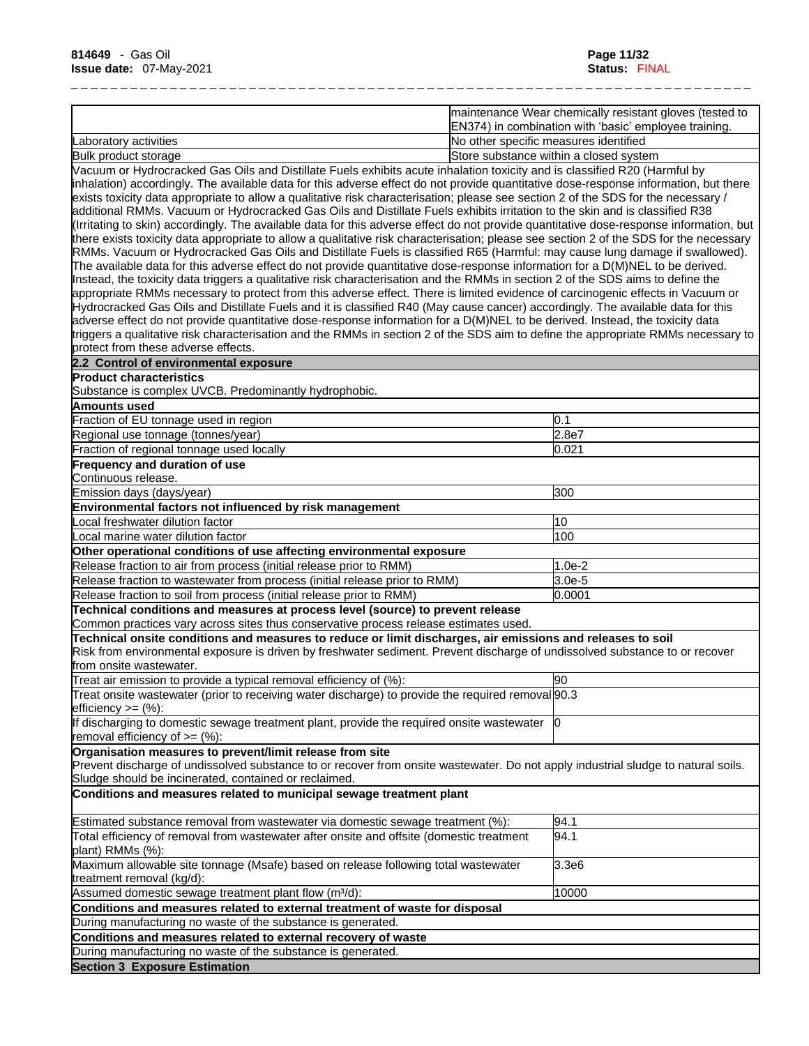|                       | maintenance Wear chemically resistant gloves (tested to<br>EN374) in combination with 'basic' employee training. |
|-----------------------|------------------------------------------------------------------------------------------------------------------|
| Laboratory activities | INo other specific measures identified                                                                           |
| Bulk product storage  | Store substance within a closed system                                                                           |

Vacuum or Hydrocracked Gas Oils and Distillate Fuels exhibits acute inhalation toxicity and is classified R20 (Harmful by inhalation) accordingly. The available data for this adverse effect do not provide quantitative dose-response information, but there exists toxicity data appropriate to allow a qualitative risk characterisation; please see section 2 of the SDS for the necessary / additional RMMs. Vacuum or Hydrocracked Gas Oils and Distillate Fuels exhibits irritation to the skin and is classified R38 (Irritating to skin) accordingly. The available data for this adverse effect do not provide quantitative dose-response information, but there exists toxicity data appropriate to allow a qualitative risk characterisation; please see section 2 of the SDS for the necessary RMMs. Vacuum or Hydrocracked Gas Oils and Distillate Fuels is classified R65 (Harmful: may cause lung damage if swallowed). The available data for this adverse effect do not provide quantitative dose-response information for a D(M)NEL to be derived. Instead, the toxicity data triggers a qualitative risk characterisation and the RMMs in section 2 of the SDS aims to define the appropriate RMMs necessary to protect from this adverse effect. There is limited evidence of carcinogenic effects in Vacuum or Hydrocracked Gas Oils and Distillate Fuels and it is classified R40 (May cause cancer) accordingly. The available data for this adverse effect do not provide quantitative dose-response information for a D(M)NEL to be derived. Instead, the toxicity data triggers a qualitative risk characterisation and the RMMs in section 2 of the SDS aim to define the appropriate RMMs necessary to protect from these adverse effects.

| 2.2 Control of environmental exposure                                                                                             |          |
|-----------------------------------------------------------------------------------------------------------------------------------|----------|
| <b>Product characteristics</b>                                                                                                    |          |
| Substance is complex UVCB. Predominantly hydrophobic.                                                                             |          |
| Amounts used                                                                                                                      |          |
| Fraction of EU tonnage used in region                                                                                             | 0.1      |
| Regional use tonnage (tonnes/year)                                                                                                | 2.8e7    |
| Fraction of regional tonnage used locally                                                                                         | 0.021    |
| <b>Frequency and duration of use</b>                                                                                              |          |
| lContinuous release.                                                                                                              |          |
| Emission days (days/year)                                                                                                         | 300      |
| Environmental factors not influenced by risk management                                                                           |          |
| ocal freshwater dilution factor                                                                                                   | 10       |
| Local marine water dilution factor                                                                                                | 100      |
| Other operational conditions of use affecting environmental exposure                                                              |          |
| Release fraction to air from process (initial release prior to RMM)                                                               | $1.0e-2$ |
| Release fraction to wastewater from process (initial release prior to RMM)                                                        | $3.0e-5$ |
| Release fraction to soil from process (initial release prior to RMM)                                                              | 0.0001   |
| Technical conditions and measures at process level (source) to prevent release                                                    |          |
| Common practices vary across sites thus conservative process release estimates used.                                              |          |
| Technical onsite conditions and measures to reduce or limit discharges, air emissions and releases to soil                        |          |
| Risk from environmental exposure is driven by freshwater sediment. Prevent discharge of undissolved substance to or recover       |          |
| from onsite wastewater.                                                                                                           |          |
| Treat air emission to provide a typical removal efficiency of (%):                                                                | 90       |
| Treat onsite wastewater (prior to receiving water discharge) to provide the required removal 90.3                                 |          |
| efficiency $>=$ (%):                                                                                                              |          |
| If discharging to domestic sewage treatment plant, provide the required onsite wastewater<br>removal efficiency of $\geq=(\%)$ :  | Ю        |
| Organisation measures to prevent/limit release from site                                                                          |          |
| Prevent discharge of undissolved substance to or recover from onsite wastewater. Do not apply industrial sludge to natural soils. |          |
| Sludge should be incinerated, contained or reclaimed.                                                                             |          |
| Conditions and measures related to municipal sewage treatment plant                                                               |          |
| Estimated substance removal from wastewater via domestic sewage treatment (%):                                                    | 94.1     |
| Total efficiency of removal from wastewater after onsite and offsite (domestic treatment<br>plant) RMMs (%):                      | 94.1     |
| Maximum allowable site tonnage (Msafe) based on release following total wastewater                                                | 3.3e6    |

treatment removal (kg/d): Assumed domestic sewage treatment plant flow (m<sup>3</sup>/d): 10000 10000

**Conditions and measures related to external treatment of waste for disposal** During manufacturing no waste of the substance is generated. **Conditions and measures related to external recovery of waste**

During manufacturing no waste of the substance is generated.

**Section 3 Exposure Estimation**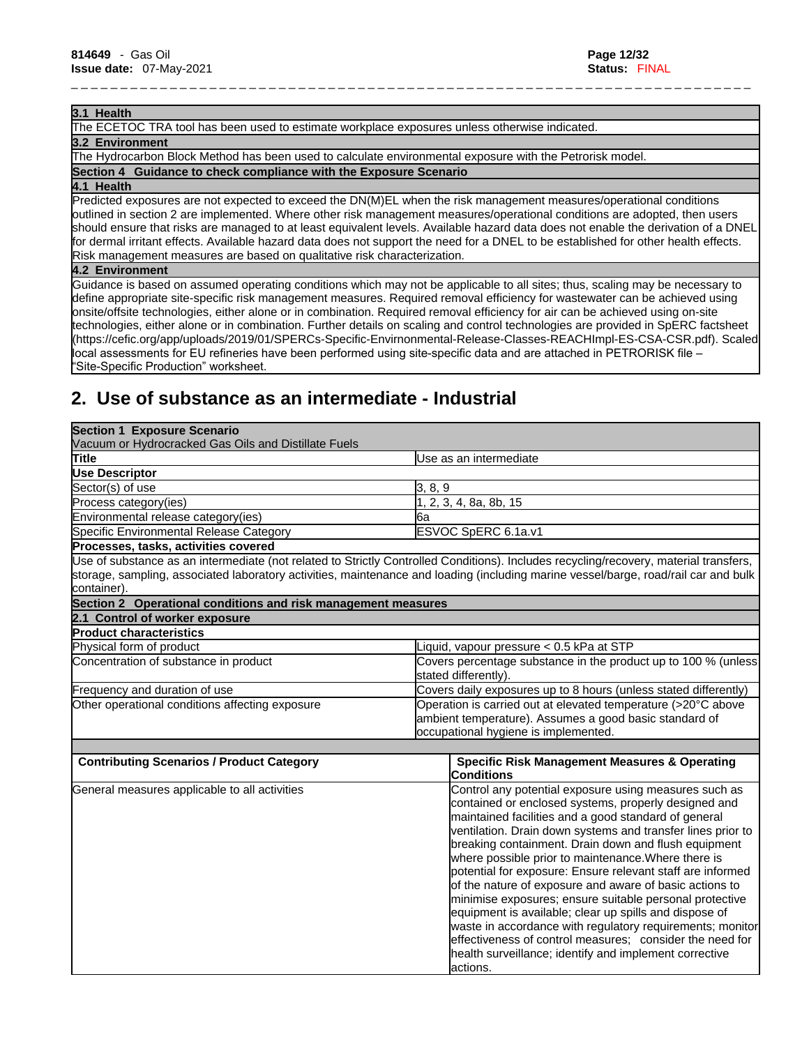#### **3.1 Health**

The ECETOC TRA tool has been used to estimate workplace exposures unless otherwise indicated.

### **3.2 Environment**

The Hydrocarbon Block Method has been used to calculate environmental exposure with the Petrorisk model.

**Section 4 Guidance to check compliance with the Exposure Scenario**

#### **4.1 Health**

Predicted exposures are not expected to exceed the DN(M)EL when the risk management measures/operational conditions outlined in section 2 are implemented. Where other risk management measures/operational conditions are adopted, then users should ensure that risks are managed to at least equivalent levels. Available hazard data does not enable the derivation of a DNEL for dermal irritant effects. Available hazard data does not support the need for a DNEL to be established for other health effects. Risk management measures are based on qualitative risk characterization.

\_ \_ \_ \_ \_ \_ \_ \_ \_ \_ \_ \_ \_ \_ \_ \_ \_ \_ \_ \_ \_ \_ \_ \_ \_ \_ \_ \_ \_ \_ \_ \_ \_ \_ \_ \_ \_ \_ \_ \_ \_ \_ \_ \_ \_ \_ \_ \_ \_ \_ \_ \_ \_ \_ \_ \_ \_ \_ \_ \_ \_ \_ \_ \_ \_ \_ \_ \_ \_

#### **4.2 Environment**

Guidance is based on assumed operating conditions which may not be applicable to all sites; thus, scaling may be necessary to define appropriate site-specific risk management measures. Required removal efficiency for wastewater can be achieved using onsite/offsite technologies, either alone or in combination. Required removal efficiency for air can be achieved using on-site technologies, either alone or in combination. Further details on scaling and control technologies are provided in SpERC factsheet (https://cefic.org/app/uploads/2019/01/SPERCs-Specific-Envirnonmental-Release-Classes-REACHImpl-ES-CSA-CSR.pdf). Scaled local assessments for EU refineries have been performed using site-specific data and are attached in PETRORISK file – "Site-Specific Production" worksheet.

# **2. Use of substance as an intermediate - Industrial**

| <b>Section 1 Exposure Scenario</b><br>Vacuum or Hydrocracked Gas Oils and Distillate Fuels |                                                                                                                                                                                                                                                                                                                                                                                                                                                                                                                                                                                                                                                                                                                                                                                                   |  |
|--------------------------------------------------------------------------------------------|---------------------------------------------------------------------------------------------------------------------------------------------------------------------------------------------------------------------------------------------------------------------------------------------------------------------------------------------------------------------------------------------------------------------------------------------------------------------------------------------------------------------------------------------------------------------------------------------------------------------------------------------------------------------------------------------------------------------------------------------------------------------------------------------------|--|
| Title                                                                                      | Use as an intermediate                                                                                                                                                                                                                                                                                                                                                                                                                                                                                                                                                                                                                                                                                                                                                                            |  |
| Use Descriptor                                                                             |                                                                                                                                                                                                                                                                                                                                                                                                                                                                                                                                                                                                                                                                                                                                                                                                   |  |
| Sector(s) of use                                                                           | 3, 8, 9                                                                                                                                                                                                                                                                                                                                                                                                                                                                                                                                                                                                                                                                                                                                                                                           |  |
| Process category (ies)                                                                     | 2, 3, 4, 8a, 8b, 15                                                                                                                                                                                                                                                                                                                                                                                                                                                                                                                                                                                                                                                                                                                                                                               |  |
| Environmental release category(ies)                                                        | 6a                                                                                                                                                                                                                                                                                                                                                                                                                                                                                                                                                                                                                                                                                                                                                                                                |  |
| Specific Environmental Release Category                                                    | ESVOC SpERC 6.1a.v1                                                                                                                                                                                                                                                                                                                                                                                                                                                                                                                                                                                                                                                                                                                                                                               |  |
| Processes, tasks, activities covered                                                       |                                                                                                                                                                                                                                                                                                                                                                                                                                                                                                                                                                                                                                                                                                                                                                                                   |  |
| container).                                                                                | Use of substance as an intermediate (not related to Strictly Controlled Conditions). Includes recycling/recovery, material transfers,<br>storage, sampling, associated laboratory activities, maintenance and loading (including marine vessel/barge, road/rail car and bulk                                                                                                                                                                                                                                                                                                                                                                                                                                                                                                                      |  |
| Section 2 Operational conditions and risk management measures                              |                                                                                                                                                                                                                                                                                                                                                                                                                                                                                                                                                                                                                                                                                                                                                                                                   |  |
| 2.1 Control of worker exposure                                                             |                                                                                                                                                                                                                                                                                                                                                                                                                                                                                                                                                                                                                                                                                                                                                                                                   |  |
| <b>Product characteristics</b>                                                             |                                                                                                                                                                                                                                                                                                                                                                                                                                                                                                                                                                                                                                                                                                                                                                                                   |  |
| Physical form of product                                                                   | iquid, vapour pressure < 0.5 kPa at STP                                                                                                                                                                                                                                                                                                                                                                                                                                                                                                                                                                                                                                                                                                                                                           |  |
| Concentration of substance in product                                                      | Covers percentage substance in the product up to 100 % (unless<br>stated differently).                                                                                                                                                                                                                                                                                                                                                                                                                                                                                                                                                                                                                                                                                                            |  |
| Frequency and duration of use                                                              | Covers daily exposures up to 8 hours (unless stated differently)                                                                                                                                                                                                                                                                                                                                                                                                                                                                                                                                                                                                                                                                                                                                  |  |
| Other operational conditions affecting exposure                                            | Operation is carried out at elevated temperature (>20°C above<br>ambient temperature). Assumes a good basic standard of<br>occupational hygiene is implemented.                                                                                                                                                                                                                                                                                                                                                                                                                                                                                                                                                                                                                                   |  |
| <b>Contributing Scenarios / Product Category</b>                                           | <b>Specific Risk Management Measures &amp; Operating</b><br><b>Conditions</b>                                                                                                                                                                                                                                                                                                                                                                                                                                                                                                                                                                                                                                                                                                                     |  |
| General measures applicable to all activities                                              | Control any potential exposure using measures such as<br>contained or enclosed systems, properly designed and<br>maintained facilities and a good standard of general<br>ventilation. Drain down systems and transfer lines prior to<br>breaking containment. Drain down and flush equipment<br>where possible prior to maintenance. Where there is<br>potential for exposure: Ensure relevant staff are informed<br>of the nature of exposure and aware of basic actions to<br>minimise exposures; ensure suitable personal protective<br>equipment is available; clear up spills and dispose of<br>waste in accordance with regulatory requirements; monitor<br>effectiveness of control measures; consider the need for<br>health surveillance; identify and implement corrective<br>lactions. |  |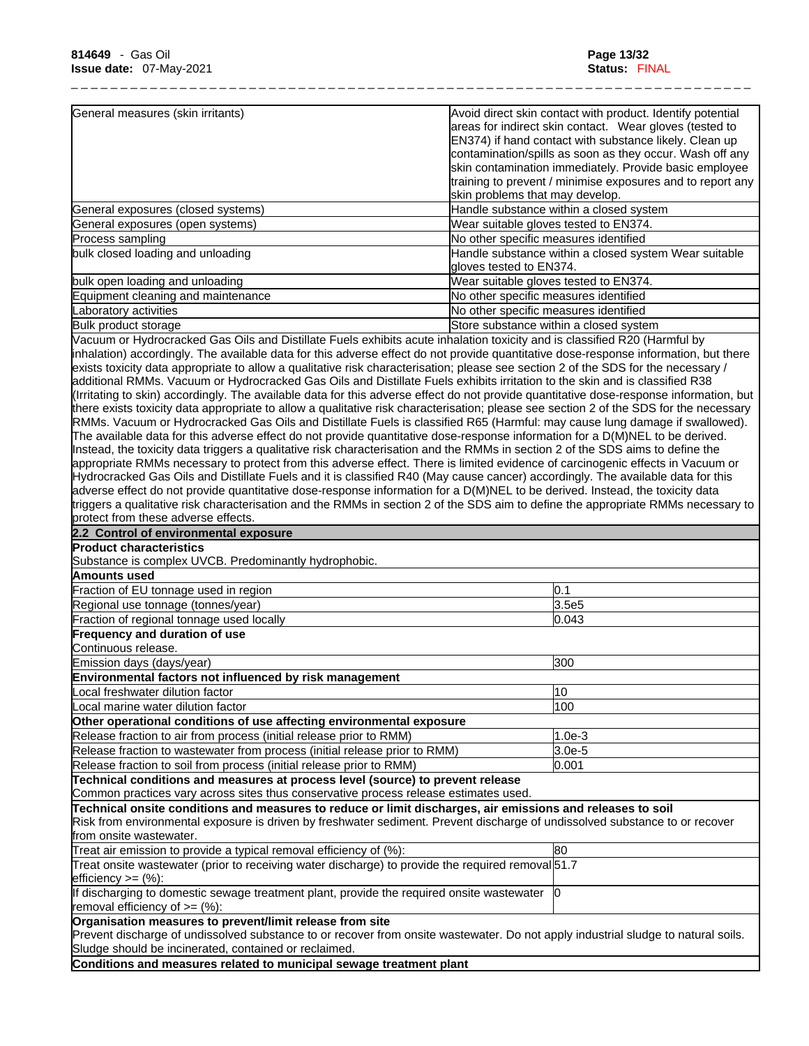| General measures (skin irritants)  | Avoid direct skin contact with product. Identify potential                       |
|------------------------------------|----------------------------------------------------------------------------------|
|                                    | areas for indirect skin contact. Wear gloves (tested to                          |
|                                    | EN374) if hand contact with substance likely. Clean up                           |
|                                    | contamination/spills as soon as they occur. Wash off any                         |
|                                    | skin contamination immediately. Provide basic employee                           |
|                                    | training to prevent / minimise exposures and to report any                       |
|                                    | skin problems that may develop.                                                  |
| General exposures (closed systems) | Handle substance within a closed system                                          |
| General exposures (open systems)   | Wear suitable gloves tested to EN374.                                            |
| Process sampling                   | No other specific measures identified                                            |
| bulk closed loading and unloading  | Handle substance within a closed system Wear suitable<br>gloves tested to EN374. |
| bulk open loading and unloading    | Wear suitable gloves tested to EN374.                                            |
| Equipment cleaning and maintenance | No other specific measures identified                                            |
| Laboratory activities              | No other specific measures identified                                            |
| Bulk product storage               | Store substance within a closed system                                           |
|                                    |                                                                                  |

Vacuum or Hydrocracked Gas Oils and Distillate Fuels exhibits acute inhalation toxicity and isclassified R20 (Harmful by inhalation) accordingly. The available data for this adverse effect do not provide quantitative dose-response information, but there exists toxicity data appropriate to allow a qualitative risk characterisation; please see section 2 of the SDS for the necessary / additional RMMs. Vacuum or Hydrocracked Gas Oils and Distillate Fuels exhibits irritation to the skin and is classified R38 (Irritating to skin) accordingly. The available data for this adverse effect do not provide quantitative dose-response information, but there exists toxicity data appropriate to allow a qualitative risk characterisation; please see section 2 of the SDS for the necessary RMMs. Vacuum or Hydrocracked Gas Oils and Distillate Fuels is classified R65 (Harmful: may cause lung damage if swallowed). The available data for this adverse effect do not provide quantitative dose-response information for a D(M)NEL to be derived. Instead, the toxicity data triggers a qualitative risk characterisation and the RMMs in section 2 of the SDS aims to define the appropriate RMMs necessary to protect from this adverse effect. There islimited evidence of carcinogenic effects in Vacuum or Hydrocracked Gas Oils and Distillate Fuels and it is classified R40 (May cause cancer) accordingly. The available data for this adverse effect do not provide quantitative dose-response information for a D(M)NEL to be derived. Instead, the toxicity data triggers a qualitative risk characterisation and the RMMs in section 2 of the SDS aim to define the appropriate RMMs necessary to protect from these adverse effects.

| 2.2 Control of environmental exposure                                                                                                                                                                                                                                |          |
|----------------------------------------------------------------------------------------------------------------------------------------------------------------------------------------------------------------------------------------------------------------------|----------|
| <b>Product characteristics</b>                                                                                                                                                                                                                                       |          |
| Substance is complex UVCB. Predominantly hydrophobic.                                                                                                                                                                                                                |          |
| Amounts used                                                                                                                                                                                                                                                         |          |
| Fraction of EU tonnage used in region                                                                                                                                                                                                                                | 0.1      |
| Regional use tonnage (tonnes/year)                                                                                                                                                                                                                                   | 3.5e5    |
| Fraction of regional tonnage used locally                                                                                                                                                                                                                            | 0.043    |
| Frequency and duration of use                                                                                                                                                                                                                                        |          |
| Continuous release.                                                                                                                                                                                                                                                  |          |
| Emission days (days/year)                                                                                                                                                                                                                                            | 300      |
| Environmental factors not influenced by risk management                                                                                                                                                                                                              |          |
| Local freshwater dilution factor                                                                                                                                                                                                                                     | 10       |
| Local marine water dilution factor                                                                                                                                                                                                                                   | 100      |
| Other operational conditions of use affecting environmental exposure                                                                                                                                                                                                 |          |
| Release fraction to air from process (initial release prior to RMM)                                                                                                                                                                                                  | $1.0e-3$ |
| Release fraction to wastewater from process (initial release prior to RMM)                                                                                                                                                                                           | $3.0e-5$ |
| Release fraction to soil from process (initial release prior to RMM)                                                                                                                                                                                                 | 0.001    |
| Technical conditions and measures at process level (source) to prevent release                                                                                                                                                                                       |          |
| Common practices vary across sites thus conservative process release estimates used.                                                                                                                                                                                 |          |
| Technical onsite conditions and measures to reduce or limit discharges, air emissions and releases to soil<br>Risk from environmental exposure is driven by freshwater sediment. Prevent discharge of undissolved substance to or recover<br>from onsite wastewater. |          |
| Treat air emission to provide a typical removal efficiency of $%$ :                                                                                                                                                                                                  | 80       |
| Treat onsite wastewater (prior to receiving water discharge) to provide the required removal 51.7<br>$lefticiency >= (%)$ :                                                                                                                                          |          |
| If discharging to domestic sewage treatment plant, provide the required onsite wastewater<br>removal efficiency of >= (%):                                                                                                                                           |          |
| Organisation measures to prevent/limit release from site<br>Prevent discharge of undissolved substance to or recover from onsite wastewater. Do not apply industrial sludge to natural soils.<br>Sludge should be incinerated, contained or reclaimed.               |          |
| Conditions and measures related to municipal sewage treatment plant                                                                                                                                                                                                  |          |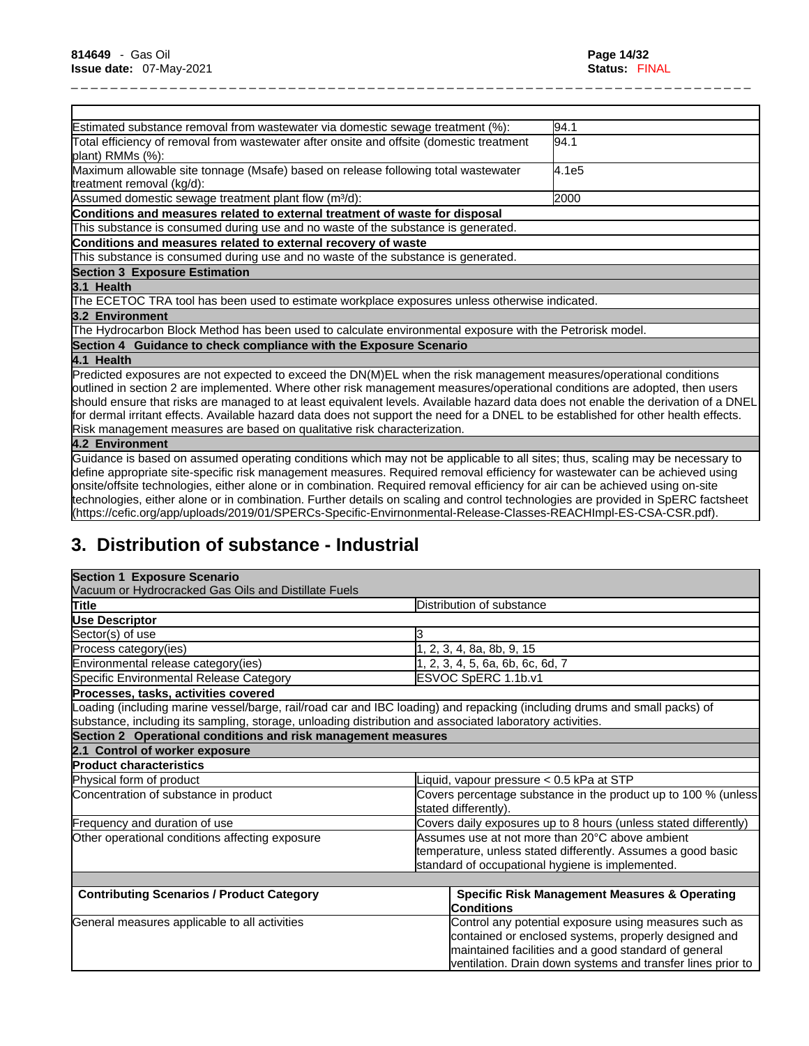| Estimated substance removal from wastewater via domestic sewage treatment (%):                                                                                                                                                                                                                                                                                                                                                                                                                                                                                                                                                                          | 94.1  |
|---------------------------------------------------------------------------------------------------------------------------------------------------------------------------------------------------------------------------------------------------------------------------------------------------------------------------------------------------------------------------------------------------------------------------------------------------------------------------------------------------------------------------------------------------------------------------------------------------------------------------------------------------------|-------|
| Total efficiency of removal from wastewater after onsite and offsite (domestic treatment<br>plant) RMMs (%):                                                                                                                                                                                                                                                                                                                                                                                                                                                                                                                                            | 94.1  |
| Maximum allowable site tonnage (Msafe) based on release following total wastewater<br>treatment removal (kg/d):                                                                                                                                                                                                                                                                                                                                                                                                                                                                                                                                         | 4.1e5 |
| Assumed domestic sewage treatment plant flow (m <sup>3</sup> /d):                                                                                                                                                                                                                                                                                                                                                                                                                                                                                                                                                                                       | 2000  |
| Conditions and measures related to external treatment of waste for disposal                                                                                                                                                                                                                                                                                                                                                                                                                                                                                                                                                                             |       |
| This substance is consumed during use and no waste of the substance is generated.                                                                                                                                                                                                                                                                                                                                                                                                                                                                                                                                                                       |       |
| Conditions and measures related to external recovery of waste                                                                                                                                                                                                                                                                                                                                                                                                                                                                                                                                                                                           |       |
| This substance is consumed during use and no waste of the substance is generated.                                                                                                                                                                                                                                                                                                                                                                                                                                                                                                                                                                       |       |
| <b>Section 3 Exposure Estimation</b>                                                                                                                                                                                                                                                                                                                                                                                                                                                                                                                                                                                                                    |       |
| 3.1 Health                                                                                                                                                                                                                                                                                                                                                                                                                                                                                                                                                                                                                                              |       |
| The ECETOC TRA tool has been used to estimate workplace exposures unless otherwise indicated.                                                                                                                                                                                                                                                                                                                                                                                                                                                                                                                                                           |       |
| 3.2 Environment                                                                                                                                                                                                                                                                                                                                                                                                                                                                                                                                                                                                                                         |       |
| The Hydrocarbon Block Method has been used to calculate environmental exposure with the Petrorisk model.                                                                                                                                                                                                                                                                                                                                                                                                                                                                                                                                                |       |
| Section 4 Guidance to check compliance with the Exposure Scenario                                                                                                                                                                                                                                                                                                                                                                                                                                                                                                                                                                                       |       |
| 4.1 Health                                                                                                                                                                                                                                                                                                                                                                                                                                                                                                                                                                                                                                              |       |
| Predicted exposures are not expected to exceed the DN(M)EL when the risk management measures/operational conditions<br>outlined in section 2 are implemented. Where other risk management measures/operational conditions are adopted, then users<br>should ensure that risks are managed to at least equivalent levels. Available hazard data does not enable the derivation of a DNEL<br>for dermal irritant effects. Available hazard data does not support the need for a DNEL to be established for other health effects.                                                                                                                          |       |
| Risk management measures are based on qualitative risk characterization.                                                                                                                                                                                                                                                                                                                                                                                                                                                                                                                                                                                |       |
| 4.2 Environment                                                                                                                                                                                                                                                                                                                                                                                                                                                                                                                                                                                                                                         |       |
| Guidance is based on assumed operating conditions which may not be applicable to all sites; thus, scaling may be necessary to<br>define appropriate site-specific risk management measures. Required removal efficiency for wastewater can be achieved using<br>onsite/offsite technologies, either alone or in combination. Required removal efficiency for air can be achieved using on-site<br>technologies, either alone or in combination. Further details on scaling and control technologies are provided in SpERC factsheet<br>(https://cefic.org/app/uploads/2019/01/SPERCs-Specific-Envirnonmental-Release-Classes-REACHImpl-ES-CSA-CSR.pdf). |       |
|                                                                                                                                                                                                                                                                                                                                                                                                                                                                                                                                                                                                                                                         |       |

# **3. Distribution of substance - Industrial**

| <b>Section 1 Exposure Scenario</b>                                                                       |                                                                                                                                                                                                                                      |  |
|----------------------------------------------------------------------------------------------------------|--------------------------------------------------------------------------------------------------------------------------------------------------------------------------------------------------------------------------------------|--|
| Vacuum or Hydrocracked Gas Oils and Distillate Fuels                                                     |                                                                                                                                                                                                                                      |  |
| Title                                                                                                    | Distribution of substance                                                                                                                                                                                                            |  |
| <b>Use Descriptor</b>                                                                                    |                                                                                                                                                                                                                                      |  |
| Sector(s) of use                                                                                         |                                                                                                                                                                                                                                      |  |
| Process category(ies)                                                                                    | 2, 3, 4, 8a, 8b, 9, 15                                                                                                                                                                                                               |  |
| Environmental release category(ies)                                                                      | 2, 3, 4, 5, 6a, 6b, 6c, 6d, 7                                                                                                                                                                                                        |  |
| Specific Environmental Release Category                                                                  | ESVOC SpERC 1.1b.v1                                                                                                                                                                                                                  |  |
| Processes, tasks, activities covered                                                                     |                                                                                                                                                                                                                                      |  |
|                                                                                                          | Loading (including marine vessel/barge, rail/road car and IBC loading) and repacking (including drums and small packs) of                                                                                                            |  |
| substance, including its sampling, storage, unloading distribution and associated laboratory activities. |                                                                                                                                                                                                                                      |  |
| Section 2 Operational conditions and risk management measures                                            |                                                                                                                                                                                                                                      |  |
| 2.1 Control of worker exposure                                                                           |                                                                                                                                                                                                                                      |  |
| <b>Product characteristics</b>                                                                           |                                                                                                                                                                                                                                      |  |
| Physical form of product                                                                                 | Liquid, vapour pressure < 0.5 kPa at STP                                                                                                                                                                                             |  |
| Concentration of substance in product                                                                    | Covers percentage substance in the product up to 100 % (unless<br>stated differently).                                                                                                                                               |  |
| Frequency and duration of use                                                                            | Covers daily exposures up to 8 hours (unless stated differently)                                                                                                                                                                     |  |
| Other operational conditions affecting exposure                                                          | Assumes use at not more than 20°C above ambient<br>temperature, unless stated differently. Assumes a good basic<br>standard of occupational hygiene is implemented.                                                                  |  |
| <b>Contributing Scenarios / Product Category</b>                                                         | <b>Specific Risk Management Measures &amp; Operating</b>                                                                                                                                                                             |  |
|                                                                                                          | <b>Conditions</b>                                                                                                                                                                                                                    |  |
| General measures applicable to all activities                                                            | Control any potential exposure using measures such as<br>contained or enclosed systems, properly designed and<br>maintained facilities and a good standard of general<br>ventilation. Drain down systems and transfer lines prior to |  |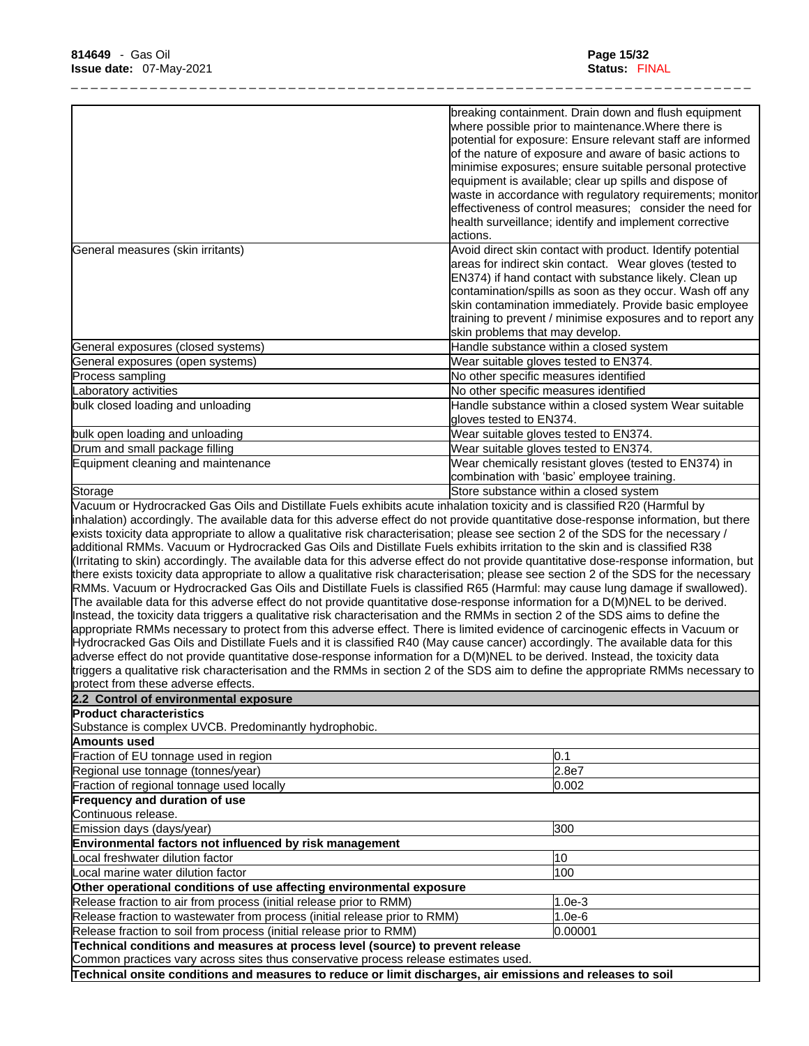|                                                                                                                                                                                                                                                                   | breaking containment. Drain down and flush equipment                       |
|-------------------------------------------------------------------------------------------------------------------------------------------------------------------------------------------------------------------------------------------------------------------|----------------------------------------------------------------------------|
|                                                                                                                                                                                                                                                                   | where possible prior to maintenance. Where there is                        |
|                                                                                                                                                                                                                                                                   | potential for exposure: Ensure relevant staff are informed                 |
|                                                                                                                                                                                                                                                                   | of the nature of exposure and aware of basic actions to                    |
|                                                                                                                                                                                                                                                                   | minimise exposures; ensure suitable personal protective                    |
|                                                                                                                                                                                                                                                                   | equipment is available; clear up spills and dispose of                     |
|                                                                                                                                                                                                                                                                   | waste in accordance with regulatory requirements; monitor                  |
|                                                                                                                                                                                                                                                                   | effectiveness of control measures; consider the need for                   |
|                                                                                                                                                                                                                                                                   | health surveillance; identify and implement corrective<br>lactions.        |
| General measures (skin irritants)                                                                                                                                                                                                                                 | Avoid direct skin contact with product. Identify potential                 |
|                                                                                                                                                                                                                                                                   | areas for indirect skin contact. Wear gloves (tested to                    |
|                                                                                                                                                                                                                                                                   | EN374) if hand contact with substance likely. Clean up                     |
|                                                                                                                                                                                                                                                                   | contamination/spills as soon as they occur. Wash off any                   |
|                                                                                                                                                                                                                                                                   | skin contamination immediately. Provide basic employee                     |
|                                                                                                                                                                                                                                                                   | training to prevent / minimise exposures and to report any                 |
| General exposures (closed systems)                                                                                                                                                                                                                                | skin problems that may develop.<br>Handle substance within a closed system |
| General exposures (open systems)                                                                                                                                                                                                                                  | Wear suitable gloves tested to EN374.                                      |
| Process sampling                                                                                                                                                                                                                                                  | No other specific measures identified                                      |
| Laboratory activities                                                                                                                                                                                                                                             | No other specific measures identified                                      |
| bulk closed loading and unloading                                                                                                                                                                                                                                 | Handle substance within a closed system Wear suitable                      |
|                                                                                                                                                                                                                                                                   | gloves tested to EN374.                                                    |
| bulk open loading and unloading                                                                                                                                                                                                                                   | Wear suitable gloves tested to EN374.                                      |
| Drum and small package filling                                                                                                                                                                                                                                    | Wear suitable gloves tested to EN374.                                      |
| Equipment cleaning and maintenance                                                                                                                                                                                                                                | Wear chemically resistant gloves (tested to EN374) in                      |
|                                                                                                                                                                                                                                                                   | combination with 'basic' employee training.                                |
| Storage                                                                                                                                                                                                                                                           | Store substance within a closed system                                     |
| Vacuum or Hydrocracked Gas Oils and Distillate Fuels exhibits acute inhalation toxicity and is classified R20 (Harmful by<br>inhalation) accordingly. The available data for this adverse effect do not provide quantitative dose-response information, but there |                                                                            |
| exists toxicity data appropriate to allow a qualitative risk characterisation; please see section 2 of the SDS for the necessary /                                                                                                                                |                                                                            |
| additional RMMs. Vacuum or Hydrocracked Gas Oils and Distillate Fuels exhibits irritation to the skin and is classified R38                                                                                                                                       |                                                                            |
| (Irritating to skin) accordingly. The available data for this adverse effect do not provide quantitative dose-response information, but                                                                                                                           |                                                                            |
| there exists toxicity data appropriate to allow a qualitative risk characterisation; please see section 2 of the SDS for the necessary                                                                                                                            |                                                                            |
| RMMs. Vacuum or Hydrocracked Gas Oils and Distillate Fuels is classified R65 (Harmful: may cause lung damage if swallowed).                                                                                                                                       |                                                                            |
| The available data for this adverse effect do not provide quantitative dose-response information for a D(M)NEL to be derived.                                                                                                                                     |                                                                            |
| Instead, the toxicity data triggers a qualitative risk characterisation and the RMMs in section 2 of the SDS aims to define the                                                                                                                                   |                                                                            |
| appropriate RMMs necessary to protect from this adverse effect. There is limited evidence of carcinogenic effects in Vacuum or                                                                                                                                    |                                                                            |
| Hydrocracked Gas Oils and Distillate Fuels and it is classified R40 (May cause cancer) accordingly. The available data for this                                                                                                                                   |                                                                            |
| adverse effect do not provide quantitative dose-response information for a D(M)NEL to be derived. Instead, the toxicity data                                                                                                                                      |                                                                            |
| triggers a qualitative risk characterisation and the RMMs in section 2 of the SDS aim to define the appropriate RMMs necessary to                                                                                                                                 |                                                                            |
| protect from these adverse effects.                                                                                                                                                                                                                               |                                                                            |
| 2.2 Control of environmental exposure<br><b>Product characteristics</b>                                                                                                                                                                                           |                                                                            |
| Substance is complex UVCB. Predominantly hydrophobic.                                                                                                                                                                                                             |                                                                            |
| Amounts used                                                                                                                                                                                                                                                      |                                                                            |
| Fraction of EU tonnage used in region                                                                                                                                                                                                                             | 0.1                                                                        |
| Regional use tonnage (tonnes/year)                                                                                                                                                                                                                                | 2.8e7                                                                      |
| Fraction of regional tonnage used locally                                                                                                                                                                                                                         | 0.002                                                                      |
| Frequency and duration of use                                                                                                                                                                                                                                     |                                                                            |
| Continuous release.                                                                                                                                                                                                                                               |                                                                            |
| Emission days (days/year)                                                                                                                                                                                                                                         | 300                                                                        |
| Environmental factors not influenced by risk management                                                                                                                                                                                                           |                                                                            |
| Local freshwater dilution factor                                                                                                                                                                                                                                  | 10                                                                         |
| Local marine water dilution factor                                                                                                                                                                                                                                | 100                                                                        |
| Other operational conditions of use affecting environmental exposure                                                                                                                                                                                              |                                                                            |
| Release fraction to air from process (initial release prior to RMM)                                                                                                                                                                                               | $1.0e-3$                                                                   |
| Release fraction to wastewater from process (initial release prior to RMM)                                                                                                                                                                                        | $1.0e-6$                                                                   |
| Release fraction to soil from process (initial release prior to RMM)                                                                                                                                                                                              | 0.00001                                                                    |
| Technical conditions and measures at process level (source) to prevent release                                                                                                                                                                                    |                                                                            |
| Common practices vary across sites thus conservative process release estimates used.                                                                                                                                                                              |                                                                            |
| Technical onsite conditions and measures to reduce or limit discharges, air emissions and releases to soil                                                                                                                                                        |                                                                            |
|                                                                                                                                                                                                                                                                   |                                                                            |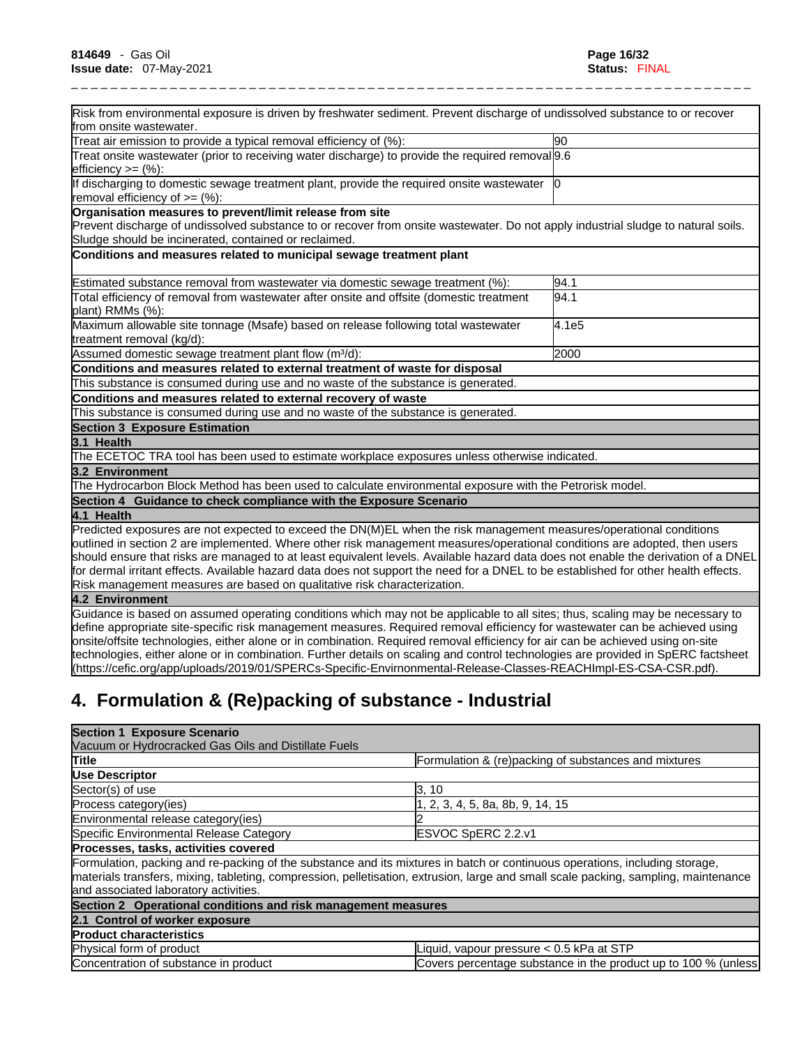| Risk from environmental exposure is driven by freshwater sediment. Prevent discharge of undissolved substance to or recover                                                                                                                                   |       |
|---------------------------------------------------------------------------------------------------------------------------------------------------------------------------------------------------------------------------------------------------------------|-------|
| from onsite wastewater.                                                                                                                                                                                                                                       |       |
| Treat air emission to provide a typical removal efficiency of (%):                                                                                                                                                                                            | 90    |
| Treat onsite wastewater (prior to receiving water discharge) to provide the required removal 9.6<br>efficiency $>=$ $(\%)$ :                                                                                                                                  |       |
|                                                                                                                                                                                                                                                               |       |
| If discharging to domestic sewage treatment plant, provide the required onsite wastewater   0<br>removal efficiency of $=$ (%):                                                                                                                               |       |
| Organisation measures to prevent/limit release from site                                                                                                                                                                                                      |       |
| Prevent discharge of undissolved substance to or recover from onsite wastewater. Do not apply industrial sludge to natural soils.                                                                                                                             |       |
| Sludge should be incinerated, contained or reclaimed.                                                                                                                                                                                                         |       |
| Conditions and measures related to municipal sewage treatment plant                                                                                                                                                                                           |       |
| Estimated substance removal from wastewater via domestic sewage treatment (%):                                                                                                                                                                                | 94.1  |
| Total efficiency of removal from wastewater after onsite and offsite (domestic treatment<br>plant) RMMs (%):                                                                                                                                                  | 94.1  |
| Maximum allowable site tonnage (Msafe) based on release following total wastewater                                                                                                                                                                            | 4.1e5 |
| treatment removal (kg/d):                                                                                                                                                                                                                                     |       |
| Assumed domestic sewage treatment plant flow (m <sup>3</sup> /d):                                                                                                                                                                                             | 2000  |
| Conditions and measures related to external treatment of waste for disposal                                                                                                                                                                                   |       |
| This substance is consumed during use and no waste of the substance is generated.                                                                                                                                                                             |       |
| Conditions and measures related to external recovery of waste                                                                                                                                                                                                 |       |
| This substance is consumed during use and no waste of the substance is generated.                                                                                                                                                                             |       |
| <b>Section 3 Exposure Estimation</b>                                                                                                                                                                                                                          |       |
| 3.1 Health                                                                                                                                                                                                                                                    |       |
| The ECETOC TRA tool has been used to estimate workplace exposures unless otherwise indicated.                                                                                                                                                                 |       |
| 3.2 Environment                                                                                                                                                                                                                                               |       |
| The Hydrocarbon Block Method has been used to calculate environmental exposure with the Petrorisk model.                                                                                                                                                      |       |
| Section 4 Guidance to check compliance with the Exposure Scenario                                                                                                                                                                                             |       |
| 4.1 Health                                                                                                                                                                                                                                                    |       |
| Predicted exposures are not expected to exceed the DN(M)EL when the risk management measures/operational conditions                                                                                                                                           |       |
| outlined in section 2 are implemented. Where other risk management measures/operational conditions are adopted, then users                                                                                                                                    |       |
| should ensure that risks are managed to at least equivalent levels. Available hazard data does not enable the derivation of a DNEL                                                                                                                            |       |
| for dermal irritant effects. Available hazard data does not support the need for a DNEL to be established for other health effects.                                                                                                                           |       |
| Risk management measures are based on qualitative risk characterization.                                                                                                                                                                                      |       |
| 4.2 Environment                                                                                                                                                                                                                                               |       |
| Guidance is based on assumed operating conditions which may not be applicable to all sites; thus, scaling may be necessary to                                                                                                                                 |       |
| define appropriate site-specific risk management measures. Required removal efficiency for wastewater can be achieved using<br>onsite/offsite technologies, either alone or in combination. Required removal efficiency for air can be achieved using on-site |       |
|                                                                                                                                                                                                                                                               |       |

# **4. Formulation & (Re)packing of substance - Industrial**

| <b>Section 1 Exposure Scenario</b>                            |                                                                                                                                                                                                                                                                    |
|---------------------------------------------------------------|--------------------------------------------------------------------------------------------------------------------------------------------------------------------------------------------------------------------------------------------------------------------|
| Vacuum or Hydrocracked Gas Oils and Distillate Fuels          |                                                                                                                                                                                                                                                                    |
| <b>Title</b>                                                  | Formulation & (re)packing of substances and mixtures                                                                                                                                                                                                               |
| Use Descriptor                                                |                                                                                                                                                                                                                                                                    |
| Sector(s) of use                                              | 3, 10                                                                                                                                                                                                                                                              |
| Process category (ies)                                        | , 2, 3, 4, 5, 8a, 8b, 9, 14, 15                                                                                                                                                                                                                                    |
| Environmental release category(ies)                           |                                                                                                                                                                                                                                                                    |
| Specific Environmental Release Category                       | ESVOC SpERC 2.2.v1                                                                                                                                                                                                                                                 |
| Processes, tasks, activities covered                          |                                                                                                                                                                                                                                                                    |
| and associated laboratory activities.                         | Formulation, packing and re-packing of the substance and its mixtures in batch or continuous operations, including storage,<br>materials transfers, mixing, tableting, compression, pelletisation, extrusion, large and small scale packing, sampling, maintenance |
| Section 2 Operational conditions and risk management measures |                                                                                                                                                                                                                                                                    |
| 2.1 Control of worker exposure                                |                                                                                                                                                                                                                                                                    |
| <b>Product characteristics</b>                                |                                                                                                                                                                                                                                                                    |
| Physical form of product                                      | Liquid, vapour pressure < 0.5 kPa at STP                                                                                                                                                                                                                           |
| Concentration of substance in product                         | Covers percentage substance in the product up to 100 % (unless)                                                                                                                                                                                                    |

technologies, either alone or in combination. Further details on scaling and control technologies are provided in SpERC factsheet

(https://cefic.org/app/uploads/2019/01/SPERCs-Specific-Envirnonmental-Release-Classes-REACHImpl-ES-CSA-CSR.pdf).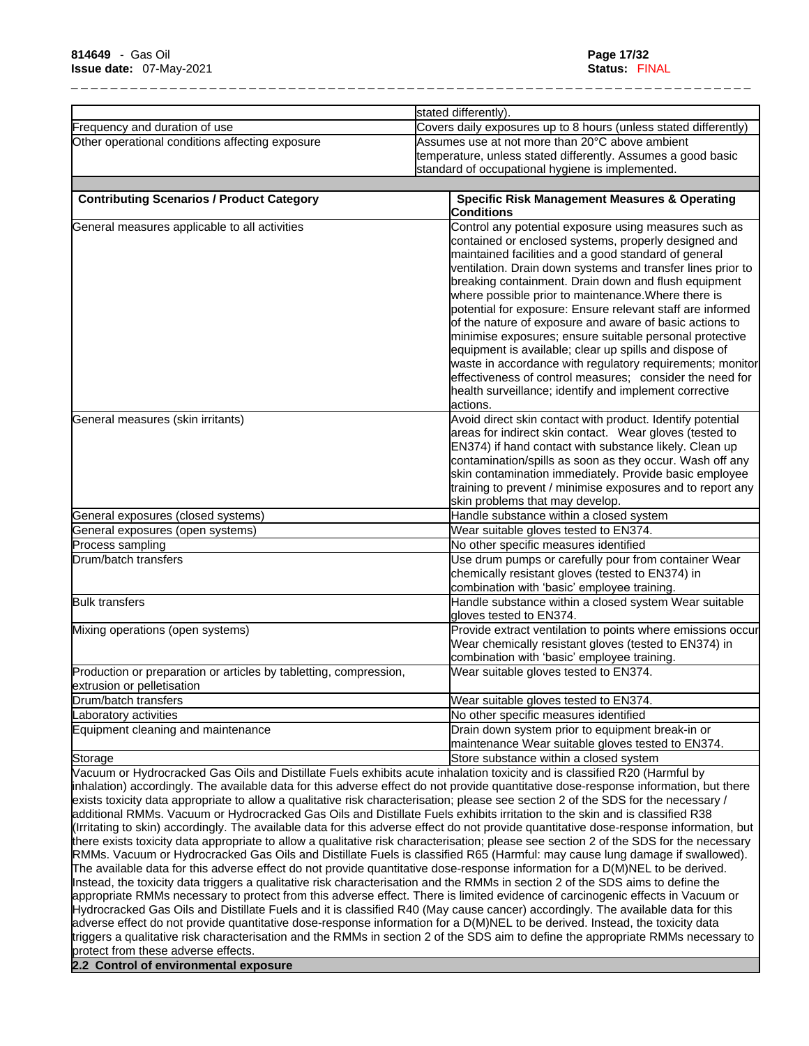|                                                                                                 | stated differently).                                                                                                                                                                                                                                                                                                                                                                                                                                                                                                                                                                                                                                                                                                                                                                                                                                                                                                                                                                                                                                                                                                                                                                                                                                                                                                                                                                                                                                                                                                                                                                                                                                                                                                                                                     |  |
|-------------------------------------------------------------------------------------------------|--------------------------------------------------------------------------------------------------------------------------------------------------------------------------------------------------------------------------------------------------------------------------------------------------------------------------------------------------------------------------------------------------------------------------------------------------------------------------------------------------------------------------------------------------------------------------------------------------------------------------------------------------------------------------------------------------------------------------------------------------------------------------------------------------------------------------------------------------------------------------------------------------------------------------------------------------------------------------------------------------------------------------------------------------------------------------------------------------------------------------------------------------------------------------------------------------------------------------------------------------------------------------------------------------------------------------------------------------------------------------------------------------------------------------------------------------------------------------------------------------------------------------------------------------------------------------------------------------------------------------------------------------------------------------------------------------------------------------------------------------------------------------|--|
| Frequency and duration of use                                                                   | Covers daily exposures up to 8 hours (unless stated differently)                                                                                                                                                                                                                                                                                                                                                                                                                                                                                                                                                                                                                                                                                                                                                                                                                                                                                                                                                                                                                                                                                                                                                                                                                                                                                                                                                                                                                                                                                                                                                                                                                                                                                                         |  |
| Other operational conditions affecting exposure                                                 | Assumes use at not more than 20°C above ambient<br>temperature, unless stated differently. Assumes a good basic<br>standard of occupational hygiene is implemented.                                                                                                                                                                                                                                                                                                                                                                                                                                                                                                                                                                                                                                                                                                                                                                                                                                                                                                                                                                                                                                                                                                                                                                                                                                                                                                                                                                                                                                                                                                                                                                                                      |  |
| <b>Contributing Scenarios / Product Category</b>                                                | <b>Specific Risk Management Measures &amp; Operating</b><br><b>Conditions</b>                                                                                                                                                                                                                                                                                                                                                                                                                                                                                                                                                                                                                                                                                                                                                                                                                                                                                                                                                                                                                                                                                                                                                                                                                                                                                                                                                                                                                                                                                                                                                                                                                                                                                            |  |
| General measures applicable to all activities                                                   | Control any potential exposure using measures such as<br>contained or enclosed systems, properly designed and<br>maintained facilities and a good standard of general<br>ventilation. Drain down systems and transfer lines prior to<br>breaking containment. Drain down and flush equipment<br>where possible prior to maintenance. Where there is<br>potential for exposure: Ensure relevant staff are informed<br>of the nature of exposure and aware of basic actions to<br>minimise exposures; ensure suitable personal protective<br>equipment is available; clear up spills and dispose of<br>waste in accordance with regulatory requirements; monitor<br>effectiveness of control measures; consider the need for<br>health surveillance; identify and implement corrective                                                                                                                                                                                                                                                                                                                                                                                                                                                                                                                                                                                                                                                                                                                                                                                                                                                                                                                                                                                     |  |
| General measures (skin irritants)                                                               | actions.<br>Avoid direct skin contact with product. Identify potential<br>areas for indirect skin contact. Wear gloves (tested to<br>EN374) if hand contact with substance likely. Clean up<br>contamination/spills as soon as they occur. Wash off any<br>skin contamination immediately. Provide basic employee<br>training to prevent / minimise exposures and to report any                                                                                                                                                                                                                                                                                                                                                                                                                                                                                                                                                                                                                                                                                                                                                                                                                                                                                                                                                                                                                                                                                                                                                                                                                                                                                                                                                                                          |  |
| General exposures (closed systems)                                                              | skin problems that may develop.<br>Handle substance within a closed system                                                                                                                                                                                                                                                                                                                                                                                                                                                                                                                                                                                                                                                                                                                                                                                                                                                                                                                                                                                                                                                                                                                                                                                                                                                                                                                                                                                                                                                                                                                                                                                                                                                                                               |  |
| General exposures (open systems)                                                                | Wear suitable gloves tested to EN374.                                                                                                                                                                                                                                                                                                                                                                                                                                                                                                                                                                                                                                                                                                                                                                                                                                                                                                                                                                                                                                                                                                                                                                                                                                                                                                                                                                                                                                                                                                                                                                                                                                                                                                                                    |  |
| Process sampling                                                                                | No other specific measures identified                                                                                                                                                                                                                                                                                                                                                                                                                                                                                                                                                                                                                                                                                                                                                                                                                                                                                                                                                                                                                                                                                                                                                                                                                                                                                                                                                                                                                                                                                                                                                                                                                                                                                                                                    |  |
| Drum/batch transfers                                                                            | Use drum pumps or carefully pour from container Wear<br>chemically resistant gloves (tested to EN374) in<br>combination with 'basic' employee training.                                                                                                                                                                                                                                                                                                                                                                                                                                                                                                                                                                                                                                                                                                                                                                                                                                                                                                                                                                                                                                                                                                                                                                                                                                                                                                                                                                                                                                                                                                                                                                                                                  |  |
| <b>Bulk transfers</b>                                                                           | Handle substance within a closed system Wear suitable<br>gloves tested to EN374.                                                                                                                                                                                                                                                                                                                                                                                                                                                                                                                                                                                                                                                                                                                                                                                                                                                                                                                                                                                                                                                                                                                                                                                                                                                                                                                                                                                                                                                                                                                                                                                                                                                                                         |  |
| Mixing operations (open systems)                                                                | Provide extract ventilation to points where emissions occur<br>Wear chemically resistant gloves (tested to EN374) in<br>combination with 'basic' employee training.                                                                                                                                                                                                                                                                                                                                                                                                                                                                                                                                                                                                                                                                                                                                                                                                                                                                                                                                                                                                                                                                                                                                                                                                                                                                                                                                                                                                                                                                                                                                                                                                      |  |
| Production or preparation or articles by tabletting, compression,<br>extrusion or pelletisation | Wear suitable gloves tested to EN374.                                                                                                                                                                                                                                                                                                                                                                                                                                                                                                                                                                                                                                                                                                                                                                                                                                                                                                                                                                                                                                                                                                                                                                                                                                                                                                                                                                                                                                                                                                                                                                                                                                                                                                                                    |  |
| Drum/batch transfers                                                                            | Wear suitable gloves tested to EN374.                                                                                                                                                                                                                                                                                                                                                                                                                                                                                                                                                                                                                                                                                                                                                                                                                                                                                                                                                                                                                                                                                                                                                                                                                                                                                                                                                                                                                                                                                                                                                                                                                                                                                                                                    |  |
| Laboratory activities                                                                           | No other specific measures identified                                                                                                                                                                                                                                                                                                                                                                                                                                                                                                                                                                                                                                                                                                                                                                                                                                                                                                                                                                                                                                                                                                                                                                                                                                                                                                                                                                                                                                                                                                                                                                                                                                                                                                                                    |  |
| Equipment cleaning and maintenance                                                              | Drain down system prior to equipment break-in or<br>maintenance Wear suitable gloves tested to EN374.                                                                                                                                                                                                                                                                                                                                                                                                                                                                                                                                                                                                                                                                                                                                                                                                                                                                                                                                                                                                                                                                                                                                                                                                                                                                                                                                                                                                                                                                                                                                                                                                                                                                    |  |
| Storage                                                                                         | Store substance within a closed system                                                                                                                                                                                                                                                                                                                                                                                                                                                                                                                                                                                                                                                                                                                                                                                                                                                                                                                                                                                                                                                                                                                                                                                                                                                                                                                                                                                                                                                                                                                                                                                                                                                                                                                                   |  |
|                                                                                                 | Vacuum or Hydrocracked Gas Oils and Distillate Fuels exhibits acute inhalation toxicity and is classified R20 (Harmful by<br>inhalation) accordingly. The available data for this adverse effect do not provide quantitative dose-response information, but there<br>exists toxicity data appropriate to allow a qualitative risk characterisation; please see section 2 of the SDS for the necessary /<br>additional RMMs. Vacuum or Hydrocracked Gas Oils and Distillate Fuels exhibits irritation to the skin and is classified R38<br>(Irritating to skin) accordingly. The available data for this adverse effect do not provide quantitative dose-response information, but<br>there exists toxicity data appropriate to allow a qualitative risk characterisation; please see section 2 of the SDS for the necessary<br>RMMs. Vacuum or Hydrocracked Gas Oils and Distillate Fuels is classified R65 (Harmful: may cause lung damage if swallowed).<br>The available data for this adverse effect do not provide quantitative dose-response information for a D(M)NEL to be derived.<br>Instead, the toxicity data triggers a qualitative risk characterisation and the RMMs in section 2 of the SDS aims to define the<br>appropriate RMMs necessary to protect from this adverse effect. There is limited evidence of carcinogenic effects in Vacuum or<br>Hydrocracked Gas Oils and Distillate Fuels and it is classified R40 (May cause cancer) accordingly. The available data for this<br>adverse effect do not provide quantitative dose-response information for a D(M)NEL to be derived. Instead, the toxicity data<br>triggers a qualitative risk characterisation and the RMMs in section 2 of the SDS aim to define the appropriate RMMs necessary to |  |

**2.2 Control of environmental exposure**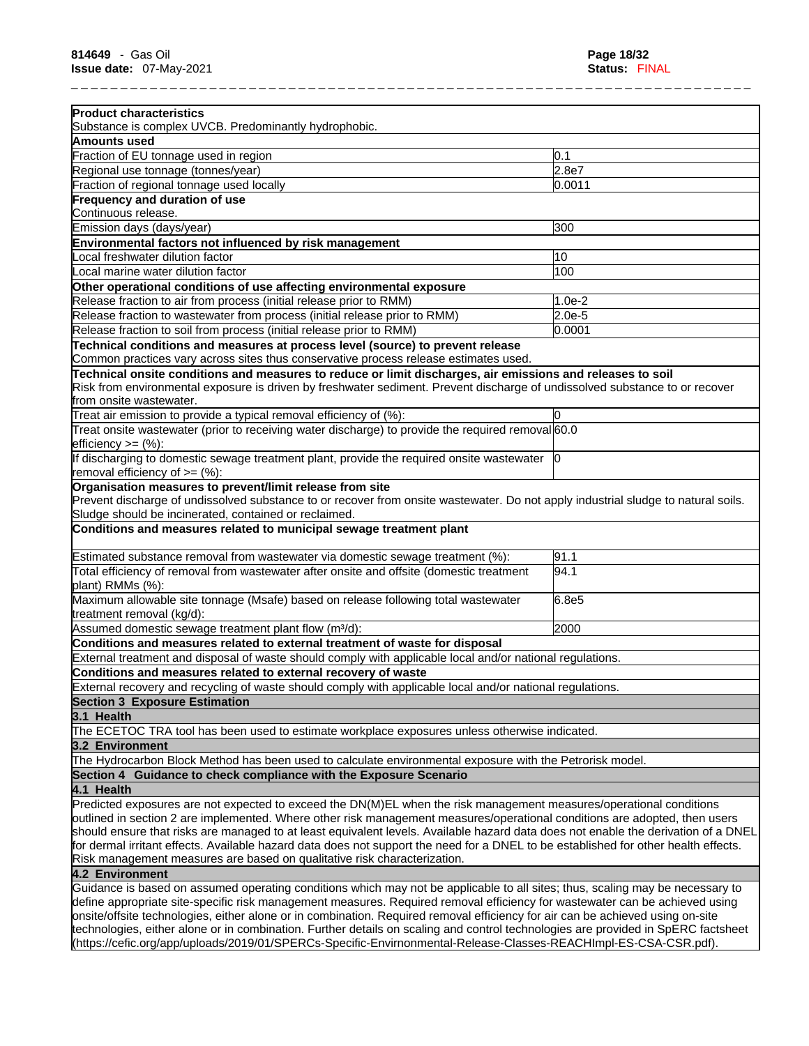| <b>Product characteristics</b>                                                                                                                                                                                                                                       |          |
|----------------------------------------------------------------------------------------------------------------------------------------------------------------------------------------------------------------------------------------------------------------------|----------|
| Substance is complex UVCB. Predominantly hydrophobic.                                                                                                                                                                                                                |          |
| <b>Amounts used</b>                                                                                                                                                                                                                                                  |          |
| Fraction of EU tonnage used in region                                                                                                                                                                                                                                | 0.1      |
| Regional use tonnage (tonnes/year)                                                                                                                                                                                                                                   | 2.8e7    |
| Fraction of regional tonnage used locally                                                                                                                                                                                                                            | 0.0011   |
| Frequency and duration of use<br>Continuous release.                                                                                                                                                                                                                 |          |
| Emission days (days/year)                                                                                                                                                                                                                                            | 300      |
| Environmental factors not influenced by risk management                                                                                                                                                                                                              |          |
| Local freshwater dilution factor                                                                                                                                                                                                                                     | 10       |
| Local marine water dilution factor                                                                                                                                                                                                                                   | 100      |
| Other operational conditions of use affecting environmental exposure                                                                                                                                                                                                 |          |
| Release fraction to air from process (initial release prior to RMM)                                                                                                                                                                                                  | $1.0e-2$ |
| Release fraction to wastewater from process (initial release prior to RMM)                                                                                                                                                                                           | $2.0e-5$ |
| Release fraction to soil from process (initial release prior to RMM)                                                                                                                                                                                                 | 0.0001   |
| Technical conditions and measures at process level (source) to prevent release                                                                                                                                                                                       |          |
| Common practices vary across sites thus conservative process release estimates used.                                                                                                                                                                                 |          |
| Technical onsite conditions and measures to reduce or limit discharges, air emissions and releases to soil<br>Risk from environmental exposure is driven by freshwater sediment. Prevent discharge of undissolved substance to or recover<br>from onsite wastewater. |          |
| Treat air emission to provide a typical removal efficiency of (%):                                                                                                                                                                                                   |          |
| Treat onsite wastewater (prior to receiving water discharge) to provide the required removal 60.0<br>efficiency $>=$ $(\%)$ :                                                                                                                                        |          |
| If discharging to domestic sewage treatment plant, provide the required onsite wastewater  0<br>removal efficiency of $>=$ (%):                                                                                                                                      |          |
| Sludge should be incinerated, contained or reclaimed.<br>Conditions and measures related to municipal sewage treatment plant                                                                                                                                         |          |
| Estimated substance removal from wastewater via domestic sewage treatment (%):                                                                                                                                                                                       | 91.1     |
| Total efficiency of removal from wastewater after onsite and offsite (domestic treatment<br>plant) RMMs (%):                                                                                                                                                         | 94.1     |
| Maximum allowable site tonnage (Msafe) based on release following total wastewater<br>treatment removal (kg/d):                                                                                                                                                      | 6.8e5    |
| Assumed domestic sewage treatment plant flow (m <sup>3</sup> /d):                                                                                                                                                                                                    | 2000     |
| Conditions and measures related to external treatment of waste for disposal                                                                                                                                                                                          |          |
| External treatment and disposal of waste should comply with applicable local and/or national regulations.                                                                                                                                                            |          |
| Conditions and measures related to external recovery of waste                                                                                                                                                                                                        |          |
| External recovery and recycling of waste should comply with applicable local and/or national regulations.                                                                                                                                                            |          |
| <b>Section 3 Exposure Estimation</b>                                                                                                                                                                                                                                 |          |
| 3.1 Health                                                                                                                                                                                                                                                           |          |
| The ECETOC TRA tool has been used to estimate workplace exposures unless otherwise indicated.                                                                                                                                                                        |          |
| 3.2 Environment                                                                                                                                                                                                                                                      |          |
| The Hydrocarbon Block Method has been used to calculate environmental exposure with the Petrorisk model.<br>Section 4 Guidance to check compliance with the Exposure Scenario                                                                                        |          |
|                                                                                                                                                                                                                                                                      |          |
| 4.1 Health<br>Predicted exposures are not expected to exceed the DN(M)EL when the risk management measures/operational conditions                                                                                                                                    |          |
| outlined in section 2 are implemented. Where other risk management measures/operational conditions are adopted, then users                                                                                                                                           |          |
| should ensure that risks are managed to at least equivalent levels. Available hazard data does not enable the derivation of a DNEL                                                                                                                                   |          |
| for dermal irritant effects. Available hazard data does not support the need for a DNEL to be established for other health effects.                                                                                                                                  |          |
| Risk management measures are based on qualitative risk characterization.                                                                                                                                                                                             |          |
| 4.2 Environment                                                                                                                                                                                                                                                      |          |
| Guidance is based on assumed operating conditions which may not be applicable to all sites; thus, scaling may be necessary to                                                                                                                                        |          |
| define appropriate site-specific risk management measures. Required removal efficiency for wastewater can be achieved using<br>onsite/offsite technologies, either alone or in combination. Required removal efficiency for air can be achieved using on-site        |          |
| technologies, either alone or in combination. Further details on scaling and control technologies are provided in SpERC factsheet                                                                                                                                    |          |
| (https://cefic.org/app/uploads/2019/01/SPERCs-Specific-Envirnonmental-Release-Classes-REACHImpl-ES-CSA-CSR.pdf).                                                                                                                                                     |          |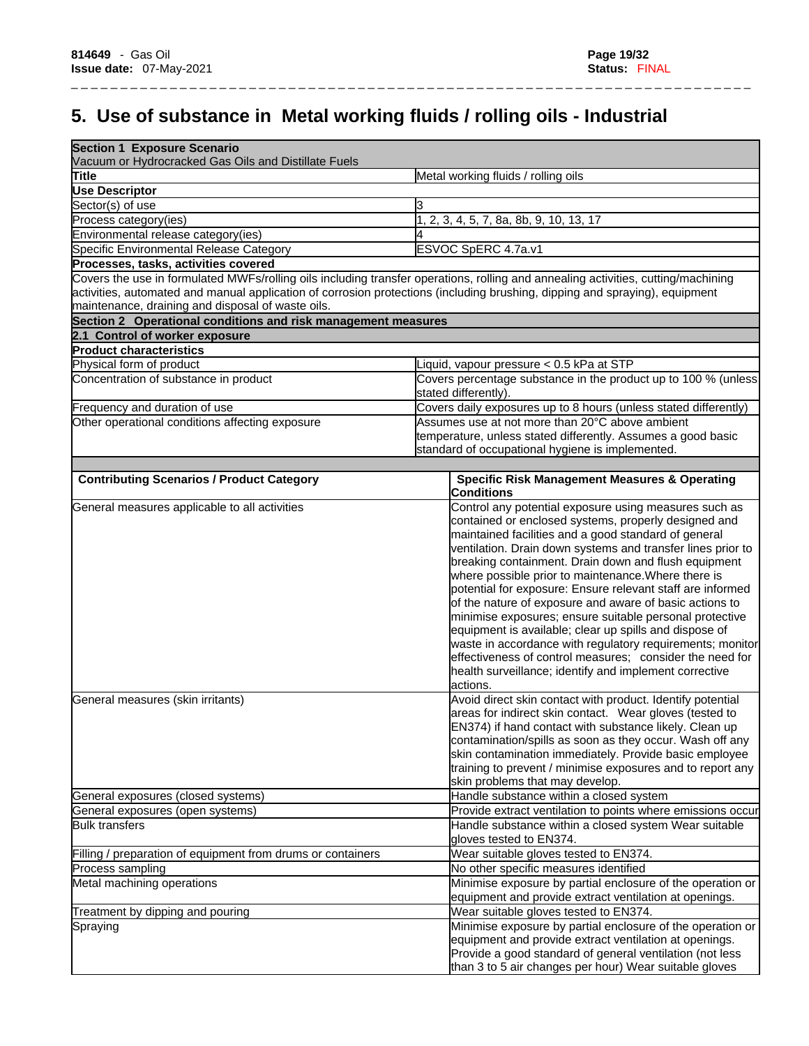# **5. Use of substance in Metal working fluids / rolling oils - Industrial**

\_ \_ \_ \_ \_ \_ \_ \_ \_ \_ \_ \_ \_ \_ \_ \_ \_ \_ \_ \_ \_ \_ \_ \_ \_ \_ \_ \_ \_ \_ \_ \_ \_ \_ \_ \_ \_ \_ \_ \_ \_ \_ \_ \_ \_ \_ \_ \_ \_ \_ \_ \_ \_ \_ \_ \_ \_ \_ \_ \_ \_ \_ \_ \_ \_ \_ \_ \_ \_

| <b>Section 1 Exposure Scenario</b><br>Vacuum or Hydrocracked Gas Oils and Distillate Fuels                                                                                       |                                                                                                                                   |  |  |
|----------------------------------------------------------------------------------------------------------------------------------------------------------------------------------|-----------------------------------------------------------------------------------------------------------------------------------|--|--|
| <b>Title</b>                                                                                                                                                                     | Metal working fluids / rolling oils                                                                                               |  |  |
| <b>Use Descriptor</b>                                                                                                                                                            |                                                                                                                                   |  |  |
| Sector(s) of use                                                                                                                                                                 | 3                                                                                                                                 |  |  |
| Process category(ies)                                                                                                                                                            | , 2, 3, 4, 5, 7, 8a, 8b, 9, 10, 13, 17                                                                                            |  |  |
| Environmental release category(ies)                                                                                                                                              |                                                                                                                                   |  |  |
| Specific Environmental Release Category                                                                                                                                          | ESVOC SpERC 4.7a.v1                                                                                                               |  |  |
| Processes, tasks, activities covered                                                                                                                                             |                                                                                                                                   |  |  |
|                                                                                                                                                                                  | Covers the use in formulated MWFs/rolling oils including transfer operations, rolling and annealing activities, cutting/machining |  |  |
| activities, automated and manual application of corrosion protections (including brushing, dipping and spraying), equipment<br>maintenance, draining and disposal of waste oils. |                                                                                                                                   |  |  |
| Section 2 Operational conditions and risk management measures                                                                                                                    |                                                                                                                                   |  |  |
| 2.1 Control of worker exposure                                                                                                                                                   |                                                                                                                                   |  |  |
| <b>Product characteristics</b>                                                                                                                                                   |                                                                                                                                   |  |  |
| Physical form of product                                                                                                                                                         | Liquid, vapour pressure < 0.5 kPa at STP                                                                                          |  |  |
| Concentration of substance in product                                                                                                                                            | Covers percentage substance in the product up to 100 % (unless                                                                    |  |  |
|                                                                                                                                                                                  | stated differently).                                                                                                              |  |  |
| Frequency and duration of use                                                                                                                                                    | Covers daily exposures up to 8 hours (unless stated differently)                                                                  |  |  |
| Other operational conditions affecting exposure                                                                                                                                  | Assumes use at not more than 20°C above ambient                                                                                   |  |  |
|                                                                                                                                                                                  | temperature, unless stated differently. Assumes a good basic                                                                      |  |  |
|                                                                                                                                                                                  | standard of occupational hygiene is implemented.                                                                                  |  |  |
|                                                                                                                                                                                  |                                                                                                                                   |  |  |
| <b>Contributing Scenarios / Product Category</b>                                                                                                                                 | <b>Specific Risk Management Measures &amp; Operating</b><br><b>Conditions</b>                                                     |  |  |
| General measures applicable to all activities                                                                                                                                    | Control any potential exposure using measures such as                                                                             |  |  |
|                                                                                                                                                                                  | contained or enclosed systems, properly designed and                                                                              |  |  |
|                                                                                                                                                                                  | maintained facilities and a good standard of general                                                                              |  |  |
|                                                                                                                                                                                  | ventilation. Drain down systems and transfer lines prior to                                                                       |  |  |
|                                                                                                                                                                                  | breaking containment. Drain down and flush equipment                                                                              |  |  |
|                                                                                                                                                                                  | where possible prior to maintenance. Where there is                                                                               |  |  |
|                                                                                                                                                                                  | potential for exposure: Ensure relevant staff are informed                                                                        |  |  |
|                                                                                                                                                                                  | of the nature of exposure and aware of basic actions to                                                                           |  |  |
|                                                                                                                                                                                  | minimise exposures; ensure suitable personal protective                                                                           |  |  |
|                                                                                                                                                                                  | equipment is available; clear up spills and dispose of                                                                            |  |  |
|                                                                                                                                                                                  | waste in accordance with regulatory requirements; monitor                                                                         |  |  |
|                                                                                                                                                                                  | effectiveness of control measures; consider the need for                                                                          |  |  |
|                                                                                                                                                                                  | health surveillance; identify and implement corrective                                                                            |  |  |
|                                                                                                                                                                                  | actions.                                                                                                                          |  |  |
| General measures (skin irritants)                                                                                                                                                | Avoid direct skin contact with product. Identify potential                                                                        |  |  |
|                                                                                                                                                                                  | areas for indirect skin contact. Wear gloves (tested to                                                                           |  |  |
|                                                                                                                                                                                  | EN374) if hand contact with substance likely. Clean up                                                                            |  |  |
|                                                                                                                                                                                  | contamination/spills as soon as they occur. Wash off any                                                                          |  |  |
|                                                                                                                                                                                  | skin contamination immediately. Provide basic employee                                                                            |  |  |
|                                                                                                                                                                                  | training to prevent / minimise exposures and to report any                                                                        |  |  |
| General exposures (closed systems)                                                                                                                                               | skin problems that may develop.<br>Handle substance within a closed system                                                        |  |  |
|                                                                                                                                                                                  | Provide extract ventilation to points where emissions occur                                                                       |  |  |
| General exposures (open systems)<br><b>Bulk transfers</b>                                                                                                                        | Handle substance within a closed system Wear suitable                                                                             |  |  |
|                                                                                                                                                                                  | gloves tested to EN374.                                                                                                           |  |  |
| Filling / preparation of equipment from drums or containers                                                                                                                      | Wear suitable gloves tested to EN374.                                                                                             |  |  |
| Process sampling                                                                                                                                                                 | No other specific measures identified                                                                                             |  |  |
| Metal machining operations                                                                                                                                                       | Minimise exposure by partial enclosure of the operation or                                                                        |  |  |
|                                                                                                                                                                                  | equipment and provide extract ventilation at openings.                                                                            |  |  |
| Treatment by dipping and pouring                                                                                                                                                 | Wear suitable gloves tested to EN374.                                                                                             |  |  |
| Spraying                                                                                                                                                                         | Minimise exposure by partial enclosure of the operation or                                                                        |  |  |
|                                                                                                                                                                                  | equipment and provide extract ventilation at openings.                                                                            |  |  |
|                                                                                                                                                                                  | Provide a good standard of general ventilation (not less                                                                          |  |  |
|                                                                                                                                                                                  | than 3 to 5 air changes per hour) Wear suitable gloves                                                                            |  |  |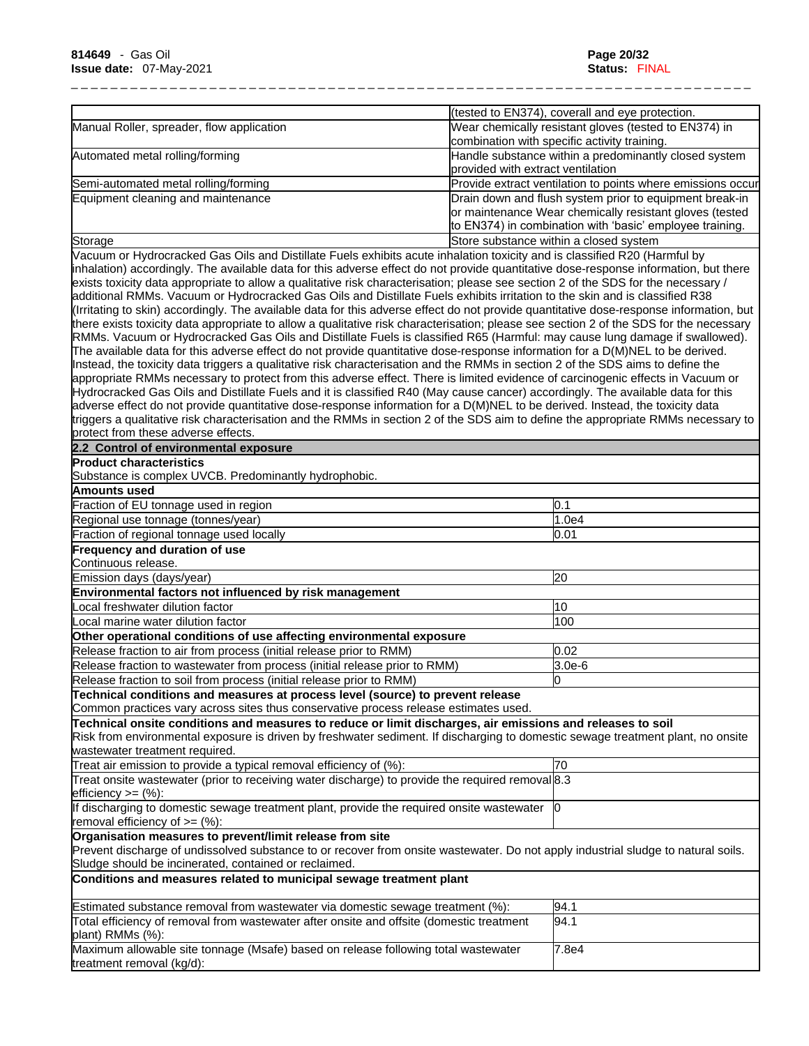|                                                                                                                                                                                                                                                                       |                                   | (tested to EN374), coverall and eye protection.             |
|-----------------------------------------------------------------------------------------------------------------------------------------------------------------------------------------------------------------------------------------------------------------------|-----------------------------------|-------------------------------------------------------------|
| Manual Roller, spreader, flow application                                                                                                                                                                                                                             |                                   | Wear chemically resistant gloves (tested to EN374) in       |
|                                                                                                                                                                                                                                                                       |                                   | combination with specific activity training.                |
| Automated metal rolling/forming                                                                                                                                                                                                                                       | provided with extract ventilation | Handle substance within a predominantly closed system       |
| Semi-automated metal rolling/forming                                                                                                                                                                                                                                  |                                   | Provide extract ventilation to points where emissions occur |
| Equipment cleaning and maintenance                                                                                                                                                                                                                                    |                                   | Drain down and flush system prior to equipment break-in     |
|                                                                                                                                                                                                                                                                       |                                   | or maintenance Wear chemically resistant gloves (tested     |
|                                                                                                                                                                                                                                                                       |                                   | to EN374) in combination with 'basic' employee training.    |
| Storage                                                                                                                                                                                                                                                               |                                   | Store substance within a closed system                      |
| Vacuum or Hydrocracked Gas Oils and Distillate Fuels exhibits acute inhalation toxicity and is classified R20 (Harmful by                                                                                                                                             |                                   |                                                             |
| inhalation) accordingly. The available data for this adverse effect do not provide quantitative dose-response information, but there                                                                                                                                  |                                   |                                                             |
| exists toxicity data appropriate to allow a qualitative risk characterisation; please see section 2 of the SDS for the necessary /                                                                                                                                    |                                   |                                                             |
| additional RMMs. Vacuum or Hydrocracked Gas Oils and Distillate Fuels exhibits irritation to the skin and is classified R38                                                                                                                                           |                                   |                                                             |
| (Irritating to skin) accordingly. The available data for this adverse effect do not provide quantitative dose-response information, but                                                                                                                               |                                   |                                                             |
| there exists toxicity data appropriate to allow a qualitative risk characterisation; please see section 2 of the SDS for the necessary<br>RMMs. Vacuum or Hydrocracked Gas Oils and Distillate Fuels is classified R65 (Harmful: may cause lung damage if swallowed). |                                   |                                                             |
| The available data for this adverse effect do not provide quantitative dose-response information for a D(M)NEL to be derived.                                                                                                                                         |                                   |                                                             |
| Instead, the toxicity data triggers a qualitative risk characterisation and the RMMs in section 2 of the SDS aims to define the                                                                                                                                       |                                   |                                                             |
| appropriate RMMs necessary to protect from this adverse effect. There is limited evidence of carcinogenic effects in Vacuum or                                                                                                                                        |                                   |                                                             |
| Hydrocracked Gas Oils and Distillate Fuels and it is classified R40 (May cause cancer) accordingly. The available data for this                                                                                                                                       |                                   |                                                             |
| adverse effect do not provide quantitative dose-response information for a D(M)NEL to be derived. Instead, the toxicity data                                                                                                                                          |                                   |                                                             |
| triggers a qualitative risk characterisation and the RMMs in section 2 of the SDS aim to define the appropriate RMMs necessary to                                                                                                                                     |                                   |                                                             |
| protect from these adverse effects.                                                                                                                                                                                                                                   |                                   |                                                             |
| 2.2 Control of environmental exposure                                                                                                                                                                                                                                 |                                   |                                                             |
| <b>Product characteristics</b>                                                                                                                                                                                                                                        |                                   |                                                             |
| Substance is complex UVCB. Predominantly hydrophobic.                                                                                                                                                                                                                 |                                   |                                                             |
| Amounts used                                                                                                                                                                                                                                                          |                                   |                                                             |
| Fraction of EU tonnage used in region                                                                                                                                                                                                                                 |                                   | 0.1                                                         |
| Regional use tonnage (tonnes/year)                                                                                                                                                                                                                                    |                                   | 1.0e4                                                       |
| Fraction of regional tonnage used locally                                                                                                                                                                                                                             |                                   | 0.01                                                        |
| Frequency and duration of use                                                                                                                                                                                                                                         |                                   |                                                             |
| Continuous release.                                                                                                                                                                                                                                                   |                                   |                                                             |
| Emission days (days/year)                                                                                                                                                                                                                                             |                                   | 20                                                          |
| Environmental factors not influenced by risk management                                                                                                                                                                                                               |                                   |                                                             |
| Local freshwater dilution factor                                                                                                                                                                                                                                      |                                   | 10                                                          |
| Local marine water dilution factor                                                                                                                                                                                                                                    |                                   | 100                                                         |
| Other operational conditions of use affecting environmental exposure                                                                                                                                                                                                  |                                   |                                                             |
| Release fraction to air from process (initial release prior to RMM)                                                                                                                                                                                                   |                                   | 0.02                                                        |
| Release fraction to wastewater from process (initial release prior to RMM)                                                                                                                                                                                            |                                   | $3.0e-6$                                                    |
| Release fraction to soil from process (initial release prior to RMM)                                                                                                                                                                                                  |                                   | ln.                                                         |
| Technical conditions and measures at process level (source) to prevent release                                                                                                                                                                                        |                                   |                                                             |
| Common practices vary across sites thus conservative process release estimates used.                                                                                                                                                                                  |                                   |                                                             |
| Technical onsite conditions and measures to reduce or limit discharges, air emissions and releases to soil<br>Risk from environmental exposure is driven by freshwater sediment. If discharging to domestic sewage treatment plant, no onsite                         |                                   |                                                             |
| wastewater treatment required.                                                                                                                                                                                                                                        |                                   |                                                             |
| Treat air emission to provide a typical removal efficiency of (%):                                                                                                                                                                                                    |                                   | 70                                                          |
| Treat onsite wastewater (prior to receiving water discharge) to provide the required removal 8.3                                                                                                                                                                      |                                   |                                                             |
| $lefticiency >= (%)$ :                                                                                                                                                                                                                                                |                                   |                                                             |
| If discharging to domestic sewage treatment plant, provide the required onsite wastewater                                                                                                                                                                             |                                   | $\overline{0}$                                              |
| removal efficiency of $>=$ (%):                                                                                                                                                                                                                                       |                                   |                                                             |
| Organisation measures to prevent/limit release from site<br>Prevent discharge of undissolved substance to or recover from onsite wastewater. Do not apply industrial sludge to natural soils.<br>Sludge should be incinerated, contained or reclaimed.                |                                   |                                                             |
| Conditions and measures related to municipal sewage treatment plant                                                                                                                                                                                                   |                                   |                                                             |
| Estimated substance removal from wastewater via domestic sewage treatment (%):                                                                                                                                                                                        |                                   | 94.1                                                        |
| Total efficiency of removal from wastewater after onsite and offsite (domestic treatment<br>plant) RMMs (%):                                                                                                                                                          |                                   | 94.1                                                        |
| Maximum allowable site tonnage (Msafe) based on release following total wastewater<br>treatment removal (kg/d):                                                                                                                                                       |                                   | 7.8e4                                                       |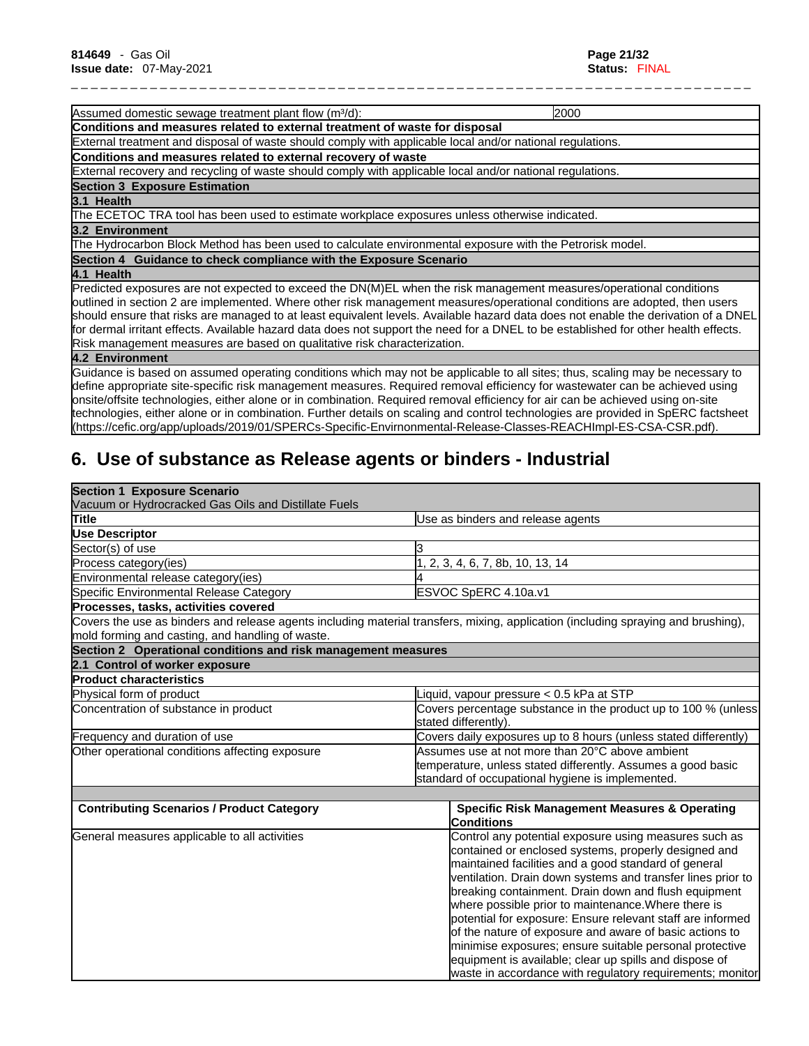Assumed domestic sewage treatment plant flow (m<sup>3</sup>/d): 2000 2000 **Conditions and measures related to external treatment of waste for disposal** External treatment and disposal of waste should comply with applicable local and/or national regulations. **Conditions and measures related to external recovery of waste** External recovery and recycling of waste should comply with applicable local and/or national regulations. **Section 3 Exposure Estimation 3.1 Health**  The ECETOC TRA tool has been used to estimate workplace exposures unless otherwise indicated. **3.2 Environment**  The Hydrocarbon Block Method has been used to calculate environmental exposure with the Petrorisk model. **Section 4 Guidance to check compliance with the Exposure Scenario 4.1 Health**  Predicted exposures are not expected to exceed the DN(M)EL when the risk management measures/operational conditions outlined in section 2 are implemented. Where other risk management measures/operational conditions are adopted, then users should ensure that risks are managed to at least equivalent levels. Available hazard data does not enable the derivation of a DNEL

\_ \_ \_ \_ \_ \_ \_ \_ \_ \_ \_ \_ \_ \_ \_ \_ \_ \_ \_ \_ \_ \_ \_ \_ \_ \_ \_ \_ \_ \_ \_ \_ \_ \_ \_ \_ \_ \_ \_ \_ \_ \_ \_ \_ \_ \_ \_ \_ \_ \_ \_ \_ \_ \_ \_ \_ \_ \_ \_ \_ \_ \_ \_ \_ \_ \_ \_ \_ \_

for dermal irritant effects. Available hazard data does not support the need for a DNEL to be established for other health effects. Risk management measures are based on qualitative risk characterization.

### **4.2 Environment**

Guidance isbased on assumed operating conditions which may not be applicable to all sites; thus, scaling may be necessary to define appropriate site-specific risk management measures. Required removal efficiency for wastewater can be achieved using onsite/offsite technologies, either alone or in combination. Required removal efficiency for air can be achieved using on-site technologies, either alone or in combination. Further details on scaling and control technologies are provided in SpERC factsheet (https://cefic.org/app/uploads/2019/01/SPERCs-Specific-Envirnonmental-Release-Classes-REACHImpl-ES-CSA-CSR.pdf).

# **6. Use of substance as Release agents or binders - Industrial**

| <b>Section 1 Exposure Scenario</b>                            |                                                                                                                                   |  |
|---------------------------------------------------------------|-----------------------------------------------------------------------------------------------------------------------------------|--|
| Vacuum or Hydrocracked Gas Oils and Distillate Fuels          |                                                                                                                                   |  |
| Title                                                         | Use as binders and release agents                                                                                                 |  |
| <b>Use Descriptor</b>                                         |                                                                                                                                   |  |
| Sector(s) of use                                              |                                                                                                                                   |  |
| Process category(ies)                                         | 2, 3, 4, 6, 7, 8b, 10, 13, 14                                                                                                     |  |
| Environmental release category(ies)                           |                                                                                                                                   |  |
| Specific Environmental Release Category                       | ESVOC SpERC 4.10a.v1                                                                                                              |  |
| Processes, tasks, activities covered                          |                                                                                                                                   |  |
| mold forming and casting, and handling of waste.              | Covers the use as binders and release agents including material transfers, mixing, application (including spraying and brushing), |  |
| Section 2 Operational conditions and risk management measures |                                                                                                                                   |  |
| 2.1 Control of worker exposure                                |                                                                                                                                   |  |
| <b>Product characteristics</b>                                |                                                                                                                                   |  |
| Physical form of product                                      | iquid, vapour pressure < 0.5 kPa at STP                                                                                           |  |
| Concentration of substance in product                         | Covers percentage substance in the product up to 100 $\%$ (unless<br>stated differently).                                         |  |
| Frequency and duration of use                                 | Covers daily exposures up to 8 hours (unless stated differently)                                                                  |  |
| Other operational conditions affecting exposure               | Assumes use at not more than 20°C above ambient                                                                                   |  |
|                                                               | temperature, unless stated differently. Assumes a good basic                                                                      |  |
|                                                               | standard of occupational hygiene is implemented.                                                                                  |  |
|                                                               |                                                                                                                                   |  |
| <b>Contributing Scenarios / Product Category</b>              | <b>Specific Risk Management Measures &amp; Operating</b><br>Conditions                                                            |  |
| General measures applicable to all activities                 | Control any potential exposure using measures such as                                                                             |  |
|                                                               | contained or enclosed systems, properly designed and                                                                              |  |
|                                                               | maintained facilities and a good standard of general                                                                              |  |
|                                                               | ventilation. Drain down systems and transfer lines prior to                                                                       |  |
|                                                               | breaking containment. Drain down and flush equipment                                                                              |  |
|                                                               | where possible prior to maintenance. Where there is                                                                               |  |
|                                                               | potential for exposure: Ensure relevant staff are informed                                                                        |  |
|                                                               | of the nature of exposure and aware of basic actions to                                                                           |  |
|                                                               | minimise exposures; ensure suitable personal protective                                                                           |  |
|                                                               | equipment is available; clear up spills and dispose of                                                                            |  |
|                                                               | waste in accordance with regulatory requirements; monitor                                                                         |  |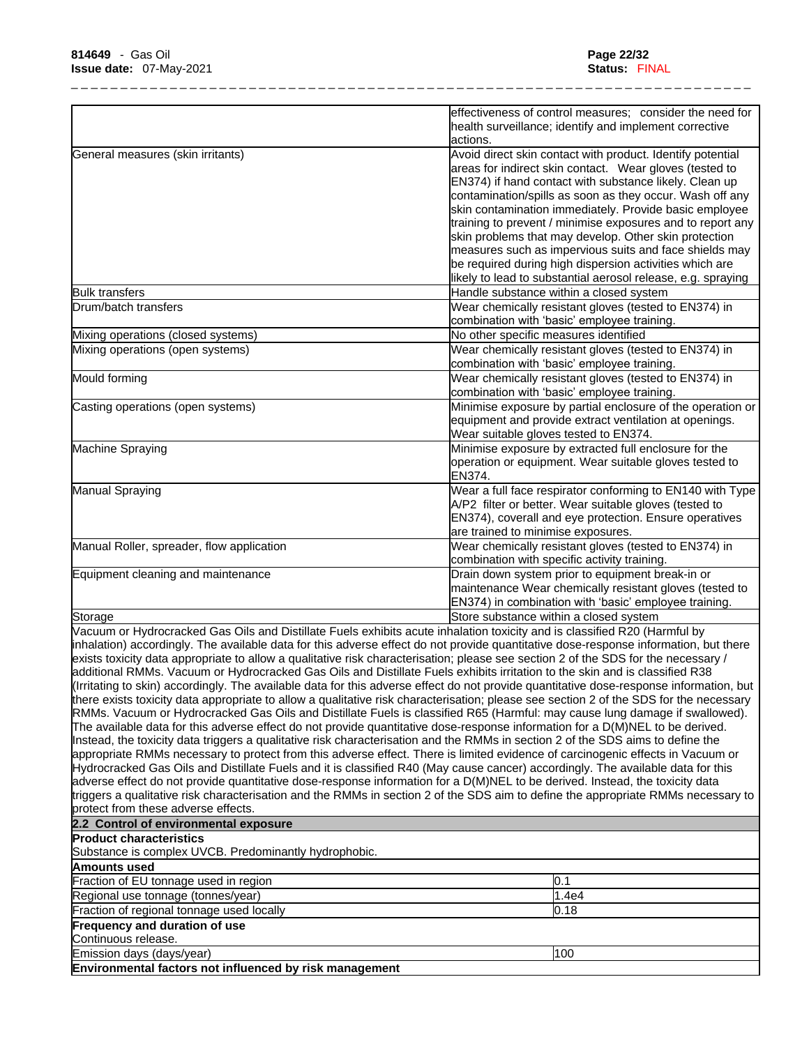|                                                                                                                                         | effectiveness of control measures; consider the need for                                                                |
|-----------------------------------------------------------------------------------------------------------------------------------------|-------------------------------------------------------------------------------------------------------------------------|
|                                                                                                                                         | health surveillance; identify and implement corrective<br>actions.                                                      |
| General measures (skin irritants)                                                                                                       | Avoid direct skin contact with product. Identify potential<br>areas for indirect skin contact. Wear gloves (tested to   |
|                                                                                                                                         | EN374) if hand contact with substance likely. Clean up                                                                  |
|                                                                                                                                         | contamination/spills as soon as they occur. Wash off any                                                                |
|                                                                                                                                         | skin contamination immediately. Provide basic employee                                                                  |
|                                                                                                                                         | training to prevent / minimise exposures and to report any                                                              |
|                                                                                                                                         | skin problems that may develop. Other skin protection                                                                   |
|                                                                                                                                         | measures such as impervious suits and face shields may                                                                  |
|                                                                                                                                         | be required during high dispersion activities which are<br>likely to lead to substantial aerosol release, e.g. spraying |
| <b>Bulk transfers</b>                                                                                                                   | Handle substance within a closed system                                                                                 |
| Drum/batch transfers                                                                                                                    | Wear chemically resistant gloves (tested to EN374) in                                                                   |
|                                                                                                                                         | combination with 'basic' employee training.                                                                             |
| Mixing operations (closed systems)                                                                                                      | No other specific measures identified                                                                                   |
| Mixing operations (open systems)                                                                                                        | Wear chemically resistant gloves (tested to EN374) in                                                                   |
|                                                                                                                                         | combination with 'basic' employee training.                                                                             |
| Mould forming                                                                                                                           | Wear chemically resistant gloves (tested to EN374) in                                                                   |
|                                                                                                                                         | combination with 'basic' employee training.                                                                             |
| Casting operations (open systems)                                                                                                       | Minimise exposure by partial enclosure of the operation or                                                              |
|                                                                                                                                         | equipment and provide extract ventilation at openings.                                                                  |
|                                                                                                                                         | Wear suitable gloves tested to EN374.                                                                                   |
| Machine Spraying                                                                                                                        | Minimise exposure by extracted full enclosure for the                                                                   |
|                                                                                                                                         | operation or equipment. Wear suitable gloves tested to                                                                  |
| Manual Spraying                                                                                                                         | EN374.<br>Wear a full face respirator conforming to EN140 with Type                                                     |
|                                                                                                                                         | A/P2 filter or better. Wear suitable gloves (tested to                                                                  |
|                                                                                                                                         | EN374), coverall and eye protection. Ensure operatives                                                                  |
|                                                                                                                                         | are trained to minimise exposures.                                                                                      |
| Manual Roller, spreader, flow application                                                                                               | Wear chemically resistant gloves (tested to EN374) in                                                                   |
|                                                                                                                                         | combination with specific activity training.                                                                            |
| Equipment cleaning and maintenance                                                                                                      | Drain down system prior to equipment break-in or                                                                        |
|                                                                                                                                         | maintenance Wear chemically resistant gloves (tested to                                                                 |
|                                                                                                                                         | EN374) in combination with 'basic' employee training.                                                                   |
| Storage                                                                                                                                 | Store substance within a closed system                                                                                  |
| Vacuum or Hydrocracked Gas Oils and Distillate Fuels exhibits acute inhalation toxicity and is classified R20 (Harmful by               |                                                                                                                         |
| inhalation) accordingly. The available data for this adverse effect do not provide quantitative dose-response information, but there    |                                                                                                                         |
| exists toxicity data appropriate to allow a qualitative risk characterisation; please see section 2 of the SDS for the necessary /      |                                                                                                                         |
| additional RMMs. Vacuum or Hydrocracked Gas Oils and Distillate Fuels exhibits irritation to the skin and is classified R38             |                                                                                                                         |
| (Irritating to skin) accordingly. The available data for this adverse effect do not provide quantitative dose-response information, but |                                                                                                                         |
| there exists toxicity data appropriate to allow a qualitative risk characterisation; please see section 2 of the SDS for the necessary  |                                                                                                                         |
| RMMs. Vacuum or Hydrocracked Gas Oils and Distillate Fuels is classified R65 (Harmful: may cause lung damage if swallowed).             |                                                                                                                         |
| The available data for this adverse effect do not provide quantitative dose-response information for a D(M)NEL to be derived.           |                                                                                                                         |
| Instead, the toxicity data triggers a qualitative risk characterisation and the RMMs in section 2 of the SDS aims to define the         |                                                                                                                         |
| appropriate RMMs necessary to protect from this adverse effect. There is limited evidence of carcinogenic effects in Vacuum or          |                                                                                                                         |
| Hydrocracked Gas Oils and Distillate Fuels and it is classified R40 (May cause cancer) accordingly. The available data for this         |                                                                                                                         |
| adverse effect do not provide quantitative dose-response information for a D(M)NEL to be derived. Instead, the toxicity data            |                                                                                                                         |
| triggers a qualitative risk characterisation and the RMMs in section 2 of the SDS aim to define the appropriate RMMs necessary to       |                                                                                                                         |
| protect from these adverse effects.                                                                                                     |                                                                                                                         |
| 2.2 Control of environmental exposure                                                                                                   |                                                                                                                         |
| <b>Product characteristics</b>                                                                                                          |                                                                                                                         |
| Substance is complex UVCB. Predominantly hydrophobic.                                                                                   |                                                                                                                         |
| Amounts used                                                                                                                            |                                                                                                                         |
| Fraction of EU tonnage used in region                                                                                                   | 0.1                                                                                                                     |
| Regional use tonnage (tonnes/year)                                                                                                      | 1.4e4                                                                                                                   |
| Fraction of regional tonnage used locally                                                                                               | 0.18                                                                                                                    |
| Frequency and duration of use                                                                                                           |                                                                                                                         |
| Continuous release.                                                                                                                     |                                                                                                                         |
| Emission days (days/year)                                                                                                               | 100                                                                                                                     |

**Environmental factors not influenced by risk management**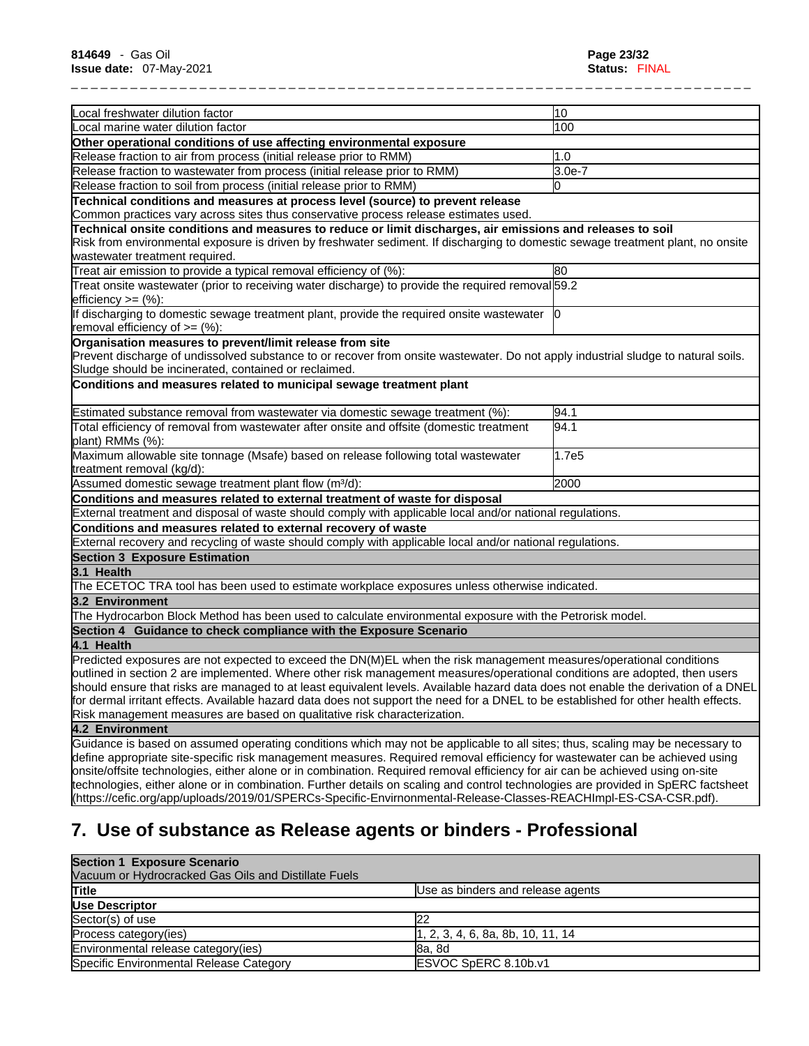| Local freshwater dilution factor                                                                                                                                                                                                                                                                                              | 10       |
|-------------------------------------------------------------------------------------------------------------------------------------------------------------------------------------------------------------------------------------------------------------------------------------------------------------------------------|----------|
| Local marine water dilution factor                                                                                                                                                                                                                                                                                            | 100      |
| Other operational conditions of use affecting environmental exposure                                                                                                                                                                                                                                                          |          |
| Release fraction to air from process (initial release prior to RMM)                                                                                                                                                                                                                                                           | 1.0      |
| Release fraction to wastewater from process (initial release prior to RMM)                                                                                                                                                                                                                                                    | $3.0e-7$ |
| Release fraction to soil from process (initial release prior to RMM)                                                                                                                                                                                                                                                          | l0       |
| Technical conditions and measures at process level (source) to prevent release                                                                                                                                                                                                                                                |          |
| Common practices vary across sites thus conservative process release estimates used.                                                                                                                                                                                                                                          |          |
| Technical onsite conditions and measures to reduce or limit discharges, air emissions and releases to soil<br>Risk from environmental exposure is driven by freshwater sediment. If discharging to domestic sewage treatment plant, no onsite<br>wastewater treatment required.                                               |          |
| Treat air emission to provide a typical removal efficiency of (%):                                                                                                                                                                                                                                                            | 80       |
| Treat onsite wastewater (prior to receiving water discharge) to provide the required removal 59.2<br>efficiency $>=$ $(\%)$ :                                                                                                                                                                                                 |          |
| If discharging to domestic sewage treatment plant, provide the required onsite wastewater  0<br>removal efficiency of $=$ (%):                                                                                                                                                                                                |          |
| Organisation measures to prevent/limit release from site<br>Prevent discharge of undissolved substance to or recover from onsite wastewater. Do not apply industrial sludge to natural soils.<br>Sludge should be incinerated, contained or reclaimed.<br>Conditions and measures related to municipal sewage treatment plant |          |
| Estimated substance removal from wastewater via domestic sewage treatment (%):                                                                                                                                                                                                                                                | 94.1     |
| Total efficiency of removal from wastewater after onsite and offsite (domestic treatment<br>plant) RMMs (%):                                                                                                                                                                                                                  | 94.1     |
| Maximum allowable site tonnage (Msafe) based on release following total wastewater<br>treatment removal (kg/d):                                                                                                                                                                                                               | 1.7e5    |
| Assumed domestic sewage treatment plant flow (m <sup>3</sup> /d):                                                                                                                                                                                                                                                             | 2000     |
| Conditions and measures related to external treatment of waste for disposal                                                                                                                                                                                                                                                   |          |
| External treatment and disposal of waste should comply with applicable local and/or national regulations.                                                                                                                                                                                                                     |          |
| Conditions and measures related to external recovery of waste                                                                                                                                                                                                                                                                 |          |
| External recovery and recycling of waste should comply with applicable local and/or national regulations.                                                                                                                                                                                                                     |          |
| <b>Section 3 Exposure Estimation</b>                                                                                                                                                                                                                                                                                          |          |
| 3.1 Health                                                                                                                                                                                                                                                                                                                    |          |
| The ECETOC TRA tool has been used to estimate workplace exposures unless otherwise indicated.                                                                                                                                                                                                                                 |          |
| 3.2 Environment                                                                                                                                                                                                                                                                                                               |          |
| The Hydrocarbon Block Method has been used to calculate environmental exposure with the Petrorisk model.                                                                                                                                                                                                                      |          |
| Section 4 Guidance to check compliance with the Exposure Scenario                                                                                                                                                                                                                                                             |          |
| 4.1 Health                                                                                                                                                                                                                                                                                                                    |          |
| Predicted exposures are not expected to exceed the DN(M)EL when the risk management measures/operational conditions                                                                                                                                                                                                           |          |
| outlined in section 2 are implemented. Where other risk management measures/operational conditions are adopted, then users                                                                                                                                                                                                    |          |
| should ensure that risks are managed to at least equivalent levels. Available hazard data does not enable the derivation of a DNEL                                                                                                                                                                                            |          |
| for dermal irritant effects. Available hazard data does not support the need for a DNEL to be established for other health effects.                                                                                                                                                                                           |          |
| Risk management measures are based on qualitative risk characterization.                                                                                                                                                                                                                                                      |          |
| 4.2 Environment                                                                                                                                                                                                                                                                                                               |          |
| Guidance is based on assumed operating conditions which may not be applicable to all sites; thus, scaling may be necessary to                                                                                                                                                                                                 |          |
| define appropriate site-specific risk management measures. Required removal efficiency for wastewater can be achieved using<br>onsite/offsite technologies, either alone or in combination. Required removal efficiency for air can be achieved using on-site                                                                 |          |

technologies, either alone or in combination. Further details on scaling and control technologies are provided in SpERC factsheet (https://cefic.org/app/uploads/2019/01/SPERCs-Specific-Envirnonmental-Release-Classes-REACHImpl-ES-CSA-CSR.pdf).

# **7. Use of substance as Release agents or binders - Professional**

| <b>Section 1 Exposure Scenario</b>                   |                                                 |
|------------------------------------------------------|-------------------------------------------------|
| Vacuum or Hydrocracked Gas Oils and Distillate Fuels |                                                 |
| Title                                                | Use as binders and release agents               |
| Use Descriptor                                       |                                                 |
| Sector(s) of use                                     | 22                                              |
| Process category(ies)                                | $\vert 1, 2, 3, 4, 6, 8a, 8b, 10, 11, 14 \vert$ |
| Environmental release category(ies)                  | 8a, 8d                                          |
| Specific Environmental Release Category              | ESVOC SpERC 8.10b.v1                            |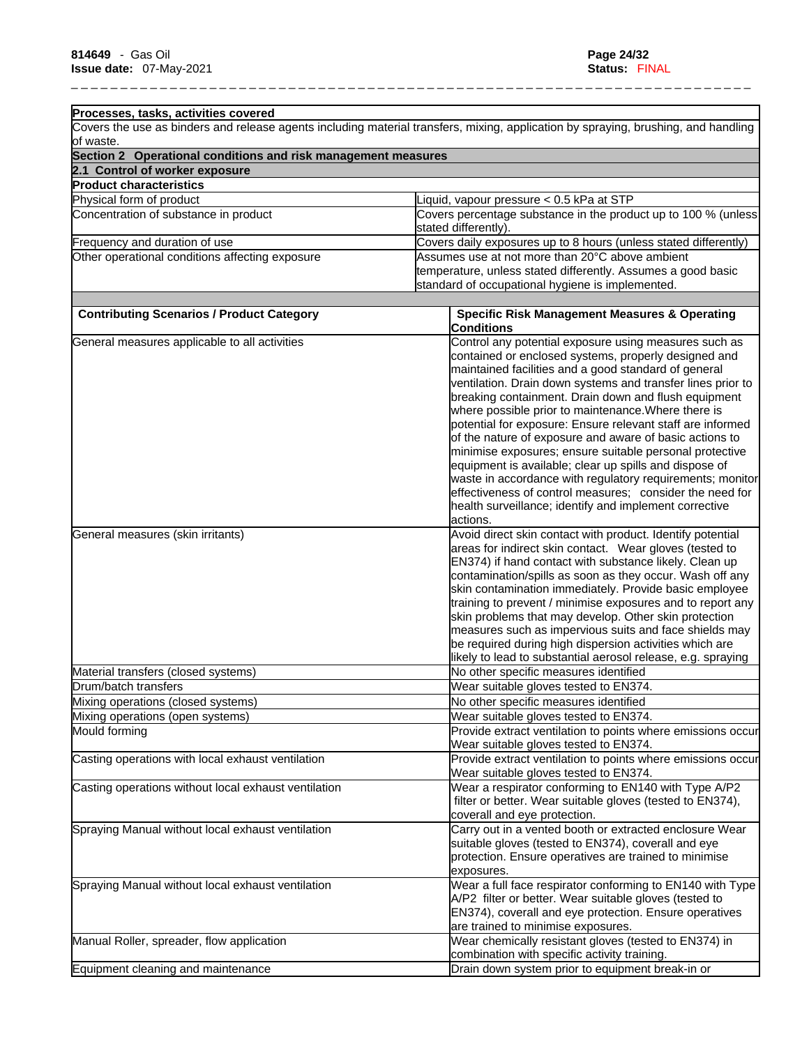| Processes, tasks, activities covered                                        |                                                                                                                                    |  |
|-----------------------------------------------------------------------------|------------------------------------------------------------------------------------------------------------------------------------|--|
|                                                                             | Covers the use as binders and release agents including material transfers, mixing, application by spraying, brushing, and handling |  |
| lof waste.<br>Section 2 Operational conditions and risk management measures |                                                                                                                                    |  |
| 2.1 Control of worker exposure                                              |                                                                                                                                    |  |
| <b>Product characteristics</b>                                              |                                                                                                                                    |  |
| Physical form of product                                                    | Liquid, vapour pressure < 0.5 kPa at STP                                                                                           |  |
| Concentration of substance in product                                       | Covers percentage substance in the product up to 100 % (unless                                                                     |  |
|                                                                             | stated differently).                                                                                                               |  |
| Frequency and duration of use                                               | Covers daily exposures up to 8 hours (unless stated differently)                                                                   |  |
| Other operational conditions affecting exposure                             | Assumes use at not more than 20°C above ambient                                                                                    |  |
|                                                                             | temperature, unless stated differently. Assumes a good basic                                                                       |  |
|                                                                             | standard of occupational hygiene is implemented.                                                                                   |  |
|                                                                             |                                                                                                                                    |  |
| <b>Contributing Scenarios / Product Category</b>                            | <b>Specific Risk Management Measures &amp; Operating</b><br><b>Conditions</b>                                                      |  |
| General measures applicable to all activities                               | Control any potential exposure using measures such as                                                                              |  |
|                                                                             | contained or enclosed systems, properly designed and                                                                               |  |
|                                                                             | maintained facilities and a good standard of general                                                                               |  |
|                                                                             | ventilation. Drain down systems and transfer lines prior to                                                                        |  |
|                                                                             | breaking containment. Drain down and flush equipment                                                                               |  |
|                                                                             | where possible prior to maintenance. Where there is                                                                                |  |
|                                                                             | potential for exposure: Ensure relevant staff are informed                                                                         |  |
|                                                                             | of the nature of exposure and aware of basic actions to                                                                            |  |
|                                                                             | minimise exposures; ensure suitable personal protective                                                                            |  |
|                                                                             | equipment is available; clear up spills and dispose of                                                                             |  |
|                                                                             | waste in accordance with regulatory requirements; monitor                                                                          |  |
|                                                                             | effectiveness of control measures; consider the need for                                                                           |  |
|                                                                             | health surveillance; identify and implement corrective                                                                             |  |
|                                                                             | actions.                                                                                                                           |  |
| General measures (skin irritants)                                           | Avoid direct skin contact with product. Identify potential                                                                         |  |
|                                                                             | areas for indirect skin contact. Wear gloves (tested to                                                                            |  |
|                                                                             | EN374) if hand contact with substance likely. Clean up                                                                             |  |
|                                                                             | contamination/spills as soon as they occur. Wash off any                                                                           |  |
|                                                                             | skin contamination immediately. Provide basic employee                                                                             |  |
|                                                                             | training to prevent / minimise exposures and to report any<br>skin problems that may develop. Other skin protection                |  |
|                                                                             | measures such as impervious suits and face shields may                                                                             |  |
|                                                                             | be required during high dispersion activities which are                                                                            |  |
|                                                                             | likely to lead to substantial aerosol release, e.g. spraying                                                                       |  |
| Material transfers (closed systems)                                         | No other specific measures identified                                                                                              |  |
| Drum/batch transfers                                                        | Wear suitable gloves tested to EN374.                                                                                              |  |
| Mixing operations (closed systems)                                          | No other specific measures identified                                                                                              |  |
| Mixing operations (open systems)                                            | Wear suitable gloves tested to EN374.                                                                                              |  |
| Mould forming                                                               | Provide extract ventilation to points where emissions occur                                                                        |  |
|                                                                             | Wear suitable gloves tested to EN374.                                                                                              |  |
| Casting operations with local exhaust ventilation                           | Provide extract ventilation to points where emissions occur                                                                        |  |
|                                                                             | Wear suitable gloves tested to EN374.                                                                                              |  |
| Casting operations without local exhaust ventilation                        | Wear a respirator conforming to EN140 with Type A/P2                                                                               |  |
|                                                                             | filter or better. Wear suitable gloves (tested to EN374),                                                                          |  |
|                                                                             | coverall and eye protection.                                                                                                       |  |
| Spraying Manual without local exhaust ventilation                           | Carry out in a vented booth or extracted enclosure Wear                                                                            |  |
|                                                                             | suitable gloves (tested to EN374), coverall and eye                                                                                |  |
|                                                                             | protection. Ensure operatives are trained to minimise                                                                              |  |
|                                                                             | exposures.                                                                                                                         |  |
| Spraying Manual without local exhaust ventilation                           | Wear a full face respirator conforming to EN140 with Type                                                                          |  |
|                                                                             | A/P2 filter or better. Wear suitable gloves (tested to                                                                             |  |
|                                                                             | EN374), coverall and eye protection. Ensure operatives                                                                             |  |
|                                                                             | are trained to minimise exposures.                                                                                                 |  |
| Manual Roller, spreader, flow application                                   | Wear chemically resistant gloves (tested to EN374) in                                                                              |  |
|                                                                             | combination with specific activity training.                                                                                       |  |
| Equipment cleaning and maintenance                                          | Drain down system prior to equipment break-in or                                                                                   |  |
|                                                                             |                                                                                                                                    |  |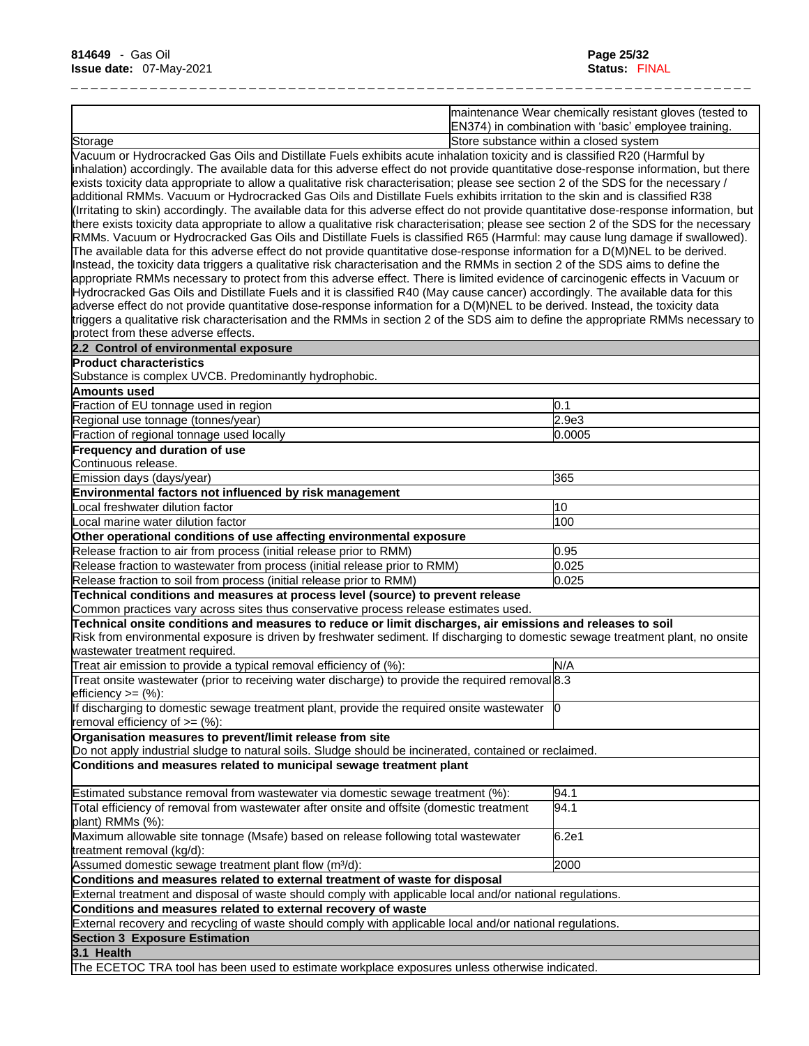|                                                                                                                                                                                                                                                                                                                                                                                                                                                                                                                                                                                                                                                                                                                                                                                                                                                                                                                                                                                                                                                                                                                                                                                                                                                                                                                                                                                                                                                                                                                                                                                                                                                                                                                                                                          | maintenance Wear chemically resistant gloves (tested to<br>EN374) in combination with 'basic' employee training. |
|--------------------------------------------------------------------------------------------------------------------------------------------------------------------------------------------------------------------------------------------------------------------------------------------------------------------------------------------------------------------------------------------------------------------------------------------------------------------------------------------------------------------------------------------------------------------------------------------------------------------------------------------------------------------------------------------------------------------------------------------------------------------------------------------------------------------------------------------------------------------------------------------------------------------------------------------------------------------------------------------------------------------------------------------------------------------------------------------------------------------------------------------------------------------------------------------------------------------------------------------------------------------------------------------------------------------------------------------------------------------------------------------------------------------------------------------------------------------------------------------------------------------------------------------------------------------------------------------------------------------------------------------------------------------------------------------------------------------------------------------------------------------------|------------------------------------------------------------------------------------------------------------------|
| Store substance within a closed system<br>Storage                                                                                                                                                                                                                                                                                                                                                                                                                                                                                                                                                                                                                                                                                                                                                                                                                                                                                                                                                                                                                                                                                                                                                                                                                                                                                                                                                                                                                                                                                                                                                                                                                                                                                                                        |                                                                                                                  |
| Vacuum or Hydrocracked Gas Oils and Distillate Fuels exhibits acute inhalation toxicity and is classified R20 (Harmful by<br>inhalation) accordingly. The available data for this adverse effect do not provide quantitative dose-response information, but there<br>exists toxicity data appropriate to allow a qualitative risk characterisation; please see section 2 of the SDS for the necessary /<br>additional RMMs. Vacuum or Hydrocracked Gas Oils and Distillate Fuels exhibits irritation to the skin and is classified R38<br>(Irritating to skin) accordingly. The available data for this adverse effect do not provide quantitative dose-response information, but<br>there exists toxicity data appropriate to allow a qualitative risk characterisation; please see section 2 of the SDS for the necessary<br>RMMs. Vacuum or Hydrocracked Gas Oils and Distillate Fuels is classified R65 (Harmful: may cause lung damage if swallowed).<br>The available data for this adverse effect do not provide quantitative dose-response information for a D(M)NEL to be derived.<br>Instead, the toxicity data triggers a qualitative risk characterisation and the RMMs in section 2 of the SDS aims to define the<br>appropriate RMMs necessary to protect from this adverse effect. There is limited evidence of carcinogenic effects in Vacuum or<br>Hydrocracked Gas Oils and Distillate Fuels and it is classified R40 (May cause cancer) accordingly. The available data for this<br>adverse effect do not provide quantitative dose-response information for a D(M)NEL to be derived. Instead, the toxicity data<br>triggers a qualitative risk characterisation and the RMMs in section 2 of the SDS aim to define the appropriate RMMs necessary to |                                                                                                                  |
| brotect from these adverse effects.                                                                                                                                                                                                                                                                                                                                                                                                                                                                                                                                                                                                                                                                                                                                                                                                                                                                                                                                                                                                                                                                                                                                                                                                                                                                                                                                                                                                                                                                                                                                                                                                                                                                                                                                      |                                                                                                                  |
| 2.2 Control of environmental exposure                                                                                                                                                                                                                                                                                                                                                                                                                                                                                                                                                                                                                                                                                                                                                                                                                                                                                                                                                                                                                                                                                                                                                                                                                                                                                                                                                                                                                                                                                                                                                                                                                                                                                                                                    |                                                                                                                  |
| <b>Product characteristics</b>                                                                                                                                                                                                                                                                                                                                                                                                                                                                                                                                                                                                                                                                                                                                                                                                                                                                                                                                                                                                                                                                                                                                                                                                                                                                                                                                                                                                                                                                                                                                                                                                                                                                                                                                           |                                                                                                                  |
| Substance is complex UVCB. Predominantly hydrophobic.                                                                                                                                                                                                                                                                                                                                                                                                                                                                                                                                                                                                                                                                                                                                                                                                                                                                                                                                                                                                                                                                                                                                                                                                                                                                                                                                                                                                                                                                                                                                                                                                                                                                                                                    |                                                                                                                  |
| Amounts used                                                                                                                                                                                                                                                                                                                                                                                                                                                                                                                                                                                                                                                                                                                                                                                                                                                                                                                                                                                                                                                                                                                                                                                                                                                                                                                                                                                                                                                                                                                                                                                                                                                                                                                                                             |                                                                                                                  |
| Fraction of EU tonnage used in region                                                                                                                                                                                                                                                                                                                                                                                                                                                                                                                                                                                                                                                                                                                                                                                                                                                                                                                                                                                                                                                                                                                                                                                                                                                                                                                                                                                                                                                                                                                                                                                                                                                                                                                                    | 0.1                                                                                                              |
| Regional use tonnage (tonnes/year)                                                                                                                                                                                                                                                                                                                                                                                                                                                                                                                                                                                                                                                                                                                                                                                                                                                                                                                                                                                                                                                                                                                                                                                                                                                                                                                                                                                                                                                                                                                                                                                                                                                                                                                                       | 2.9e3                                                                                                            |
| Fraction of regional tonnage used locally                                                                                                                                                                                                                                                                                                                                                                                                                                                                                                                                                                                                                                                                                                                                                                                                                                                                                                                                                                                                                                                                                                                                                                                                                                                                                                                                                                                                                                                                                                                                                                                                                                                                                                                                | 0.0005                                                                                                           |
| Frequency and duration of use<br>Continuous release.                                                                                                                                                                                                                                                                                                                                                                                                                                                                                                                                                                                                                                                                                                                                                                                                                                                                                                                                                                                                                                                                                                                                                                                                                                                                                                                                                                                                                                                                                                                                                                                                                                                                                                                     |                                                                                                                  |
| Emission days (days/year)                                                                                                                                                                                                                                                                                                                                                                                                                                                                                                                                                                                                                                                                                                                                                                                                                                                                                                                                                                                                                                                                                                                                                                                                                                                                                                                                                                                                                                                                                                                                                                                                                                                                                                                                                | 365                                                                                                              |
| Environmental factors not influenced by risk management                                                                                                                                                                                                                                                                                                                                                                                                                                                                                                                                                                                                                                                                                                                                                                                                                                                                                                                                                                                                                                                                                                                                                                                                                                                                                                                                                                                                                                                                                                                                                                                                                                                                                                                  |                                                                                                                  |
| Local freshwater dilution factor                                                                                                                                                                                                                                                                                                                                                                                                                                                                                                                                                                                                                                                                                                                                                                                                                                                                                                                                                                                                                                                                                                                                                                                                                                                                                                                                                                                                                                                                                                                                                                                                                                                                                                                                         | 10                                                                                                               |
| Local marine water dilution factor                                                                                                                                                                                                                                                                                                                                                                                                                                                                                                                                                                                                                                                                                                                                                                                                                                                                                                                                                                                                                                                                                                                                                                                                                                                                                                                                                                                                                                                                                                                                                                                                                                                                                                                                       | 100                                                                                                              |
| Other operational conditions of use affecting environmental exposure                                                                                                                                                                                                                                                                                                                                                                                                                                                                                                                                                                                                                                                                                                                                                                                                                                                                                                                                                                                                                                                                                                                                                                                                                                                                                                                                                                                                                                                                                                                                                                                                                                                                                                     |                                                                                                                  |
| Release fraction to air from process (initial release prior to RMM)                                                                                                                                                                                                                                                                                                                                                                                                                                                                                                                                                                                                                                                                                                                                                                                                                                                                                                                                                                                                                                                                                                                                                                                                                                                                                                                                                                                                                                                                                                                                                                                                                                                                                                      | 0.95                                                                                                             |
| Release fraction to wastewater from process (initial release prior to RMM)                                                                                                                                                                                                                                                                                                                                                                                                                                                                                                                                                                                                                                                                                                                                                                                                                                                                                                                                                                                                                                                                                                                                                                                                                                                                                                                                                                                                                                                                                                                                                                                                                                                                                               | 0.025                                                                                                            |
| Release fraction to soil from process (initial release prior to RMM)                                                                                                                                                                                                                                                                                                                                                                                                                                                                                                                                                                                                                                                                                                                                                                                                                                                                                                                                                                                                                                                                                                                                                                                                                                                                                                                                                                                                                                                                                                                                                                                                                                                                                                     | 0.025                                                                                                            |
| Technical conditions and measures at process level (source) to prevent release                                                                                                                                                                                                                                                                                                                                                                                                                                                                                                                                                                                                                                                                                                                                                                                                                                                                                                                                                                                                                                                                                                                                                                                                                                                                                                                                                                                                                                                                                                                                                                                                                                                                                           |                                                                                                                  |
| Common practices vary across sites thus conservative process release estimates used.                                                                                                                                                                                                                                                                                                                                                                                                                                                                                                                                                                                                                                                                                                                                                                                                                                                                                                                                                                                                                                                                                                                                                                                                                                                                                                                                                                                                                                                                                                                                                                                                                                                                                     |                                                                                                                  |
| Technical onsite conditions and measures to reduce or limit discharges, air emissions and releases to soil<br>Risk from environmental exposure is driven by freshwater sediment. If discharging to domestic sewage treatment plant, no onsite<br>wastewater treatment required.                                                                                                                                                                                                                                                                                                                                                                                                                                                                                                                                                                                                                                                                                                                                                                                                                                                                                                                                                                                                                                                                                                                                                                                                                                                                                                                                                                                                                                                                                          |                                                                                                                  |
| Treat air emission to provide a typical removal efficiency of (%):                                                                                                                                                                                                                                                                                                                                                                                                                                                                                                                                                                                                                                                                                                                                                                                                                                                                                                                                                                                                                                                                                                                                                                                                                                                                                                                                                                                                                                                                                                                                                                                                                                                                                                       | N/A                                                                                                              |
| Treat onsite wastewater (prior to receiving water discharge) to provide the required removal 8.3                                                                                                                                                                                                                                                                                                                                                                                                                                                                                                                                                                                                                                                                                                                                                                                                                                                                                                                                                                                                                                                                                                                                                                                                                                                                                                                                                                                                                                                                                                                                                                                                                                                                         |                                                                                                                  |
| efficiency $>=$ $(\%)$ :                                                                                                                                                                                                                                                                                                                                                                                                                                                                                                                                                                                                                                                                                                                                                                                                                                                                                                                                                                                                                                                                                                                                                                                                                                                                                                                                                                                                                                                                                                                                                                                                                                                                                                                                                 |                                                                                                                  |
| If discharging to domestic sewage treatment plant, provide the required onsite wastewater  0<br>removal efficiency of $=$ (%):                                                                                                                                                                                                                                                                                                                                                                                                                                                                                                                                                                                                                                                                                                                                                                                                                                                                                                                                                                                                                                                                                                                                                                                                                                                                                                                                                                                                                                                                                                                                                                                                                                           |                                                                                                                  |
| Organisation measures to prevent/limit release from site                                                                                                                                                                                                                                                                                                                                                                                                                                                                                                                                                                                                                                                                                                                                                                                                                                                                                                                                                                                                                                                                                                                                                                                                                                                                                                                                                                                                                                                                                                                                                                                                                                                                                                                 |                                                                                                                  |
| Do not apply industrial sludge to natural soils. Sludge should be incinerated, contained or reclaimed.                                                                                                                                                                                                                                                                                                                                                                                                                                                                                                                                                                                                                                                                                                                                                                                                                                                                                                                                                                                                                                                                                                                                                                                                                                                                                                                                                                                                                                                                                                                                                                                                                                                                   |                                                                                                                  |
| Conditions and measures related to municipal sewage treatment plant                                                                                                                                                                                                                                                                                                                                                                                                                                                                                                                                                                                                                                                                                                                                                                                                                                                                                                                                                                                                                                                                                                                                                                                                                                                                                                                                                                                                                                                                                                                                                                                                                                                                                                      |                                                                                                                  |
| Estimated substance removal from wastewater via domestic sewage treatment (%):                                                                                                                                                                                                                                                                                                                                                                                                                                                                                                                                                                                                                                                                                                                                                                                                                                                                                                                                                                                                                                                                                                                                                                                                                                                                                                                                                                                                                                                                                                                                                                                                                                                                                           | 94.1                                                                                                             |
| Total efficiency of removal from wastewater after onsite and offsite (domestic treatment<br>plant) RMMs (%):                                                                                                                                                                                                                                                                                                                                                                                                                                                                                                                                                                                                                                                                                                                                                                                                                                                                                                                                                                                                                                                                                                                                                                                                                                                                                                                                                                                                                                                                                                                                                                                                                                                             | 94.1                                                                                                             |
| Maximum allowable site tonnage (Msafe) based on release following total wastewater<br>treatment removal (kg/d):                                                                                                                                                                                                                                                                                                                                                                                                                                                                                                                                                                                                                                                                                                                                                                                                                                                                                                                                                                                                                                                                                                                                                                                                                                                                                                                                                                                                                                                                                                                                                                                                                                                          | 6.2e1                                                                                                            |
| Assumed domestic sewage treatment plant flow (m <sup>3</sup> /d):                                                                                                                                                                                                                                                                                                                                                                                                                                                                                                                                                                                                                                                                                                                                                                                                                                                                                                                                                                                                                                                                                                                                                                                                                                                                                                                                                                                                                                                                                                                                                                                                                                                                                                        | 2000                                                                                                             |
| Conditions and measures related to external treatment of waste for disposal                                                                                                                                                                                                                                                                                                                                                                                                                                                                                                                                                                                                                                                                                                                                                                                                                                                                                                                                                                                                                                                                                                                                                                                                                                                                                                                                                                                                                                                                                                                                                                                                                                                                                              |                                                                                                                  |
| External treatment and disposal of waste should comply with applicable local and/or national regulations.                                                                                                                                                                                                                                                                                                                                                                                                                                                                                                                                                                                                                                                                                                                                                                                                                                                                                                                                                                                                                                                                                                                                                                                                                                                                                                                                                                                                                                                                                                                                                                                                                                                                |                                                                                                                  |
| Conditions and measures related to external recovery of waste                                                                                                                                                                                                                                                                                                                                                                                                                                                                                                                                                                                                                                                                                                                                                                                                                                                                                                                                                                                                                                                                                                                                                                                                                                                                                                                                                                                                                                                                                                                                                                                                                                                                                                            |                                                                                                                  |
| External recovery and recycling of waste should comply with applicable local and/or national regulations.                                                                                                                                                                                                                                                                                                                                                                                                                                                                                                                                                                                                                                                                                                                                                                                                                                                                                                                                                                                                                                                                                                                                                                                                                                                                                                                                                                                                                                                                                                                                                                                                                                                                |                                                                                                                  |
| <b>Section 3 Exposure Estimation</b>                                                                                                                                                                                                                                                                                                                                                                                                                                                                                                                                                                                                                                                                                                                                                                                                                                                                                                                                                                                                                                                                                                                                                                                                                                                                                                                                                                                                                                                                                                                                                                                                                                                                                                                                     |                                                                                                                  |
| 3.1 Health                                                                                                                                                                                                                                                                                                                                                                                                                                                                                                                                                                                                                                                                                                                                                                                                                                                                                                                                                                                                                                                                                                                                                                                                                                                                                                                                                                                                                                                                                                                                                                                                                                                                                                                                                               |                                                                                                                  |
| The ECETOC TRA tool has been used to estimate workplace exposures unless otherwise indicated.                                                                                                                                                                                                                                                                                                                                                                                                                                                                                                                                                                                                                                                                                                                                                                                                                                                                                                                                                                                                                                                                                                                                                                                                                                                                                                                                                                                                                                                                                                                                                                                                                                                                            |                                                                                                                  |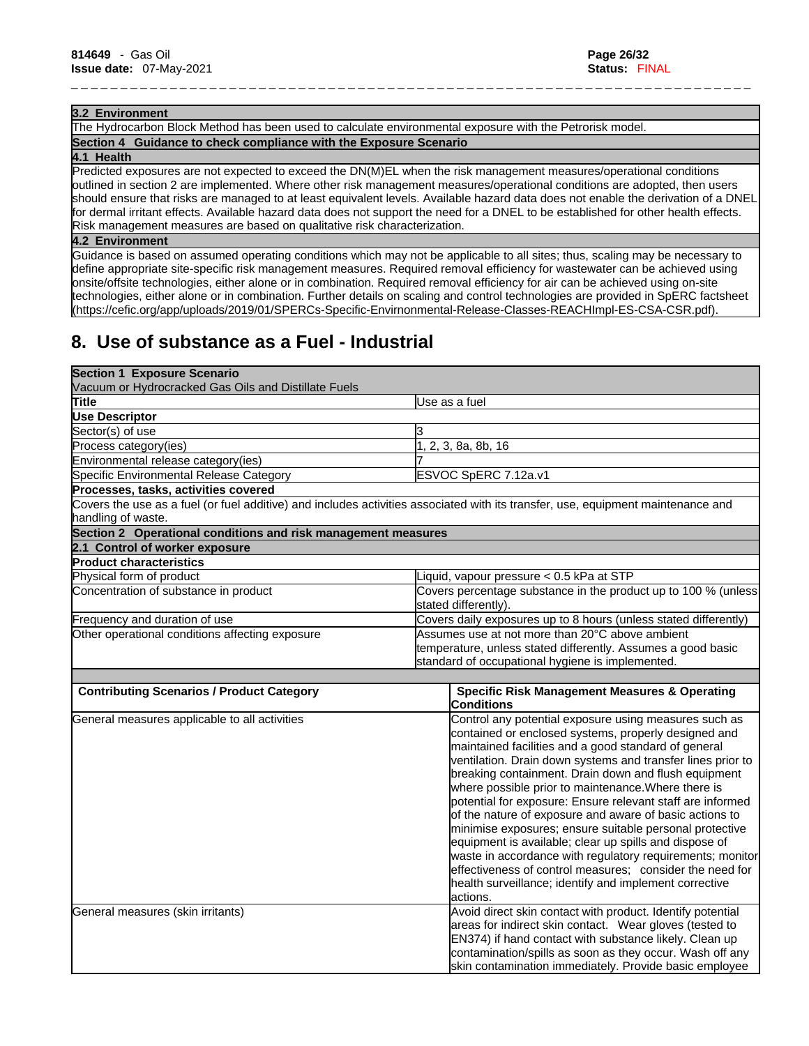#### **3.2 Environment**

The Hydrocarbon Block Method has been used to calculate environmental exposure with the Petrorisk model. **Section 4 Guidance to check compliance with the Exposure Scenario**

#### **4.1 Health**

Predicted exposures are not expected to exceed the DN(M)EL when the risk management measures/operational conditions outlined in section 2 are implemented. Where other risk management measures/operational conditions are adopted, then users should ensure that risks are managed to at least equivalent levels. Available hazard data does not enable the derivation of a DNEL for dermal irritant effects. Available hazard data does not support the need for a DNEL to be established for other health effects. Risk management measures are based on qualitative risk characterization.

\_ \_ \_ \_ \_ \_ \_ \_ \_ \_ \_ \_ \_ \_ \_ \_ \_ \_ \_ \_ \_ \_ \_ \_ \_ \_ \_ \_ \_ \_ \_ \_ \_ \_ \_ \_ \_ \_ \_ \_ \_ \_ \_ \_ \_ \_ \_ \_ \_ \_ \_ \_ \_ \_ \_ \_ \_ \_ \_ \_ \_ \_ \_ \_ \_ \_ \_ \_ \_

### **4.2 Environment**

Guidance is based on assumed operating conditions which may not be applicable to all sites; thus, scaling may be necessary to define appropriate site-specific risk management measures. Required removal efficiency for wastewater can be achieved using onsite/offsite technologies, either alone or in combination. Required removal efficiency for air can be achieved using on-site technologies, either alone or in combination. Further details on scaling and control technologies are provided in SpERC factsheet (https://cefic.org/app/uploads/2019/01/SPERCs-Specific-Envirnonmental-Release-Classes-REACHImpl-ES-CSA-CSR.pdf).

# **8. Use of substance as a Fuel - Industrial**

| Use as a fuel                                                                                                                    |  |
|----------------------------------------------------------------------------------------------------------------------------------|--|
|                                                                                                                                  |  |
| IЗ                                                                                                                               |  |
| 1, 2, 3, 8a, 8b, 16                                                                                                              |  |
|                                                                                                                                  |  |
| ESVOC SpERC 7.12a.v1                                                                                                             |  |
|                                                                                                                                  |  |
| Covers the use as a fuel (or fuel additive) and includes activities associated with its transfer, use, equipment maintenance and |  |
| Section 2 Operational conditions and risk management measures                                                                    |  |
|                                                                                                                                  |  |
|                                                                                                                                  |  |
| Liquid, vapour pressure < 0.5 kPa at STP                                                                                         |  |
| Covers percentage substance in the product up to 100 % (unless<br>stated differently).                                           |  |
| Covers daily exposures up to 8 hours (unless stated differently)                                                                 |  |
| Assumes use at not more than 20°C above ambient                                                                                  |  |
| temperature, unless stated differently. Assumes a good basic                                                                     |  |
| standard of occupational hygiene is implemented.                                                                                 |  |
|                                                                                                                                  |  |
| <b>Specific Risk Management Measures &amp; Operating</b>                                                                         |  |
| <b>Conditions</b>                                                                                                                |  |
| Control any potential exposure using measures such as                                                                            |  |
| contained or enclosed systems, properly designed and                                                                             |  |
| maintained facilities and a good standard of general                                                                             |  |
| ventilation. Drain down systems and transfer lines prior to                                                                      |  |
| breaking containment. Drain down and flush equipment                                                                             |  |
| where possible prior to maintenance. Where there is<br>potential for exposure: Ensure relevant staff are informed                |  |
| of the nature of exposure and aware of basic actions to                                                                          |  |
| minimise exposures; ensure suitable personal protective                                                                          |  |
| equipment is available; clear up spills and dispose of                                                                           |  |
| waste in accordance with regulatory requirements; monitor                                                                        |  |
| effectiveness of control measures; consider the need for                                                                         |  |
| health surveillance; identify and implement corrective                                                                           |  |
| lactions.                                                                                                                        |  |
| Avoid direct skin contact with product. Identify potential                                                                       |  |
| areas for indirect skin contact. Wear gloves (tested to                                                                          |  |
| EN374) if hand contact with substance likely. Clean up                                                                           |  |
| contamination/spills as soon as they occur. Wash off any                                                                         |  |
|                                                                                                                                  |  |
|                                                                                                                                  |  |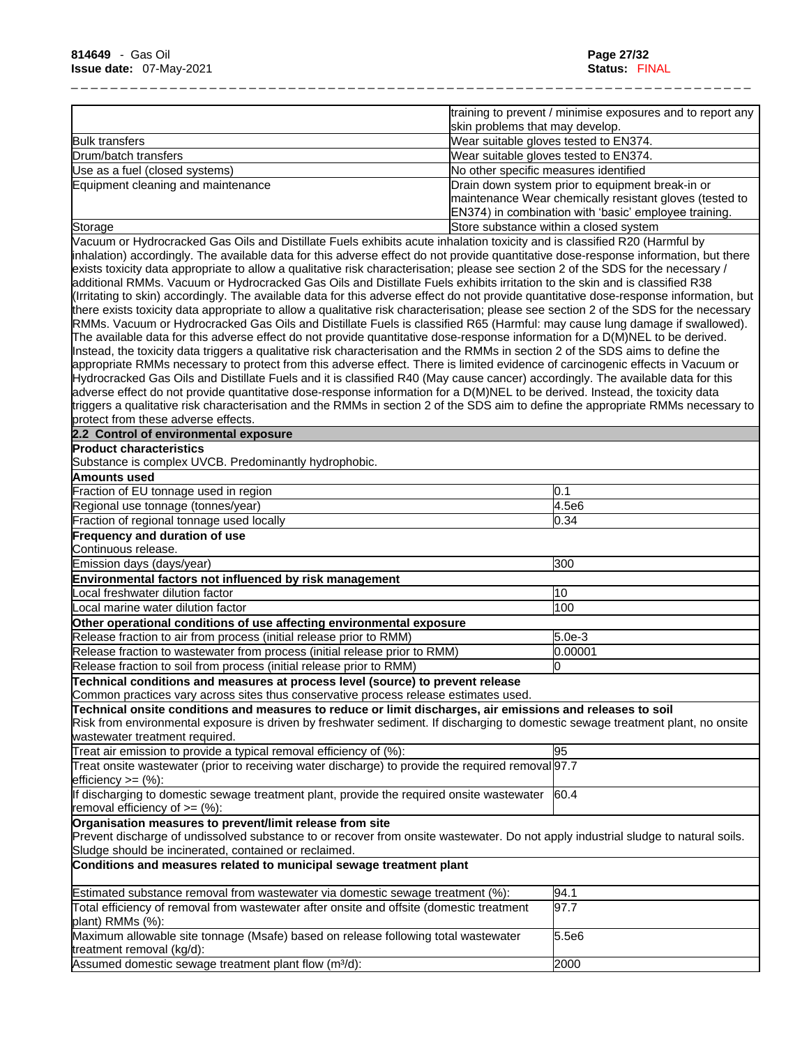|                                    | training to prevent / minimise exposures and to report any<br>skin problems that may develop.                                                                        |
|------------------------------------|----------------------------------------------------------------------------------------------------------------------------------------------------------------------|
| <b>Bulk transfers</b>              | Wear suitable gloves tested to EN374.                                                                                                                                |
| Drum/batch transfers               | Wear suitable gloves tested to EN374.                                                                                                                                |
| Use as a fuel (closed systems)     | No other specific measures identified                                                                                                                                |
| Equipment cleaning and maintenance | Drain down system prior to equipment break-in or<br>maintenance Wear chemically resistant gloves (tested to<br>EN374) in combination with 'basic' employee training. |
| Storage                            | Store substance within a closed system                                                                                                                               |

Vacuum or Hydrocracked Gas Oils and Distillate Fuels exhibits acute inhalation toxicity and isclassified R20 (Harmful by inhalation) accordingly. The available data for this adverse effect do not provide quantitative dose-response information, but there exists toxicity data appropriate to allow a qualitative risk characterisation; please see section 2 of the SDS for the necessary / additional RMMs. Vacuum or Hydrocracked Gas Oils and Distillate Fuels exhibits irritation to the skin and is classified R38 (Irritating to skin) accordingly. The available data for this adverse effect do not provide quantitative dose-response information, but there exists toxicity data appropriate to allow a qualitative risk characterisation; please see section 2 of the SDS for the necessary RMMs. Vacuum or Hydrocracked Gas Oils and Distillate Fuels is classified R65 (Harmful: may cause lung damage if swallowed). The available data for this adverse effect do not provide quantitative dose-response information for a D(M)NEL to be derived. Instead, the toxicity data triggers a qualitative risk characterisation and the RMMs in section 2 of the SDS aims to define the appropriate RMMs necessary to protect from this adverse effect. There islimited evidence of carcinogenic effects in Vacuum or Hydrocracked Gas Oils and Distillate Fuels and it is classified R40 (May cause cancer) accordingly. The available data for this adverse effect do not provide quantitative dose-response information for a D(M)NEL to be derived. Instead, the toxicity data triggers a qualitative risk characterisation and the RMMs in section 2 of the SDS aim to define the appropriate RMMs necessary to protect from these adverse effects.

### **2.2 Control of environmental exposure**

**Product characteristics**

Substance is complex UVCB. Predominantly hydrophobic.

| Amounts used                                                                                                                      |          |
|-----------------------------------------------------------------------------------------------------------------------------------|----------|
| Fraction of EU tonnage used in region                                                                                             | 0.1      |
| Regional use tonnage (tonnes/year)                                                                                                | 4.5e6    |
| Fraction of regional tonnage used locally                                                                                         | 0.34     |
| <b>Frequency and duration of use</b>                                                                                              |          |
| Continuous release.                                                                                                               |          |
| Emission days (days/year)                                                                                                         | 300      |
| Environmental factors not influenced by risk management                                                                           |          |
| ocal freshwater dilution factor                                                                                                   | 10       |
| Local marine water dilution factor                                                                                                | 100      |
| Other operational conditions of use affecting environmental exposure                                                              |          |
| Release fraction to air from process (initial release prior to RMM)                                                               | $5.0e-3$ |
| Release fraction to wastewater from process (initial release prior to RMM)                                                        | 0.00001  |
| Release fraction to soil from process (initial release prior to RMM)                                                              | 0        |
| Technical conditions and measures at process level (source) to prevent release                                                    |          |
| Common practices vary across sites thus conservative process release estimates used.                                              |          |
| Technical onsite conditions and measures to reduce or limit discharges, air emissions and releases to soil                        |          |
| Risk from environmental exposure is driven by freshwater sediment. If discharging to domestic sewage treatment plant, no onsite   |          |
| wastewater treatment required.                                                                                                    |          |
| Treat air emission to provide a typical removal efficiency of (%):                                                                | 95       |
| Treat onsite wastewater (prior to receiving water discharge) to provide the required removal 97.7                                 |          |
| efficiency $>=$ $(\%):$                                                                                                           |          |
| If discharging to domestic sewage treatment plant, provide the required onsite wastewater                                         | 60.4     |
| removal efficiency of $>=$ (%):                                                                                                   |          |
| Organisation measures to prevent/limit release from site                                                                          |          |
| Prevent discharge of undissolved substance to or recover from onsite wastewater. Do not apply industrial sludge to natural soils. |          |
| Sludge should be incinerated, contained or reclaimed.                                                                             |          |
| Conditions and measures related to municipal sewage treatment plant                                                               |          |
| Estimated substance removal from wastewater via domestic sewage treatment (%):                                                    | 94.1     |
| Total efficiency of removal from wastewater after onsite and offsite (domestic treatment                                          | 97.7     |
| plant) RMMs (%):                                                                                                                  |          |
| Maximum allowable site tonnage (Msafe) based on release following total wastewater                                                | 5.5e6    |
| treatment removal (kg/d):                                                                                                         |          |
| Assumed domestic sewage treatment plant flow (m <sup>3</sup> /d):                                                                 | 2000     |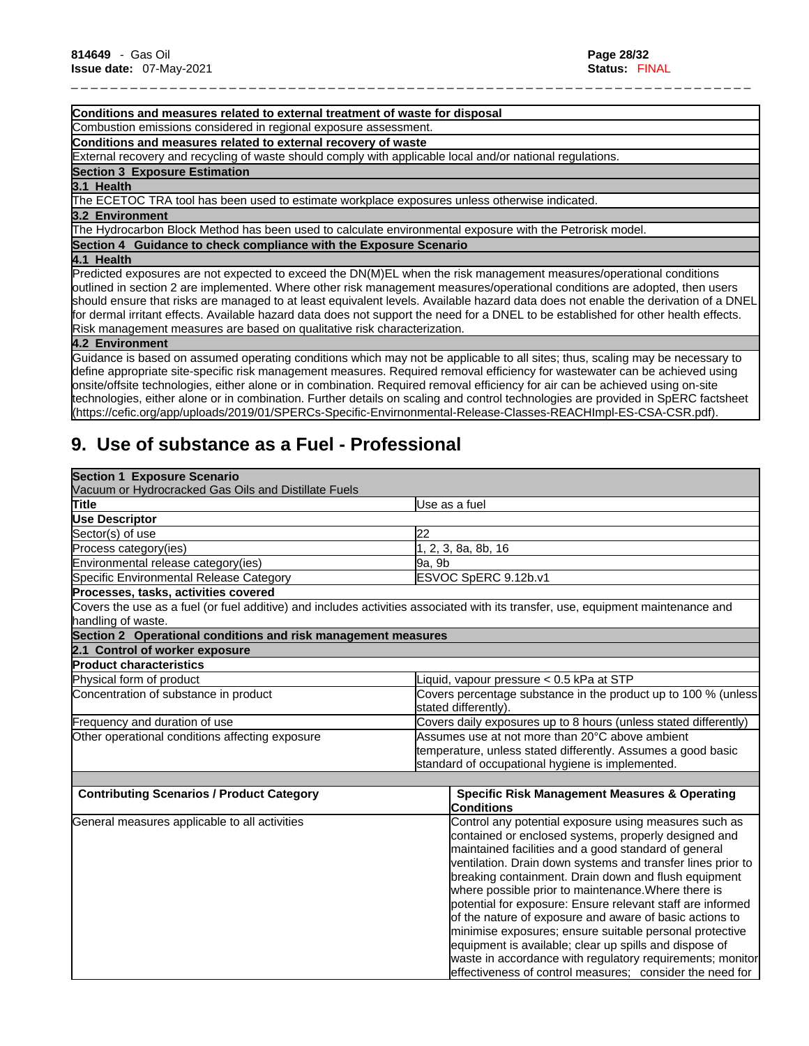#### **Conditions and measures related to external treatment of waste for disposal**

Combustion emissions considered in regional exposure assessment.

**Conditions and measures related to external recovery of waste**

External recovery and recycling of waste should comply with applicable local and/or national regulations.

**Section 3 Exposure Estimation** 

#### **3.1 Health**

The ECETOC TRA tool has been used to estimate workplace exposures unless otherwise indicated.

#### **3.2 Environment**

The Hydrocarbon Block Method has been used to calculate environmental exposure with the Petrorisk model.

**Section 4 Guidance to check compliance with the Exposure Scenario**

**4.1 Health** 

Predicted exposures are not expected to exceed the DN(M)EL when the risk management measures/operational conditions outlined in section 2 are implemented. Where other risk management measures/operational conditions are adopted, then users should ensure that risks are managed to at least equivalent levels. Available hazard data does not enable the derivation of a DNEL for dermal irritant effects. Available hazard data does not support the need for a DNEL to be established for other health effects. Risk management measures are based on qualitative risk characterization.

\_ \_ \_ \_ \_ \_ \_ \_ \_ \_ \_ \_ \_ \_ \_ \_ \_ \_ \_ \_ \_ \_ \_ \_ \_ \_ \_ \_ \_ \_ \_ \_ \_ \_ \_ \_ \_ \_ \_ \_ \_ \_ \_ \_ \_ \_ \_ \_ \_ \_ \_ \_ \_ \_ \_ \_ \_ \_ \_ \_ \_ \_ \_ \_ \_ \_ \_ \_ \_

### **4.2 Environment**

Guidance isbased on assumed operating conditions which may not be applicable to all sites; thus, scaling may be necessary to define appropriate site-specific risk management measures. Required removal efficiency for wastewater can be achieved using onsite/offsite technologies, either alone or in combination. Required removal efficiency for air can be achieved using on-site technologies, either alone or in combination. Further details on scaling and control technologies are provided in SpERC factsheet (https://cefic.org/app/uploads/2019/01/SPERCs-Specific-Envirnonmental-Release-Classes-REACHImpl-ES-CSA-CSR.pdf).

# **9. Use of substance as a Fuel - Professional**

| <b>Section 1 Exposure Scenario</b>                            |                                                                                                                                  |  |
|---------------------------------------------------------------|----------------------------------------------------------------------------------------------------------------------------------|--|
| Vacuum or Hydrocracked Gas Oils and Distillate Fuels          |                                                                                                                                  |  |
| Title                                                         | Use as a fuel                                                                                                                    |  |
| <b>Use Descriptor</b>                                         |                                                                                                                                  |  |
| Sector(s) of use                                              | <b>22</b>                                                                                                                        |  |
| Process category(ies)                                         | 1, 2, 3, 8a, 8b, 16                                                                                                              |  |
| Environmental release category(ies)                           | 9a, 9b                                                                                                                           |  |
| Specific Environmental Release Category                       | ESVOC SpERC 9.12b.v1                                                                                                             |  |
| Processes, tasks, activities covered                          |                                                                                                                                  |  |
| handling of waste.                                            | Covers the use as a fuel (or fuel additive) and includes activities associated with its transfer, use, equipment maintenance and |  |
| Section 2 Operational conditions and risk management measures |                                                                                                                                  |  |
| 2.1 Control of worker exposure                                |                                                                                                                                  |  |
| <b>Product characteristics</b>                                |                                                                                                                                  |  |
| Physical form of product                                      | Liquid, vapour pressure < 0.5 kPa at STP                                                                                         |  |
| Concentration of substance in product                         | Covers percentage substance in the product up to 100 % (unless<br>stated differently).                                           |  |
| Frequency and duration of use                                 | Covers daily exposures up to 8 hours (unless stated differently)                                                                 |  |
| Other operational conditions affecting exposure               | Assumes use at not more than 20°C above ambient                                                                                  |  |
|                                                               | temperature, unless stated differently. Assumes a good basic                                                                     |  |
|                                                               | standard of occupational hygiene is implemented.                                                                                 |  |
|                                                               |                                                                                                                                  |  |
| <b>Contributing Scenarios / Product Category</b>              | <b>Specific Risk Management Measures &amp; Operating</b><br><b>Conditions</b>                                                    |  |
| General measures applicable to all activities                 | Control any potential exposure using measures such as<br>contained or enclosed systems, properly designed and                    |  |
|                                                               | maintained facilities and a good standard of general                                                                             |  |
|                                                               | ventilation. Drain down systems and transfer lines prior to                                                                      |  |
|                                                               | breaking containment. Drain down and flush equipment                                                                             |  |
|                                                               | where possible prior to maintenance. Where there is                                                                              |  |
|                                                               | potential for exposure: Ensure relevant staff are informed                                                                       |  |
|                                                               | of the nature of exposure and aware of basic actions to                                                                          |  |
|                                                               | minimise exposures; ensure suitable personal protective                                                                          |  |
|                                                               | equipment is available; clear up spills and dispose of                                                                           |  |
|                                                               | waste in accordance with regulatory requirements; monitor                                                                        |  |
|                                                               | effectiveness of control measures: consider the need for                                                                         |  |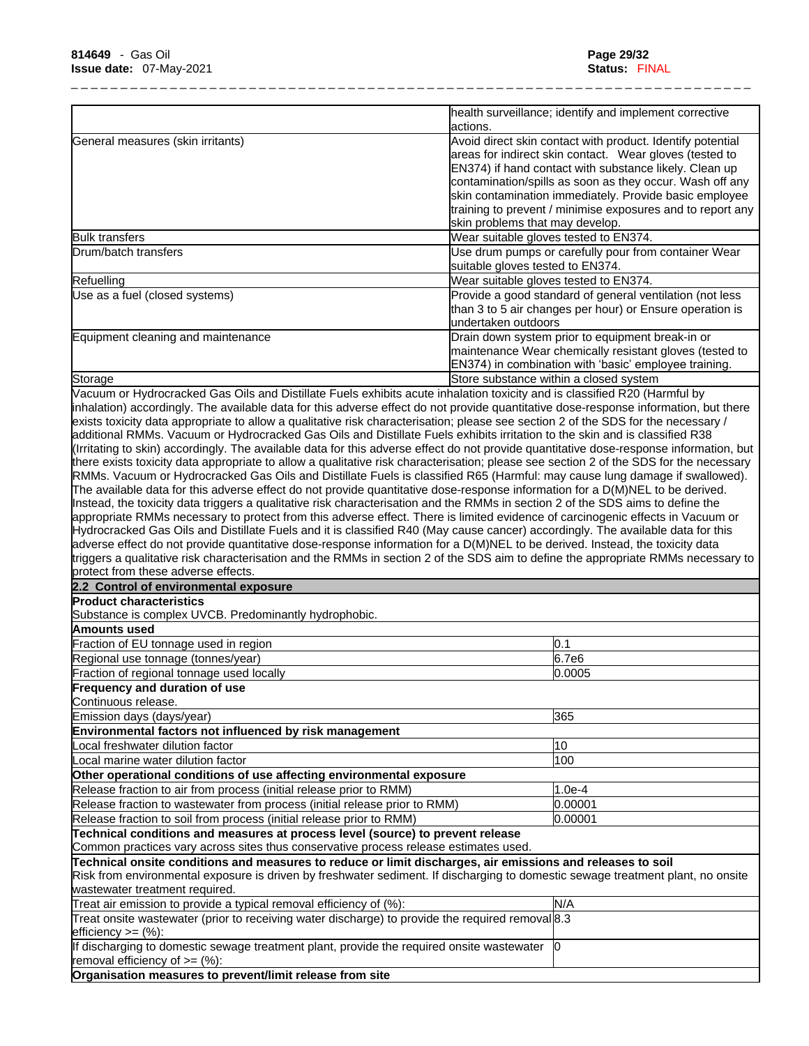|                                                                                                                                  | health surveillance; identify and implement corrective                                                                                                                          |
|----------------------------------------------------------------------------------------------------------------------------------|---------------------------------------------------------------------------------------------------------------------------------------------------------------------------------|
|                                                                                                                                  | actions.                                                                                                                                                                        |
| General measures (skin irritants)                                                                                                | Avoid direct skin contact with product. Identify potential<br>areas for indirect skin contact. Wear gloves (tested to<br>EN374) if hand contact with substance likely. Clean up |
|                                                                                                                                  | contamination/spills as soon as they occur. Wash off any                                                                                                                        |
|                                                                                                                                  | skin contamination immediately. Provide basic employee                                                                                                                          |
|                                                                                                                                  | training to prevent / minimise exposures and to report any                                                                                                                      |
|                                                                                                                                  | skin problems that may develop.                                                                                                                                                 |
| <b>Bulk transfers</b>                                                                                                            | Wear suitable gloves tested to EN374.                                                                                                                                           |
| Drum/batch transfers                                                                                                             | Use drum pumps or carefully pour from container Wear                                                                                                                            |
|                                                                                                                                  | suitable gloves tested to EN374.                                                                                                                                                |
| Refuelling                                                                                                                       | Wear suitable gloves tested to EN374.                                                                                                                                           |
| Use as a fuel (closed systems)                                                                                                   | Provide a good standard of general ventilation (not less<br>than 3 to 5 air changes per hour) or Ensure operation is<br>undertaken outdoors                                     |
| Equipment cleaning and maintenance                                                                                               | Drain down system prior to equipment break-in or<br>maintenance Wear chemically resistant gloves (tested to                                                                     |
|                                                                                                                                  | EN374) in combination with 'basic' employee training.                                                                                                                           |
| Storage                                                                                                                          | Store substance within a closed system                                                                                                                                          |
| Vacuum or Hydrocracked Gas Oils and Distillate Fuels exhibits acute inhalation toxicity and is classified R20 (Harmful by        |                                                                                                                                                                                 |
|                                                                                                                                  | inhalation) accordingly. The available data for this adverse effect do not provide quantitative dose-response information, but there                                            |
|                                                                                                                                  | exists toxicity data appropriate to allow a qualitative risk characterisation; please see section 2 of the SDS for the necessary /                                              |
| additional RMMs. Vacuum or Hydrocracked Gas Oils and Distillate Fuels exhibits irritation to the skin and is classified R38      |                                                                                                                                                                                 |
|                                                                                                                                  | (Irritating to skin) accordingly. The available data for this adverse effect do not provide quantitative dose-response information, but                                         |
|                                                                                                                                  | there exists toxicity data appropriate to allow a qualitative risk characterisation; please see section 2 of the SDS for the necessary                                          |
|                                                                                                                                  | RMMs. Vacuum or Hydrocracked Gas Oils and Distillate Fuels is classified R65 (Harmful: may cause lung damage if swallowed).                                                     |
|                                                                                                                                  | The available data for this adverse effect do not provide quantitative dose-response information for a D(M)NEL to be derived.                                                   |
| Instead, the toxicity data triggers a qualitative risk characterisation and the RMMs in section 2 of the SDS aims to define the  |                                                                                                                                                                                 |
|                                                                                                                                  | appropriate RMMs necessary to protect from this adverse effect. There is limited evidence of carcinogenic effects in Vacuum or                                                  |
|                                                                                                                                  | Hydrocracked Gas Oils and Distillate Fuels and it is classified R40 (May cause cancer) accordingly. The available data for this                                                 |
| adverse effect do not provide quantitative dose-response information for a D(M)NEL to be derived. Instead, the toxicity data     |                                                                                                                                                                                 |
| protect from these adverse effects.                                                                                              | triggers a qualitative risk characterisation and the RMMs in section 2 of the SDS aim to define the appropriate RMMs necessary to                                               |
| 2.2 Control of environmental exposure                                                                                            |                                                                                                                                                                                 |
| <b>Product characteristics</b>                                                                                                   |                                                                                                                                                                                 |
| Substance is complex UVCB. Predominantly hydrophobic.                                                                            |                                                                                                                                                                                 |
| Amounts used                                                                                                                     |                                                                                                                                                                                 |
|                                                                                                                                  |                                                                                                                                                                                 |
| Fraction of EU tonnage used in region                                                                                            | 0.1                                                                                                                                                                             |
| Regional use tonnage (tonnes/year)                                                                                               | 6.7e6                                                                                                                                                                           |
| Fraction of regional tonnage used locally                                                                                        | 0.0005                                                                                                                                                                          |
| Frequency and duration of use                                                                                                    |                                                                                                                                                                                 |
| Continuous release.                                                                                                              |                                                                                                                                                                                 |
| Emission days (days/year)                                                                                                        | 365                                                                                                                                                                             |
| Environmental factors not influenced by risk management                                                                          |                                                                                                                                                                                 |
| Local freshwater dilution factor                                                                                                 | 10                                                                                                                                                                              |
| Local marine water dilution factor                                                                                               | 100                                                                                                                                                                             |
| Other operational conditions of use affecting environmental exposure                                                             |                                                                                                                                                                                 |
| Release fraction to air from process (initial release prior to RMM)                                                              | $1.0e-4$                                                                                                                                                                        |
| Release fraction to wastewater from process (initial release prior to RMM)                                                       | 0.00001                                                                                                                                                                         |
| Release fraction to soil from process (initial release prior to RMM)                                                             | 0.00001                                                                                                                                                                         |
| Technical conditions and measures at process level (source) to prevent release                                                   |                                                                                                                                                                                 |
| Common practices vary across sites thus conservative process release estimates used.                                             |                                                                                                                                                                                 |
| Technical onsite conditions and measures to reduce or limit discharges, air emissions and releases to soil                       | Risk from environmental exposure is driven by freshwater sediment. If discharging to domestic sewage treatment plant, no onsite                                                 |
|                                                                                                                                  |                                                                                                                                                                                 |
| wastewater treatment required.                                                                                                   |                                                                                                                                                                                 |
| Treat air emission to provide a typical removal efficiency of (%):                                                               | N/A                                                                                                                                                                             |
| Treat onsite wastewater (prior to receiving water discharge) to provide the required removal 8.3<br>efficiency $>=$ $(\%)$ :     |                                                                                                                                                                                 |
| If discharging to domestic sewage treatment plant, provide the required onsite wastewater<br>removal efficiency of $\geq=(\%)$ : | 10                                                                                                                                                                              |
| Organisation measures to prevent/limit release from site                                                                         |                                                                                                                                                                                 |
|                                                                                                                                  |                                                                                                                                                                                 |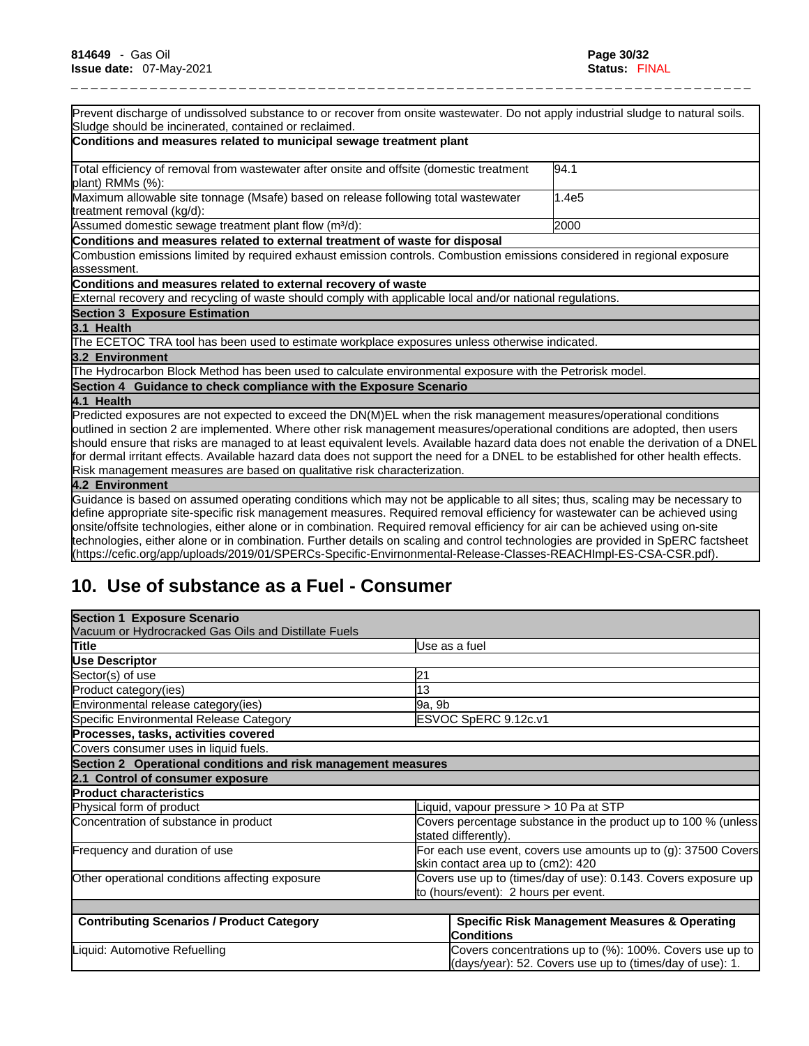| Prevent discharge of undissolved substance to or recover from onsite wastewater. Do not apply industrial sludge to natural soils.                                                                                                                                         |       |
|---------------------------------------------------------------------------------------------------------------------------------------------------------------------------------------------------------------------------------------------------------------------------|-------|
| Sludge should be incinerated, contained or reclaimed.                                                                                                                                                                                                                     |       |
| Conditions and measures related to municipal sewage treatment plant                                                                                                                                                                                                       |       |
| Total efficiency of removal from wastewater after onsite and offsite (domestic treatment<br>plant) RMMs (%):                                                                                                                                                              | 94.1  |
| Maximum allowable site tonnage (Msafe) based on release following total wastewater<br>treatment removal (kg/d):                                                                                                                                                           | 1.4e5 |
| Assumed domestic sewage treatment plant flow (m <sup>3</sup> /d):                                                                                                                                                                                                         | 2000  |
| Conditions and measures related to external treatment of waste for disposal                                                                                                                                                                                               |       |
| Combustion emissions limited by required exhaust emission controls. Combustion emissions considered in regional exposure<br>lassessment.                                                                                                                                  |       |
| Conditions and measures related to external recovery of waste                                                                                                                                                                                                             |       |
| External recovery and recycling of waste should comply with applicable local and/or national regulations.                                                                                                                                                                 |       |
| <b>Section 3 Exposure Estimation</b>                                                                                                                                                                                                                                      |       |
| 3.1 Health                                                                                                                                                                                                                                                                |       |
| The ECETOC TRA tool has been used to estimate workplace exposures unless otherwise indicated.                                                                                                                                                                             |       |
| 3.2 Environment                                                                                                                                                                                                                                                           |       |
| The Hydrocarbon Block Method has been used to calculate environmental exposure with the Petrorisk model.                                                                                                                                                                  |       |
| Section 4 Guidance to check compliance with the Exposure Scenario                                                                                                                                                                                                         |       |
| 4.1 Health                                                                                                                                                                                                                                                                |       |
| Predicted exposures are not expected to exceed the DN(M)EL when the risk management measures/operational conditions<br>outlined in section 2 are implemented. Where other risk management measures/operational conditions are adopted, then users                         |       |
| should ensure that risks are managed to at least equivalent levels. Available hazard data does not enable the derivation of a DNEL<br>for dermal irritant effects. Available hazard data does not support the need for a DNEL to be established for other health effects. |       |
| Risk management measures are based on qualitative risk characterization.                                                                                                                                                                                                  |       |
| 4.2 Environment                                                                                                                                                                                                                                                           |       |
| Guidance is based on assumed operating conditions which may not be applicable to all sites; thus, scaling may be necessary to                                                                                                                                             |       |
| define appropriate site-specific risk management measures. Required removal efficiency for wastewater can be achieved using                                                                                                                                               |       |
| onsite/offsite technologies, either alone or in combination. Required removal efficiency for air can be achieved using on-site                                                                                                                                            |       |
| technologies, either alone or in combination. Further details on scaling and control technologies are provided in SpERC factsheet                                                                                                                                         |       |

(https://cefic.org/app/uploads/2019/01/SPERCs-Specific-Envirnonmental-Release-Classes-REACHImpl-ES-CSA-CSR.pdf).

# **10. Use of substance as a Fuel - Consumer**

| <b>Section 1 Exposure Scenario</b>                            |                                                                                                                     |  |
|---------------------------------------------------------------|---------------------------------------------------------------------------------------------------------------------|--|
| Vacuum or Hydrocracked Gas Oils and Distillate Fuels          |                                                                                                                     |  |
| Title                                                         | Use as a fuel                                                                                                       |  |
| <b>Use Descriptor</b>                                         |                                                                                                                     |  |
| Sector(s) of use                                              | 21                                                                                                                  |  |
| Product category(ies)                                         | 13                                                                                                                  |  |
| Environmental release category(ies)                           | 9a, 9b                                                                                                              |  |
| Specific Environmental Release Category                       | ESVOC SpERC 9.12c.v1                                                                                                |  |
| Processes, tasks, activities covered                          |                                                                                                                     |  |
| Covers consumer uses in liquid fuels.                         |                                                                                                                     |  |
| Section 2 Operational conditions and risk management measures |                                                                                                                     |  |
| 2.1 Control of consumer exposure                              |                                                                                                                     |  |
| <b>Product characteristics</b>                                |                                                                                                                     |  |
| Physical form of product                                      | iquid, vapour pressure > 10 Pa at STP                                                                               |  |
| Concentration of substance in product                         | Covers percentage substance in the product up to 100 % (unless<br>stated differently).                              |  |
| Frequency and duration of use                                 | For each use event, covers use amounts up to (g): 37500 Covers<br>skin contact area up to (cm2): 420                |  |
| Other operational conditions affecting exposure               | Covers use up to (times/day of use): 0.143. Covers exposure up<br>to (hours/event): 2 hours per event.              |  |
|                                                               |                                                                                                                     |  |
| <b>Contributing Scenarios / Product Category</b>              | <b>Specific Risk Management Measures &amp; Operating</b><br><b>Conditions</b>                                       |  |
| Liquid: Automotive Refuelling                                 | Covers concentrations up to (%): 100%. Covers use up to<br>(days/year): 52. Covers use up to (times/day of use): 1. |  |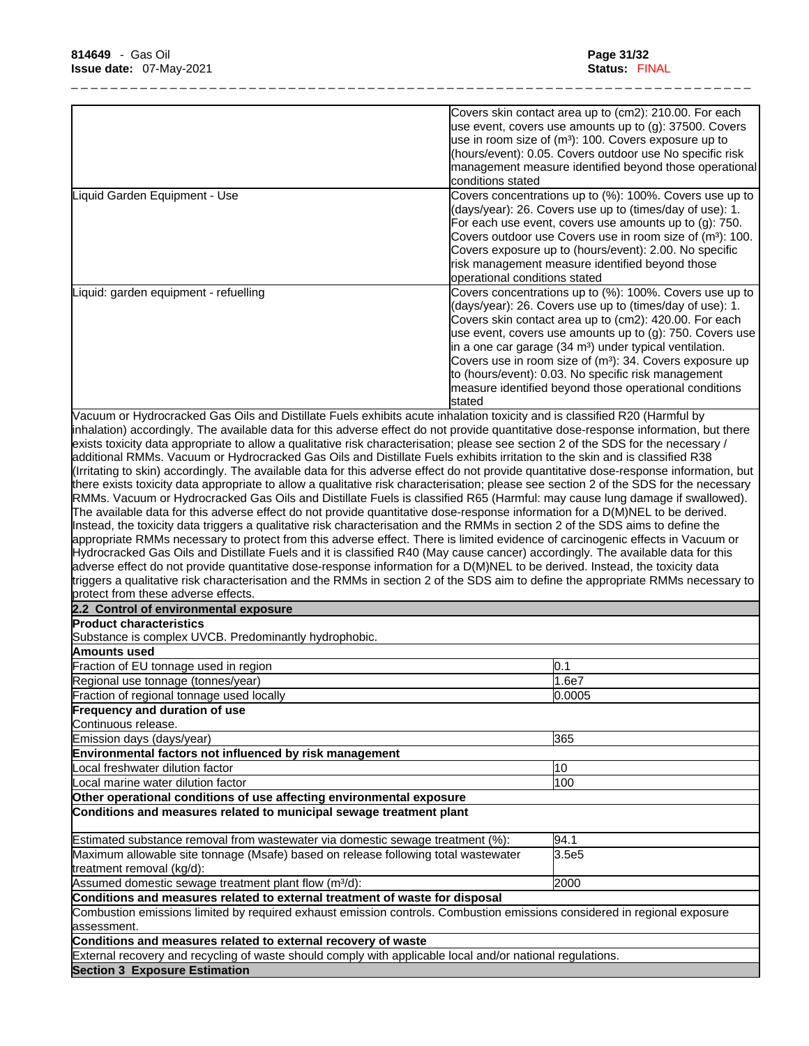|                                                                                                                                                                                                                                                                   | Covers skin contact area up to (cm2): 210.00. For each                |
|-------------------------------------------------------------------------------------------------------------------------------------------------------------------------------------------------------------------------------------------------------------------|-----------------------------------------------------------------------|
|                                                                                                                                                                                                                                                                   | use event, covers use amounts up to (g): 37500. Covers                |
|                                                                                                                                                                                                                                                                   | use in room size of (m <sup>3</sup> ): 100. Covers exposure up to     |
|                                                                                                                                                                                                                                                                   | (hours/event): 0.05. Covers outdoor use No specific risk              |
|                                                                                                                                                                                                                                                                   | management measure identified beyond those operational                |
|                                                                                                                                                                                                                                                                   | conditions stated                                                     |
| Liquid Garden Equipment - Use                                                                                                                                                                                                                                     | Covers concentrations up to (%): 100%. Covers use up to               |
|                                                                                                                                                                                                                                                                   | (days/year): 26. Covers use up to (times/day of use): 1.              |
|                                                                                                                                                                                                                                                                   | For each use event, covers use amounts up to (g): 750.                |
|                                                                                                                                                                                                                                                                   | Covers outdoor use Covers use in room size of (m <sup>3</sup> ): 100. |
|                                                                                                                                                                                                                                                                   | Covers exposure up to (hours/event): 2.00. No specific                |
|                                                                                                                                                                                                                                                                   | risk management measure identified beyond those                       |
|                                                                                                                                                                                                                                                                   | operational conditions stated                                         |
| Liquid: garden equipment - refuelling                                                                                                                                                                                                                             | Covers concentrations up to (%): 100%. Covers use up to               |
|                                                                                                                                                                                                                                                                   | (days/year): 26. Covers use up to (times/day of use): 1.              |
|                                                                                                                                                                                                                                                                   | Covers skin contact area up to (cm2): 420.00. For each                |
|                                                                                                                                                                                                                                                                   | use event, covers use amounts up to (g): 750. Covers use              |
|                                                                                                                                                                                                                                                                   | in a one car garage (34 m <sup>3</sup> ) under typical ventilation.   |
|                                                                                                                                                                                                                                                                   | Covers use in room size of (m <sup>3</sup> ): 34. Covers exposure up  |
|                                                                                                                                                                                                                                                                   | to (hours/event): 0.03. No specific risk management                   |
|                                                                                                                                                                                                                                                                   | measure identified beyond those operational conditions                |
|                                                                                                                                                                                                                                                                   | <b>stated</b>                                                         |
| Vacuum or Hydrocracked Gas Oils and Distillate Fuels exhibits acute inhalation toxicity and is classified R20 (Harmful by<br>inhalation) accordingly. The available data for this adverse effect do not provide quantitative dose-response information, but there |                                                                       |
| exists toxicity data appropriate to allow a qualitative risk characterisation; please see section 2 of the SDS for the necessary /                                                                                                                                |                                                                       |
|                                                                                                                                                                                                                                                                   |                                                                       |
| additional RMMs. Vacuum or Hydrocracked Gas Oils and Distillate Fuels exhibits irritation to the skin and is classified R38                                                                                                                                       |                                                                       |
| (Irritating to skin) accordingly. The available data for this adverse effect do not provide quantitative dose-response information, but                                                                                                                           |                                                                       |
| there exists toxicity data appropriate to allow a qualitative risk characterisation; please see section 2 of the SDS for the necessary                                                                                                                            |                                                                       |
| RMMs. Vacuum or Hydrocracked Gas Oils and Distillate Fuels is classified R65 (Harmful: may cause lung damage if swallowed).<br>The available data for this adverse effect do not provide quantitative dose-response information for a D(M)NEL to be derived.      |                                                                       |
| Instead, the toxicity data triggers a qualitative risk characterisation and the RMMs in section 2 of the SDS aims to define the                                                                                                                                   |                                                                       |
| appropriate RMMs necessary to protect from this adverse effect. There is limited evidence of carcinogenic effects in Vacuum or                                                                                                                                    |                                                                       |
| Hydrocracked Gas Oils and Distillate Fuels and it is classified R40 (May cause cancer) accordingly. The available data for this                                                                                                                                   |                                                                       |
| adverse effect do not provide quantitative dose-response information for a D(M)NEL to be derived. Instead, the toxicity data                                                                                                                                      |                                                                       |
| triggers a qualitative risk characterisation and the RMMs in section 2 of the SDS aim to define the appropriate RMMs necessary to                                                                                                                                 |                                                                       |
| protect from these adverse effects.                                                                                                                                                                                                                               |                                                                       |
| 2.2 Control of environmental exposure                                                                                                                                                                                                                             |                                                                       |
|                                                                                                                                                                                                                                                                   |                                                                       |
| <b>Product characteristics</b>                                                                                                                                                                                                                                    |                                                                       |
| Substance is complex UVCB. Predominantly hydrophobic.                                                                                                                                                                                                             |                                                                       |
| Amounts used                                                                                                                                                                                                                                                      |                                                                       |
| Fraction of EU tonnage used in region                                                                                                                                                                                                                             | 0.1                                                                   |
| Regional use tonnage (tonnes/year)                                                                                                                                                                                                                                | 1.6e7                                                                 |
| Fraction of regional tonnage used locally                                                                                                                                                                                                                         | 0.0005                                                                |
| <b>Frequency and duration of use</b>                                                                                                                                                                                                                              |                                                                       |
| Continuous release.                                                                                                                                                                                                                                               |                                                                       |
| Emission days (days/year)                                                                                                                                                                                                                                         | 365                                                                   |
| Environmental factors not influenced by risk management                                                                                                                                                                                                           |                                                                       |
| Local freshwater dilution factor                                                                                                                                                                                                                                  | 10                                                                    |
| Local marine water dilution factor                                                                                                                                                                                                                                | 100                                                                   |
| Other operational conditions of use affecting environmental exposure                                                                                                                                                                                              |                                                                       |
| Conditions and measures related to municipal sewage treatment plant                                                                                                                                                                                               |                                                                       |
|                                                                                                                                                                                                                                                                   |                                                                       |
| Estimated substance removal from wastewater via domestic sewage treatment (%):                                                                                                                                                                                    | 94.1                                                                  |
| Maximum allowable site tonnage (Msafe) based on release following total wastewater                                                                                                                                                                                | 3.5e <sub>5</sub>                                                     |
| treatment removal (kg/d):                                                                                                                                                                                                                                         |                                                                       |
| Assumed domestic sewage treatment plant flow (m <sup>3</sup> /d):                                                                                                                                                                                                 | 2000                                                                  |
| Conditions and measures related to external treatment of waste for disposal                                                                                                                                                                                       |                                                                       |
| Combustion emissions limited by required exhaust emission controls. Combustion emissions considered in regional exposure                                                                                                                                          |                                                                       |
| assessment.                                                                                                                                                                                                                                                       |                                                                       |
| Conditions and measures related to external recovery of waste                                                                                                                                                                                                     |                                                                       |
| External recovery and recycling of waste should comply with applicable local and/or national regulations.                                                                                                                                                         |                                                                       |
|                                                                                                                                                                                                                                                                   |                                                                       |
| <b>Section 3 Exposure Estimation</b>                                                                                                                                                                                                                              |                                                                       |